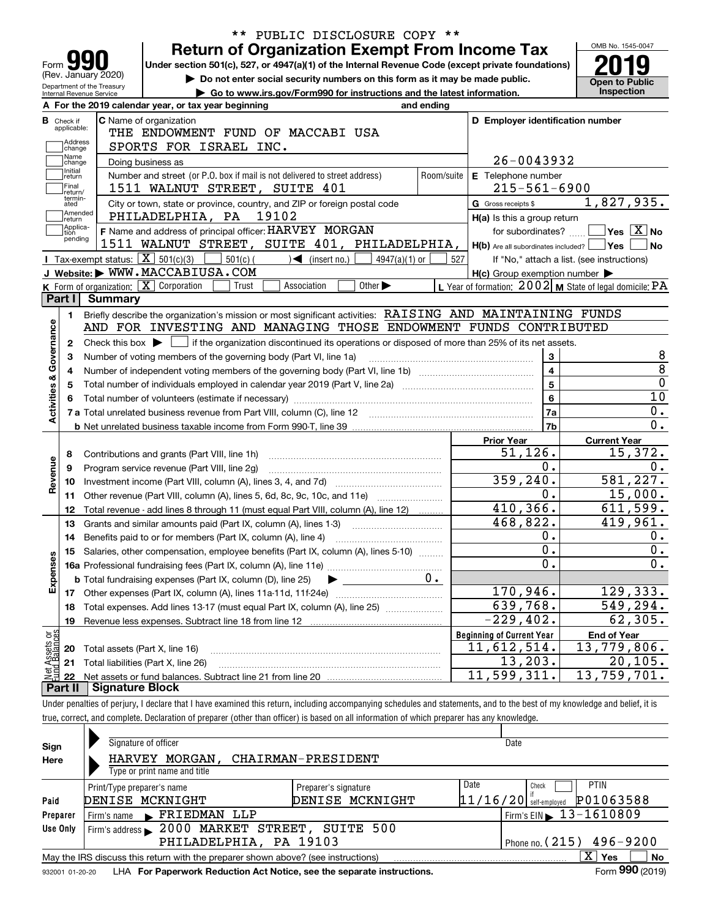|                                                        | PUBLIC DISCLOSURE COPY **<br>$***$<br><b>Return of Organization Exempt From Income Tax</b>                                                |                                                           | OMB No. 1545-0047                                            |
|--------------------------------------------------------|-------------------------------------------------------------------------------------------------------------------------------------------|-----------------------------------------------------------|--------------------------------------------------------------|
| Form YY                                                | Under section 501(c), 527, or 4947(a)(1) of the Internal Revenue Code (except private foundations)                                        |                                                           |                                                              |
| (Rev. January 2020)                                    | Do not enter social security numbers on this form as it may be made public.                                                               |                                                           | <b>Open to Public</b>                                        |
| Department of the Treasury<br>Internal Revenue Service | Go to www.irs.gov/Form990 for instructions and the latest information.                                                                    |                                                           | Inspection                                                   |
|                                                        | A For the 2019 calendar year, or tax year beginning<br>and ending                                                                         |                                                           |                                                              |
| <b>B</b> Check if                                      | C Name of organization                                                                                                                    | D Employer identification number                          |                                                              |
| applicable:                                            | THE ENDOWMENT FUND OF MACCABI USA                                                                                                         |                                                           |                                                              |
| Address<br>change                                      | SPORTS FOR ISRAEL INC.                                                                                                                    |                                                           |                                                              |
| Name<br>change                                         | Doing business as                                                                                                                         | 26-0043932                                                |                                                              |
| Initial<br>return                                      | Number and street (or P.O. box if mail is not delivered to street address)<br>Room/suite                                                  | E Telephone number                                        |                                                              |
| Final<br>return/                                       | 1511 WALNUT STREET, SUITE 401                                                                                                             | $215 - 561 - 6900$                                        |                                                              |
| termin-<br>ated                                        | City or town, state or province, country, and ZIP or foreign postal code                                                                  | G Gross receipts \$                                       | 1,827,935.                                                   |
| Amended<br> return                                     | PHILADELPHIA, PA 19102                                                                                                                    | H(a) Is this a group return                               |                                                              |
| Applica-<br>tion                                       | F Name and address of principal officer: HARVEY MORGAN                                                                                    | for subordinates?                                         | $\blacksquare$ Yes $\lceil$ $\overline{\mathrm{X}}\rceil$ No |
| pending                                                | 1511 WALNUT STREET, SUITE 401, PHILADELPHIA,                                                                                              | $H(b)$ Are all subordinates included? $\Box$ Yes          | ∣No                                                          |
|                                                        | <b>I</b> Tax-exempt status: $\boxed{\mathbf{X}}$ 501(c)(3)<br>$501(c)$ (<br>$\mathcal{A}$ (insert no.)<br>$4947(a)(1)$ or                 | 527<br>If "No," attach a list. (see instructions)         |                                                              |
|                                                        | J Website: WWW.MACCABIUSA.COM                                                                                                             | $H(c)$ Group exemption number $\blacktriangleright$       |                                                              |
|                                                        | K Form of organization: $\boxed{\mathbf{X}}$ Corporation<br>Trust<br>Association<br>Other $\blacktriangleright$                           | L Year of formation: $2002$ M State of legal domicile: PA |                                                              |
| Part I                                                 | <b>Summary</b>                                                                                                                            |                                                           |                                                              |
| 1.                                                     | Briefly describe the organization's mission or most significant activities: RAISING AND MAINTAINING FUNDS                                 |                                                           |                                                              |
|                                                        | AND FOR INVESTING AND MANAGING THOSE ENDOWMENT FUNDS CONTRIBUTED                                                                          |                                                           |                                                              |
| 2                                                      | Check this box $\blacktriangleright \Box$ if the organization discontinued its operations or disposed of more than 25% of its net assets. |                                                           |                                                              |
|                                                        | Number of voting members of the governing body (Part VI, line 1a)                                                                         | $\mathbf{3}$                                              |                                                              |
|                                                        |                                                                                                                                           | $\overline{4}$                                            |                                                              |
| Activities & Governance                                | Total number of individuals employed in calendar year 2019 (Part V, line 2a) manufacture controller to intervent                          | $5^{\circ}$                                               |                                                              |
|                                                        |                                                                                                                                           | $6\phantom{a}$                                            | $\overline{10}$                                              |
|                                                        |                                                                                                                                           | 7a                                                        | 0.                                                           |
|                                                        |                                                                                                                                           | 7b                                                        | $\overline{0}$ .                                             |
|                                                        |                                                                                                                                           | <b>Prior Year</b>                                         | <b>Current Year</b>                                          |
| 8                                                      | Contributions and grants (Part VIII, line 1h)                                                                                             | 51, 126.                                                  | 15,372.                                                      |
| 9                                                      | Program service revenue (Part VIII, line 2g)                                                                                              | $0$ .                                                     | 0.                                                           |
| Revenue<br>10                                          |                                                                                                                                           | 359, 240.                                                 | 581, 227.                                                    |
| 11                                                     | Other revenue (Part VIII, column (A), lines 5, 6d, 8c, 9c, 10c, and 11e)                                                                  | 0.                                                        | 15,000.                                                      |
| 12                                                     | Total revenue - add lines 8 through 11 (must equal Part VIII, column (A), line 12)                                                        | 410,366.                                                  | 611,599.                                                     |
| 13                                                     | Grants and similar amounts paid (Part IX, column (A), lines 1-3)                                                                          | 468,822.                                                  | 419,961.                                                     |
| 14                                                     | Benefits paid to or for members (Part IX, column (A), line 4)                                                                             | 0.                                                        | 0.                                                           |
|                                                        | 15 Salaries, other compensation, employee benefits (Part IX, column (A), lines 5-10)                                                      | $\overline{\mathbf{0}}$ .                                 | $\overline{0}$ .                                             |
|                                                        |                                                                                                                                           | $\overline{0}$ .                                          | $\overline{0}$ .                                             |
|                                                        | 0.<br><b>b</b> Total fundraising expenses (Part IX, column (D), line 25)                                                                  |                                                           |                                                              |
| Expenses                                               | ▶                                                                                                                                         | 170,946.                                                  | 129, 333.                                                    |
| 18                                                     | Total expenses. Add lines 13-17 (must equal Part IX, column (A), line 25)                                                                 | 639,768.                                                  | 549,294.                                                     |
| 19                                                     | Revenue less expenses. Subtract line 18 from line 12                                                                                      | $-229, 402.$                                              | $\overline{6}$ 2,305.                                        |
|                                                        |                                                                                                                                           | <b>Beginning of Current Year</b>                          |                                                              |
|                                                        |                                                                                                                                           |                                                           |                                                              |
|                                                        |                                                                                                                                           |                                                           | <b>End of Year</b>                                           |
| Assets or<br>d Balances<br>20                          | Total assets (Part X, line 16)                                                                                                            | 11,612,514.                                               | 13,779,806.                                                  |
| 21<br>22                                               | Total liabilities (Part X, line 26)                                                                                                       | 13,203.<br>11,599,311.                                    | 20, 105.<br>13,759,701.                                      |

| Sign                                                                                           | Signature of officer                                                   |                      | Date                                        |                 |  |  |  |  |  |
|------------------------------------------------------------------------------------------------|------------------------------------------------------------------------|----------------------|---------------------------------------------|-----------------|--|--|--|--|--|
| Here                                                                                           | MORGAN,<br><b>HARVEY</b>                                               | CHAIRMAN-PRESIDENT   |                                             |                 |  |  |  |  |  |
|                                                                                                | Type or print name and title                                           |                      |                                             |                 |  |  |  |  |  |
|                                                                                                | Print/Type preparer's name                                             | Preparer's signature | Date<br><b>PTIN</b><br>Check                |                 |  |  |  |  |  |
| Paid                                                                                           | DENISE MCKNIGHT                                                        | DENISE MCKNIGHT      | $11/16/20$ self-employed                    | P01063588       |  |  |  |  |  |
| Preparer                                                                                       | FRIEDMAN LLP<br>Firm's name<br>$\mathbf{r}$                            |                      | $15$ Firm's EIN $\triangleright$ 13-1610809 |                 |  |  |  |  |  |
| Use Only                                                                                       | 2000 MARKET STREET, SUITE 500<br>Firm's address                        |                      |                                             |                 |  |  |  |  |  |
| PHILADELPHIA, PA 19103<br>Phone no. $(215)$ 496-9200                                           |                                                                        |                      |                                             |                 |  |  |  |  |  |
| X.<br>Yes<br>May the IRS discuss this return with the preparer shown above? (see instructions) |                                                                        |                      |                                             |                 |  |  |  |  |  |
| 932001 01-20-20                                                                                | LHA For Paperwork Reduction Act Notice, see the separate instructions. |                      |                                             | Form 990 (2019) |  |  |  |  |  |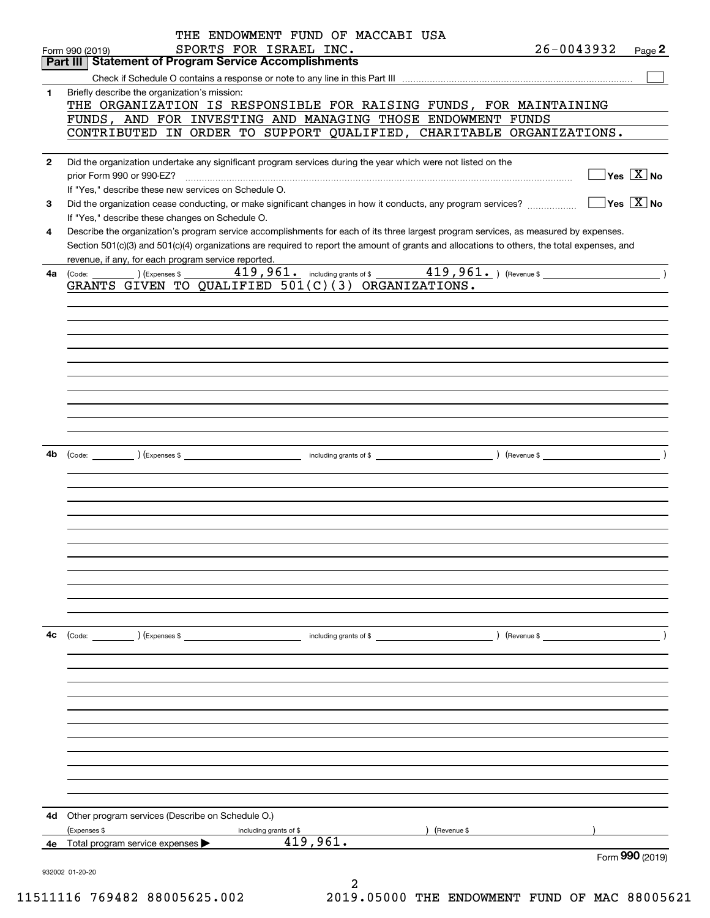|              | THE ENDOWMENT FUND OF MACCABI USA                                                                                                            |                |                                        |
|--------------|----------------------------------------------------------------------------------------------------------------------------------------------|----------------|----------------------------------------|
|              | SPORTS FOR ISRAEL INC.<br>Form 990 (2019)                                                                                                    | $26 - 0043932$ | Page $2$                               |
|              | <b>Part III Statement of Program Service Accomplishments</b>                                                                                 |                |                                        |
|              |                                                                                                                                              |                |                                        |
| 1            | Briefly describe the organization's mission:                                                                                                 |                |                                        |
|              | THE ORGANIZATION IS RESPONSIBLE FOR RAISING FUNDS, FOR MAINTAINING<br>FUNDS, AND FOR INVESTING AND MANAGING THOSE ENDOWMENT FUNDS            |                |                                        |
|              | CONTRIBUTED IN ORDER TO SUPPORT QUALIFIED, CHARITABLE ORGANIZATIONS.                                                                         |                |                                        |
|              |                                                                                                                                              |                |                                        |
| $\mathbf{2}$ | Did the organization undertake any significant program services during the year which were not listed on the                                 |                |                                        |
|              |                                                                                                                                              |                | $\exists$ Yes $\boxed{\text{X}}$ No    |
|              | If "Yes," describe these new services on Schedule O.                                                                                         |                |                                        |
| 3            | Did the organization cease conducting, or make significant changes in how it conducts, any program services?                                 |                | $\sqrt{}$ Yes $\sqrt{}$ X $\sqrt{}$ No |
|              | If "Yes," describe these changes on Schedule O.                                                                                              |                |                                        |
| 4            | Describe the organization's program service accomplishments for each of its three largest program services, as measured by expenses.         |                |                                        |
|              | Section 501(c)(3) and 501(c)(4) organizations are required to report the amount of grants and allocations to others, the total expenses, and |                |                                        |
|              | revenue, if any, for each program service reported.                                                                                          |                |                                        |
| 4a           | 419,961. including grants of \$219,961. (Revenue \$200)<br>(Code: ) (Expenses \$                                                             |                |                                        |
|              | GRANTS GIVEN TO QUALIFIED 501(C)(3) ORGANIZATIONS.                                                                                           |                |                                        |
|              |                                                                                                                                              |                |                                        |
|              |                                                                                                                                              |                |                                        |
|              |                                                                                                                                              |                |                                        |
|              |                                                                                                                                              |                |                                        |
|              |                                                                                                                                              |                |                                        |
|              |                                                                                                                                              |                |                                        |
|              |                                                                                                                                              |                |                                        |
|              |                                                                                                                                              |                |                                        |
|              |                                                                                                                                              |                |                                        |
|              |                                                                                                                                              |                |                                        |
|              |                                                                                                                                              |                |                                        |
| 4b           |                                                                                                                                              |                |                                        |
|              |                                                                                                                                              |                |                                        |
|              |                                                                                                                                              |                |                                        |
|              |                                                                                                                                              |                |                                        |
|              |                                                                                                                                              |                |                                        |
|              |                                                                                                                                              |                |                                        |
|              |                                                                                                                                              |                |                                        |
|              |                                                                                                                                              |                |                                        |
|              |                                                                                                                                              |                |                                        |
|              |                                                                                                                                              |                |                                        |
|              |                                                                                                                                              |                |                                        |
|              |                                                                                                                                              |                |                                        |
|              |                                                                                                                                              |                |                                        |
| 4с           |                                                                                                                                              |                |                                        |
|              |                                                                                                                                              |                |                                        |
|              |                                                                                                                                              |                |                                        |
|              |                                                                                                                                              |                |                                        |
|              |                                                                                                                                              |                |                                        |
|              |                                                                                                                                              |                |                                        |
|              |                                                                                                                                              |                |                                        |
|              |                                                                                                                                              |                |                                        |
|              |                                                                                                                                              |                |                                        |
|              |                                                                                                                                              |                |                                        |
|              |                                                                                                                                              |                |                                        |
|              |                                                                                                                                              |                |                                        |
|              |                                                                                                                                              |                |                                        |
| 4d           | Other program services (Describe on Schedule O.)                                                                                             |                |                                        |
|              | (Expenses \$<br>) (Revenue \$<br>including grants of \$                                                                                      |                |                                        |
| 4е           | 419,961.<br>Total program service expenses >                                                                                                 |                |                                        |
|              |                                                                                                                                              |                | Form 990 (2019)                        |
|              | 932002 01-20-20                                                                                                                              |                |                                        |
|              | 2                                                                                                                                            |                |                                        |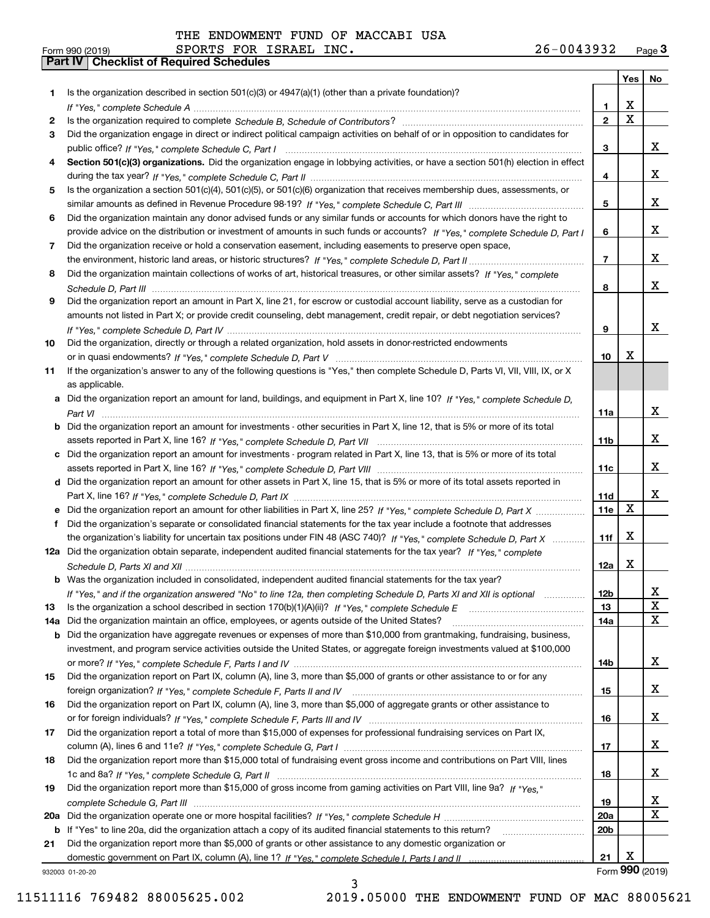|     |                                                                                                                                       |                 | Yes                     | No                      |
|-----|---------------------------------------------------------------------------------------------------------------------------------------|-----------------|-------------------------|-------------------------|
| 1.  | Is the organization described in section $501(c)(3)$ or $4947(a)(1)$ (other than a private foundation)?                               |                 |                         |                         |
|     |                                                                                                                                       | 1.              | X                       |                         |
| 2   |                                                                                                                                       | $\overline{2}$  | $\overline{\mathbf{x}}$ |                         |
| 3   | Did the organization engage in direct or indirect political campaign activities on behalf of or in opposition to candidates for       |                 |                         |                         |
|     |                                                                                                                                       | 3               |                         | x                       |
| 4   | Section 501(c)(3) organizations. Did the organization engage in lobbying activities, or have a section 501(h) election in effect      |                 |                         |                         |
|     |                                                                                                                                       | 4               |                         | x                       |
| 5   | Is the organization a section 501(c)(4), 501(c)(5), or 501(c)(6) organization that receives membership dues, assessments, or          |                 |                         |                         |
|     |                                                                                                                                       | 5               |                         | x                       |
| 6   | Did the organization maintain any donor advised funds or any similar funds or accounts for which donors have the right to             |                 |                         |                         |
|     | provide advice on the distribution or investment of amounts in such funds or accounts? If "Yes," complete Schedule D, Part I          | 6               |                         | x                       |
| 7   | Did the organization receive or hold a conservation easement, including easements to preserve open space,                             |                 |                         |                         |
|     |                                                                                                                                       | $\overline{7}$  |                         | X                       |
| 8   | Did the organization maintain collections of works of art, historical treasures, or other similar assets? If "Yes," complete          |                 |                         | x                       |
|     |                                                                                                                                       | 8               |                         |                         |
| 9   | Did the organization report an amount in Part X, line 21, for escrow or custodial account liability, serve as a custodian for         |                 |                         |                         |
|     | amounts not listed in Part X; or provide credit counseling, debt management, credit repair, or debt negotiation services?             |                 |                         | x                       |
|     |                                                                                                                                       | 9               |                         |                         |
| 10  | Did the organization, directly or through a related organization, hold assets in donor-restricted endowments                          | 10              | X                       |                         |
| 11  | If the organization's answer to any of the following questions is "Yes," then complete Schedule D, Parts VI, VIII, VIII, IX, or X     |                 |                         |                         |
|     | as applicable.                                                                                                                        |                 |                         |                         |
|     | a Did the organization report an amount for land, buildings, and equipment in Part X, line 10? If "Yes," complete Schedule D,         |                 |                         |                         |
|     |                                                                                                                                       | 11a             |                         | x                       |
|     | <b>b</b> Did the organization report an amount for investments - other securities in Part X, line 12, that is 5% or more of its total |                 |                         |                         |
|     |                                                                                                                                       | 11 <sub>b</sub> |                         | х                       |
|     | c Did the organization report an amount for investments - program related in Part X, line 13, that is 5% or more of its total         |                 |                         |                         |
|     |                                                                                                                                       | 11c             |                         | х                       |
|     | d Did the organization report an amount for other assets in Part X, line 15, that is 5% or more of its total assets reported in       |                 |                         |                         |
|     |                                                                                                                                       | 11d             |                         | х                       |
|     | e Did the organization report an amount for other liabilities in Part X, line 25? If "Yes," complete Schedule D, Part X               | 11e             | $\mathbf X$             |                         |
| f   | Did the organization's separate or consolidated financial statements for the tax year include a footnote that addresses               |                 |                         |                         |
|     | the organization's liability for uncertain tax positions under FIN 48 (ASC 740)? If "Yes," complete Schedule D, Part X                | 11f             | X                       |                         |
|     | 12a Did the organization obtain separate, independent audited financial statements for the tax year? If "Yes," complete               |                 |                         |                         |
|     |                                                                                                                                       | 12a             | X                       |                         |
|     | <b>b</b> Was the organization included in consolidated, independent audited financial statements for the tax year?                    |                 |                         |                         |
|     | If "Yes," and if the organization answered "No" to line 12a, then completing Schedule D, Parts XI and XII is optional                 | 12D             |                         | ᅀ                       |
| 13  |                                                                                                                                       | 13              |                         | $\mathbf X$             |
| 14a | Did the organization maintain an office, employees, or agents outside of the United States?                                           | 14a             |                         | $\mathbf X$             |
|     | <b>b</b> Did the organization have aggregate revenues or expenses of more than \$10,000 from grantmaking, fundraising, business,      |                 |                         |                         |
|     | investment, and program service activities outside the United States, or aggregate foreign investments valued at \$100,000            |                 |                         |                         |
|     |                                                                                                                                       | 14b             |                         | x                       |
| 15  | Did the organization report on Part IX, column (A), line 3, more than \$5,000 of grants or other assistance to or for any             |                 |                         |                         |
|     |                                                                                                                                       | 15              |                         | x                       |
| 16  | Did the organization report on Part IX, column (A), line 3, more than \$5,000 of aggregate grants or other assistance to              |                 |                         |                         |
|     |                                                                                                                                       | 16              |                         | X                       |
| 17  | Did the organization report a total of more than \$15,000 of expenses for professional fundraising services on Part IX,               |                 |                         |                         |
|     |                                                                                                                                       | 17              |                         | X                       |
| 18  | Did the organization report more than \$15,000 total of fundraising event gross income and contributions on Part VIII, lines          |                 |                         |                         |
|     |                                                                                                                                       | 18              |                         | x                       |
| 19  | Did the organization report more than \$15,000 of gross income from gaming activities on Part VIII, line 9a? If "Yes."                |                 |                         |                         |
|     |                                                                                                                                       | 19              |                         | $\overline{\mathbf{x}}$ |
|     |                                                                                                                                       | 20a             |                         | $\mathbf X$             |
|     | b If "Yes" to line 20a, did the organization attach a copy of its audited financial statements to this return?                        | 20 <sub>b</sub> |                         |                         |
| 21  | Did the organization report more than \$5,000 of grants or other assistance to any domestic organization or                           |                 |                         |                         |
|     |                                                                                                                                       | 21              | X                       |                         |
|     | 932003 01-20-20                                                                                                                       |                 |                         | Form 990 (2019)         |

932003 01-20-20

11511116 769482 88005625.002 2019.05000 THE ENDOWMENT FUND OF MAC 88005621

3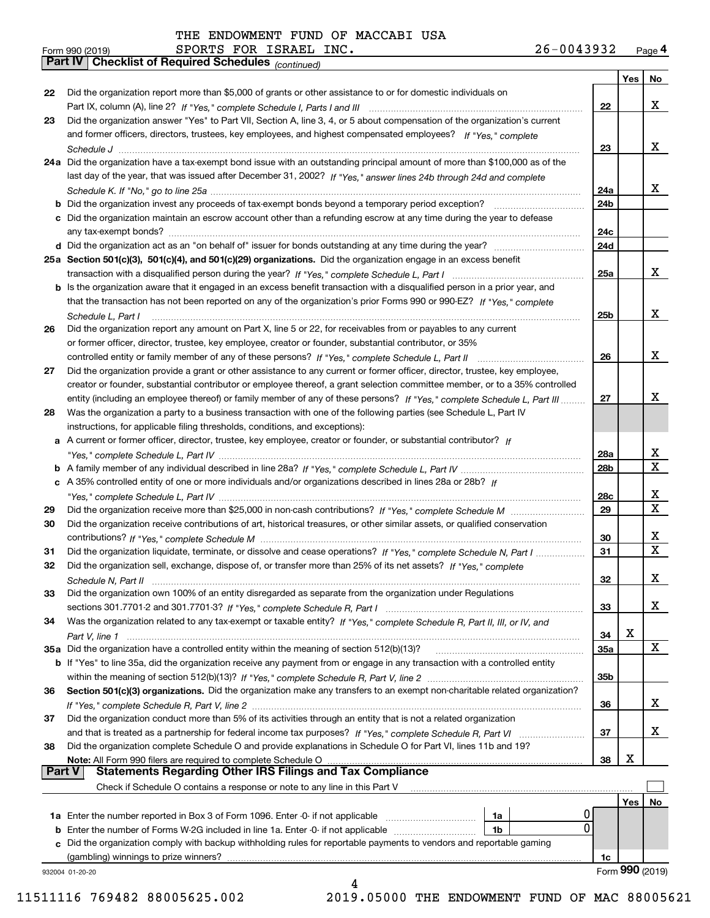| Form 990 (2019) |                                                              |  | SPORTS FOR ISRAEL INC. | 26-0043932 | Page $4$ |
|-----------------|--------------------------------------------------------------|--|------------------------|------------|----------|
|                 | <b>Part IV   Checklist of Required Schedules (continued)</b> |  |                        |            |          |

|               | <b>Part IV</b>   GNECKIISTOI REQUITED SCREDUIES $_{(Continued)}$                                                                                                                                                                                        |                 |     |                 |
|---------------|---------------------------------------------------------------------------------------------------------------------------------------------------------------------------------------------------------------------------------------------------------|-----------------|-----|-----------------|
|               |                                                                                                                                                                                                                                                         |                 | Yes | No              |
| 22            | Did the organization report more than \$5,000 of grants or other assistance to or for domestic individuals on                                                                                                                                           |                 |     |                 |
|               |                                                                                                                                                                                                                                                         | 22              |     | x               |
| 23            | Did the organization answer "Yes" to Part VII, Section A, line 3, 4, or 5 about compensation of the organization's current                                                                                                                              |                 |     |                 |
|               | and former officers, directors, trustees, key employees, and highest compensated employees? If "Yes," complete                                                                                                                                          | 23              |     | x               |
|               | 24a Did the organization have a tax-exempt bond issue with an outstanding principal amount of more than \$100,000 as of the                                                                                                                             |                 |     |                 |
|               | last day of the year, that was issued after December 31, 2002? If "Yes," answer lines 24b through 24d and complete                                                                                                                                      |                 |     |                 |
|               |                                                                                                                                                                                                                                                         | 24a             |     | x               |
|               | <b>b</b> Did the organization invest any proceeds of tax-exempt bonds beyond a temporary period exception?                                                                                                                                              | 24b             |     |                 |
|               | c Did the organization maintain an escrow account other than a refunding escrow at any time during the year to defease                                                                                                                                  |                 |     |                 |
|               |                                                                                                                                                                                                                                                         | 24c             |     |                 |
|               |                                                                                                                                                                                                                                                         | 24d             |     |                 |
|               | 25a Section 501(c)(3), 501(c)(4), and 501(c)(29) organizations. Did the organization engage in an excess benefit                                                                                                                                        |                 |     |                 |
|               |                                                                                                                                                                                                                                                         | 25a             |     | X               |
|               | b Is the organization aware that it engaged in an excess benefit transaction with a disqualified person in a prior year, and                                                                                                                            |                 |     |                 |
|               | that the transaction has not been reported on any of the organization's prior Forms 990 or 990-EZ? If "Yes," complete                                                                                                                                   |                 |     |                 |
|               | Schedule L, Part I                                                                                                                                                                                                                                      | 25b             |     | x               |
| 26            | Did the organization report any amount on Part X, line 5 or 22, for receivables from or payables to any current                                                                                                                                         |                 |     |                 |
|               | or former officer, director, trustee, key employee, creator or founder, substantial contributor, or 35%                                                                                                                                                 |                 |     |                 |
|               |                                                                                                                                                                                                                                                         | 26              |     | x               |
| 27            | Did the organization provide a grant or other assistance to any current or former officer, director, trustee, key employee,                                                                                                                             |                 |     |                 |
|               | creator or founder, substantial contributor or employee thereof, a grant selection committee member, or to a 35% controlled<br>entity (including an employee thereof) or family member of any of these persons? If "Yes," complete Schedule L, Part III | 27              |     | x               |
| 28            | Was the organization a party to a business transaction with one of the following parties (see Schedule L, Part IV                                                                                                                                       |                 |     |                 |
|               | instructions, for applicable filing thresholds, conditions, and exceptions):                                                                                                                                                                            |                 |     |                 |
|               | a A current or former officer, director, trustee, key employee, creator or founder, or substantial contributor? If                                                                                                                                      |                 |     |                 |
|               |                                                                                                                                                                                                                                                         | 28a             |     | x               |
|               |                                                                                                                                                                                                                                                         | 28 <sub>b</sub> |     | X               |
|               | c A 35% controlled entity of one or more individuals and/or organizations described in lines 28a or 28b? If                                                                                                                                             |                 |     |                 |
|               |                                                                                                                                                                                                                                                         | 28c             |     | x               |
| 29            |                                                                                                                                                                                                                                                         | 29              |     | X               |
| 30            | Did the organization receive contributions of art, historical treasures, or other similar assets, or qualified conservation                                                                                                                             |                 |     |                 |
|               |                                                                                                                                                                                                                                                         | 30              |     | x               |
| 31            | Did the organization liquidate, terminate, or dissolve and cease operations? If "Yes," complete Schedule N, Part I                                                                                                                                      | 31              |     | X               |
| 32            | Did the organization sell, exchange, dispose of, or transfer more than 25% of its net assets? If "Yes," complete                                                                                                                                        |                 |     |                 |
|               | Schedule N, Part II                                                                                                                                                                                                                                     | 32              |     | х               |
| 33            | Did the organization own 100% of an entity disregarded as separate from the organization under Regulations                                                                                                                                              |                 |     |                 |
|               |                                                                                                                                                                                                                                                         | 33              |     | x               |
| 34            | Was the organization related to any tax-exempt or taxable entity? If "Yes," complete Schedule R, Part II, III, or IV, and                                                                                                                               |                 | X   |                 |
|               |                                                                                                                                                                                                                                                         | 34              |     | X               |
|               | 35a Did the organization have a controlled entity within the meaning of section 512(b)(13)?<br><b>b</b> If "Yes" to line 35a, did the organization receive any payment from or engage in any transaction with a controlled entity                       | 35a             |     |                 |
|               |                                                                                                                                                                                                                                                         | 35b             |     |                 |
| 36            | Section 501(c)(3) organizations. Did the organization make any transfers to an exempt non-charitable related organization?                                                                                                                              |                 |     |                 |
|               |                                                                                                                                                                                                                                                         | 36              |     | x               |
| 37            | Did the organization conduct more than 5% of its activities through an entity that is not a related organization                                                                                                                                        |                 |     |                 |
|               | and that is treated as a partnership for federal income tax purposes? If "Yes," complete Schedule R, Part VI                                                                                                                                            | 37              |     | x               |
| 38            | Did the organization complete Schedule O and provide explanations in Schedule O for Part VI, lines 11b and 19?                                                                                                                                          |                 |     |                 |
|               | Note: All Form 990 filers are required to complete Schedule O                                                                                                                                                                                           | 38              | X   |                 |
| <b>Part V</b> | <b>Statements Regarding Other IRS Filings and Tax Compliance</b>                                                                                                                                                                                        |                 |     |                 |
|               | Check if Schedule O contains a response or note to any line in this Part V                                                                                                                                                                              |                 |     |                 |
|               |                                                                                                                                                                                                                                                         |                 | Yes | No              |
|               | U<br>1a                                                                                                                                                                                                                                                 |                 |     |                 |
|               | 0<br><b>b</b> Enter the number of Forms W-2G included in line 1a. Enter -0- if not applicable<br>1b                                                                                                                                                     |                 |     |                 |
|               | c Did the organization comply with backup withholding rules for reportable payments to vendors and reportable gaming                                                                                                                                    |                 |     |                 |
|               | (gambling) winnings to prize winners?                                                                                                                                                                                                                   | 1c              |     | Form 990 (2019) |
|               | 932004 01-20-20                                                                                                                                                                                                                                         |                 |     |                 |
|               |                                                                                                                                                                                                                                                         |                 |     |                 |

11511116 769482 88005625.002 2019.05000 THE ENDOWMENT FUND OF MAC 88005621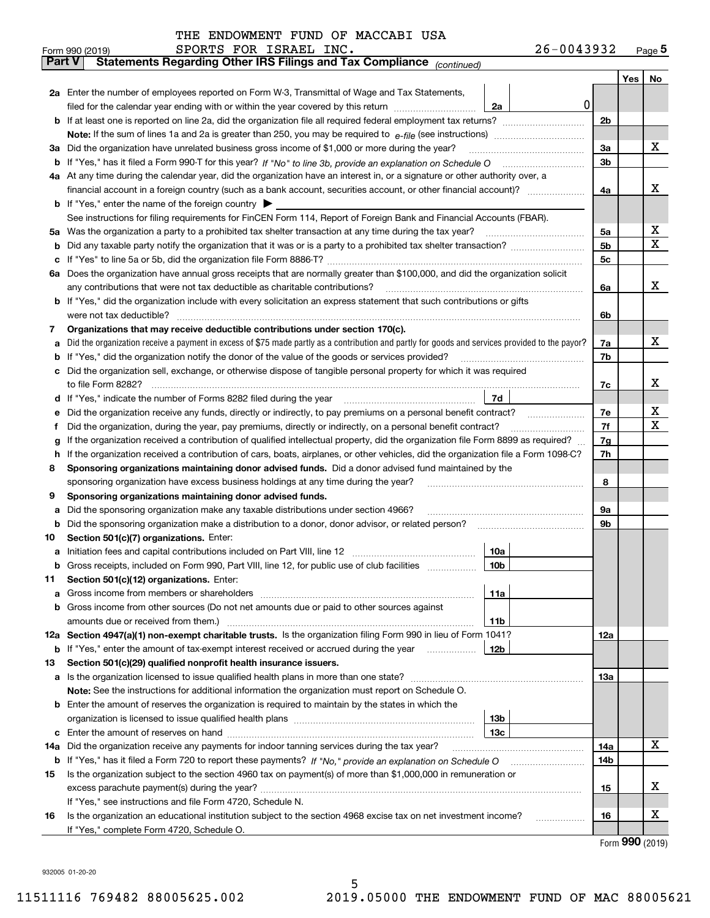| THE ENDOWMENT FUND OF MACCABI USA |  |  |
|-----------------------------------|--|--|
|-----------------------------------|--|--|

|               | 26-0043932<br>SPORTS FOR ISRAEL INC.<br>Form 990 (2019)                                                                                                                            |     |         | $Page$ <sup>5</sup> |  |  |  |  |  |  |  |
|---------------|------------------------------------------------------------------------------------------------------------------------------------------------------------------------------------|-----|---------|---------------------|--|--|--|--|--|--|--|
| <b>Part V</b> | Statements Regarding Other IRS Filings and Tax Compliance (continued)                                                                                                              |     |         |                     |  |  |  |  |  |  |  |
|               |                                                                                                                                                                                    |     | Yes $ $ | No                  |  |  |  |  |  |  |  |
|               | 2a Enter the number of employees reported on Form W-3, Transmittal of Wage and Tax Statements,                                                                                     |     |         |                     |  |  |  |  |  |  |  |
|               | 0<br>filed for the calendar year ending with or within the year covered by this return<br>2a                                                                                       |     |         |                     |  |  |  |  |  |  |  |
|               |                                                                                                                                                                                    |     |         |                     |  |  |  |  |  |  |  |
|               |                                                                                                                                                                                    |     |         |                     |  |  |  |  |  |  |  |
|               | 3a Did the organization have unrelated business gross income of \$1,000 or more during the year?                                                                                   |     |         |                     |  |  |  |  |  |  |  |
|               |                                                                                                                                                                                    |     |         |                     |  |  |  |  |  |  |  |
|               | 4a At any time during the calendar year, did the organization have an interest in, or a signature or other authority over, a                                                       |     |         |                     |  |  |  |  |  |  |  |
|               |                                                                                                                                                                                    | 4a  |         | х                   |  |  |  |  |  |  |  |
|               | <b>b</b> If "Yes," enter the name of the foreign country $\blacktriangleright$                                                                                                     |     |         |                     |  |  |  |  |  |  |  |
|               | See instructions for filing requirements for FinCEN Form 114, Report of Foreign Bank and Financial Accounts (FBAR).                                                                |     |         |                     |  |  |  |  |  |  |  |
|               | 5a Was the organization a party to a prohibited tax shelter transaction at any time during the tax year?                                                                           | 5a  |         | x                   |  |  |  |  |  |  |  |
| b             |                                                                                                                                                                                    | 5b  |         | X                   |  |  |  |  |  |  |  |
| c             |                                                                                                                                                                                    | 5c  |         |                     |  |  |  |  |  |  |  |
|               | 6a Does the organization have annual gross receipts that are normally greater than \$100,000, and did the organization solicit                                                     |     |         |                     |  |  |  |  |  |  |  |
|               | any contributions that were not tax deductible as charitable contributions?                                                                                                        | 6a  |         | x                   |  |  |  |  |  |  |  |
|               | <b>b</b> If "Yes," did the organization include with every solicitation an express statement that such contributions or gifts                                                      |     |         |                     |  |  |  |  |  |  |  |
|               | were not tax deductible?                                                                                                                                                           | 6b  |         |                     |  |  |  |  |  |  |  |
| 7             | Organizations that may receive deductible contributions under section 170(c).                                                                                                      |     |         |                     |  |  |  |  |  |  |  |
| a             | Did the organization receive a payment in excess of \$75 made partly as a contribution and partly for goods and services provided to the payor?                                    | 7a  |         | х                   |  |  |  |  |  |  |  |
|               | <b>b</b> If "Yes," did the organization notify the donor of the value of the goods or services provided?                                                                           | 7b  |         |                     |  |  |  |  |  |  |  |
|               | c Did the organization sell, exchange, or otherwise dispose of tangible personal property for which it was required                                                                |     |         |                     |  |  |  |  |  |  |  |
|               |                                                                                                                                                                                    | 7c  |         | х                   |  |  |  |  |  |  |  |
|               | 7d                                                                                                                                                                                 |     |         |                     |  |  |  |  |  |  |  |
| е             | Did the organization receive any funds, directly or indirectly, to pay premiums on a personal benefit contract?                                                                    | 7е  |         | х                   |  |  |  |  |  |  |  |
| f             | Did the organization, during the year, pay premiums, directly or indirectly, on a personal benefit contract?                                                                       | 7f  |         | х                   |  |  |  |  |  |  |  |
| g             | If the organization received a contribution of qualified intellectual property, did the organization file Form 8899 as required?                                                   | 7g  |         |                     |  |  |  |  |  |  |  |
| h.            | If the organization received a contribution of cars, boats, airplanes, or other vehicles, did the organization file a Form 1098-C?                                                 | 7h  |         |                     |  |  |  |  |  |  |  |
| 8             | Sponsoring organizations maintaining donor advised funds. Did a donor advised fund maintained by the                                                                               |     |         |                     |  |  |  |  |  |  |  |
|               | sponsoring organization have excess business holdings at any time during the year?                                                                                                 | 8   |         |                     |  |  |  |  |  |  |  |
| 9             | Sponsoring organizations maintaining donor advised funds.                                                                                                                          |     |         |                     |  |  |  |  |  |  |  |
| а             | Did the sponsoring organization make any taxable distributions under section 4966?                                                                                                 | 9а  |         |                     |  |  |  |  |  |  |  |
| b             | Did the sponsoring organization make a distribution to a donor, donor advisor, or related person?                                                                                  | 9b  |         |                     |  |  |  |  |  |  |  |
| 10            | Section 501(c)(7) organizations. Enter:                                                                                                                                            |     |         |                     |  |  |  |  |  |  |  |
|               | 10a                                                                                                                                                                                |     |         |                     |  |  |  |  |  |  |  |
|               | 10b <br>Gross receipts, included on Form 990, Part VIII, line 12, for public use of club facilities                                                                                |     |         |                     |  |  |  |  |  |  |  |
| 11            | Section 501(c)(12) organizations. Enter:                                                                                                                                           |     |         |                     |  |  |  |  |  |  |  |
| a             | Gross income from members or shareholders<br>11a                                                                                                                                   |     |         |                     |  |  |  |  |  |  |  |
|               | b Gross income from other sources (Do not net amounts due or paid to other sources against                                                                                         |     |         |                     |  |  |  |  |  |  |  |
|               | 11b<br>12a Section 4947(a)(1) non-exempt charitable trusts. Is the organization filing Form 990 in lieu of Form 1041?                                                              |     |         |                     |  |  |  |  |  |  |  |
|               | 12b                                                                                                                                                                                | 12a |         |                     |  |  |  |  |  |  |  |
| 13            | <b>b</b> If "Yes," enter the amount of tax-exempt interest received or accrued during the year <i>manument</i><br>Section 501(c)(29) qualified nonprofit health insurance issuers. |     |         |                     |  |  |  |  |  |  |  |
| a             | Is the organization licensed to issue qualified health plans in more than one state?                                                                                               | 13а |         |                     |  |  |  |  |  |  |  |
|               | Note: See the instructions for additional information the organization must report on Schedule O.                                                                                  |     |         |                     |  |  |  |  |  |  |  |
|               | <b>b</b> Enter the amount of reserves the organization is required to maintain by the states in which the                                                                          |     |         |                     |  |  |  |  |  |  |  |
|               | 13b                                                                                                                                                                                |     |         |                     |  |  |  |  |  |  |  |
|               | 13с                                                                                                                                                                                |     |         |                     |  |  |  |  |  |  |  |
|               | 14a Did the organization receive any payments for indoor tanning services during the tax year?                                                                                     | 14a |         | х                   |  |  |  |  |  |  |  |
|               | <b>b</b> If "Yes," has it filed a Form 720 to report these payments? If "No," provide an explanation on Schedule O                                                                 | 14b |         |                     |  |  |  |  |  |  |  |
| 15            | Is the organization subject to the section 4960 tax on payment(s) of more than \$1,000,000 in remuneration or                                                                      |     |         |                     |  |  |  |  |  |  |  |
|               |                                                                                                                                                                                    | 15  |         | x                   |  |  |  |  |  |  |  |
|               | If "Yes," see instructions and file Form 4720, Schedule N.                                                                                                                         |     |         |                     |  |  |  |  |  |  |  |
| 16            | Is the organization an educational institution subject to the section 4968 excise tax on net investment income?                                                                    | 16  |         | x                   |  |  |  |  |  |  |  |
|               | If "Yes," complete Form 4720, Schedule O.                                                                                                                                          |     |         |                     |  |  |  |  |  |  |  |
|               |                                                                                                                                                                                    |     |         |                     |  |  |  |  |  |  |  |

Form (2019) **990**

932005 01-20-20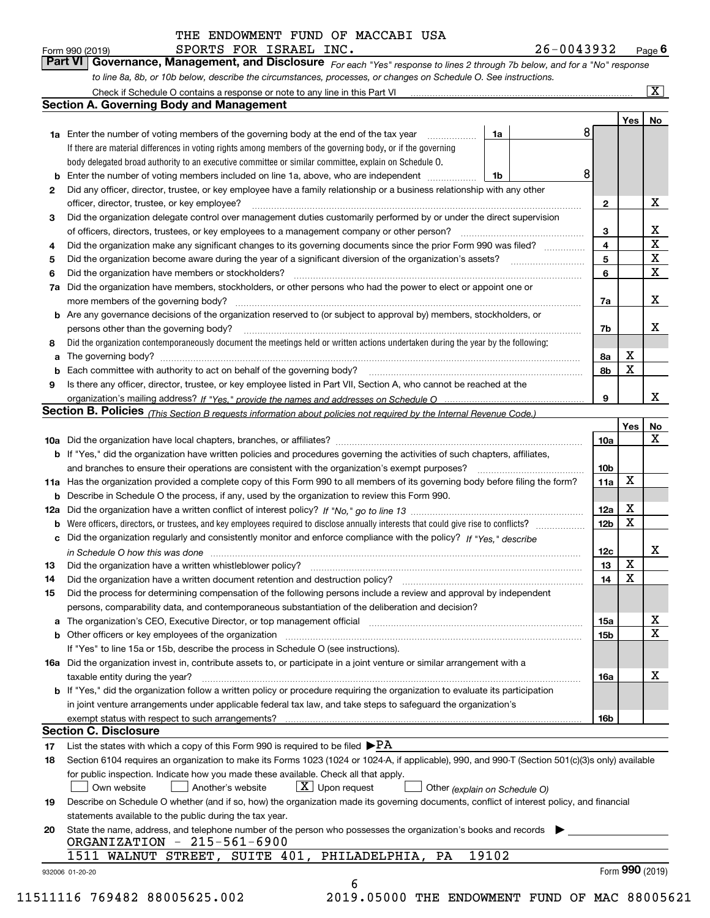SPORTS FOR ISRAEL INC. 26-0043932

*For each "Yes" response to lines 2 through 7b below, and for a "No" response to line 8a, 8b, or 10b below, describe the circumstances, processes, or changes on Schedule O. See instructions.* Form 990 (2019) **CONDICT BEORTS FOR ISRAEL INC.**<br>**Part VI Governance, Management, and Disclosure** For each "Yes" response to lines 2 through 7b below, and for a "No" response

|    | <b>1a</b> Enter the number of voting members of the governing body at the end of the tax year                                                                                                                                  | 1a    | 8                       | Yes             | No                      |
|----|--------------------------------------------------------------------------------------------------------------------------------------------------------------------------------------------------------------------------------|-------|-------------------------|-----------------|-------------------------|
|    | If there are material differences in voting rights among members of the governing body, or if the governing                                                                                                                    |       |                         |                 |                         |
|    | body delegated broad authority to an executive committee or similar committee, explain on Schedule O.                                                                                                                          |       |                         |                 |                         |
| b  | Enter the number of voting members included on line 1a, above, who are independent                                                                                                                                             | 1b    | 8                       |                 |                         |
| 2  | Did any officer, director, trustee, or key employee have a family relationship or a business relationship with any other                                                                                                       |       |                         |                 |                         |
|    | officer, director, trustee, or key employee?                                                                                                                                                                                   |       | $\mathbf{2}$            |                 | X                       |
| З  | Did the organization delegate control over management duties customarily performed by or under the direct supervision                                                                                                          |       |                         |                 |                         |
|    | of officers, directors, trustees, or key employees to a management company or other person?                                                                                                                                    |       | 3                       |                 | X                       |
| 4  | Did the organization make any significant changes to its governing documents since the prior Form 990 was filed?                                                                                                               |       | $\overline{\mathbf{4}}$ |                 | $\overline{\mathbf{x}}$ |
| 5  |                                                                                                                                                                                                                                |       | 5                       |                 | $\overline{\mathbf{x}}$ |
| 6  | Did the organization have members or stockholders?                                                                                                                                                                             |       | 6                       |                 | $\mathbf X$             |
| 7a | Did the organization have members, stockholders, or other persons who had the power to elect or appoint one or                                                                                                                 |       |                         |                 |                         |
|    |                                                                                                                                                                                                                                |       | 7a                      |                 | X                       |
|    | <b>b</b> Are any governance decisions of the organization reserved to (or subject to approval by) members, stockholders, or                                                                                                    |       |                         |                 |                         |
|    | persons other than the governing body?                                                                                                                                                                                         |       | 7b                      |                 | х                       |
| 8  | Did the organization contemporaneously document the meetings held or written actions undertaken during the year by the following:                                                                                              |       |                         |                 |                         |
| a  |                                                                                                                                                                                                                                |       | 8а                      | X               |                         |
| b  |                                                                                                                                                                                                                                |       | 8b                      | х               |                         |
| 9  | Is there any officer, director, trustee, or key employee listed in Part VII, Section A, who cannot be reached at the                                                                                                           |       |                         |                 |                         |
|    |                                                                                                                                                                                                                                |       | 9                       |                 | X                       |
|    | Section B. Policies (This Section B requests information about policies not required by the Internal Revenue Code.)                                                                                                            |       |                         |                 |                         |
|    |                                                                                                                                                                                                                                |       |                         | Yes             | No                      |
|    |                                                                                                                                                                                                                                |       | 10a                     |                 | X                       |
|    | <b>b</b> If "Yes," did the organization have written policies and procedures governing the activities of such chapters, affiliates,                                                                                            |       |                         |                 |                         |
|    |                                                                                                                                                                                                                                |       | 10 <sub>b</sub>         |                 |                         |
|    | 11a Has the organization provided a complete copy of this Form 990 to all members of its governing body before filing the form?                                                                                                |       | 11a                     | X               |                         |
|    | <b>b</b> Describe in Schedule O the process, if any, used by the organization to review this Form 990.                                                                                                                         |       |                         |                 |                         |
|    |                                                                                                                                                                                                                                |       | 12a                     | X               |                         |
|    | <b>b</b> Were officers, directors, or trustees, and key employees required to disclose annually interests that could give rise to conflicts?                                                                                   |       | 12 <sub>b</sub>         | x               |                         |
|    | c Did the organization regularly and consistently monitor and enforce compliance with the policy? If "Yes," describe                                                                                                           |       |                         |                 |                         |
|    | in Schedule O how this was done manufactured and continuum control of the Schedule O how this was done manufactured and continuum control of the Schedule O how this was done                                                  |       | 12c                     |                 | X                       |
| 13 |                                                                                                                                                                                                                                |       | 13                      | X               |                         |
| 14 |                                                                                                                                                                                                                                |       | 14                      | X               |                         |
| 15 | Did the process for determining compensation of the following persons include a review and approval by independent                                                                                                             |       |                         |                 |                         |
|    | persons, comparability data, and contemporaneous substantiation of the deliberation and decision?                                                                                                                              |       |                         |                 |                         |
|    | a The organization's CEO, Executive Director, or top management official manufactured content content of the organization's CEO, Executive Director, or top management official manufactured content of the state of the state |       | 15a                     |                 | х                       |
|    |                                                                                                                                                                                                                                |       | 15b                     |                 | X                       |
|    | If "Yes" to line 15a or 15b, describe the process in Schedule O (see instructions).                                                                                                                                            |       |                         |                 |                         |
|    | 16a Did the organization invest in, contribute assets to, or participate in a joint venture or similar arrangement with a                                                                                                      |       |                         |                 |                         |
|    | taxable entity during the year?                                                                                                                                                                                                |       | 16a                     |                 | X                       |
|    | b If "Yes," did the organization follow a written policy or procedure requiring the organization to evaluate its participation                                                                                                 |       |                         |                 |                         |
|    | in joint venture arrangements under applicable federal tax law, and take steps to safeguard the organization's                                                                                                                 |       |                         |                 |                         |
|    | exempt status with respect to such arrangements?                                                                                                                                                                               |       | 16b                     |                 |                         |
|    | <b>Section C. Disclosure</b>                                                                                                                                                                                                   |       |                         |                 |                         |
| 17 | List the states with which a copy of this Form 990 is required to be filed $\blacktriangleright$ PA                                                                                                                            |       |                         |                 |                         |
| 18 | Section 6104 requires an organization to make its Forms 1023 (1024 or 1024-A, if applicable), 990, and 990-T (Section 501(c)(3)s only) available                                                                               |       |                         |                 |                         |
|    | for public inspection. Indicate how you made these available. Check all that apply.                                                                                                                                            |       |                         |                 |                         |
|    | $X$ Upon request<br>Own website<br>Another's website<br>Other (explain on Schedule O)                                                                                                                                          |       |                         |                 |                         |
| 19 | Describe on Schedule O whether (and if so, how) the organization made its governing documents, conflict of interest policy, and financial                                                                                      |       |                         |                 |                         |
|    | statements available to the public during the tax year.                                                                                                                                                                        |       |                         |                 |                         |
| 20 | State the name, address, and telephone number of the person who possesses the organization's books and records                                                                                                                 |       |                         |                 |                         |
|    | ORGANIZATION - 215-561-6900                                                                                                                                                                                                    |       |                         |                 |                         |
|    | 1511 WALNUT STREET, SUITE 401,<br>PHILADELPHIA,<br>PA                                                                                                                                                                          | 19102 |                         |                 |                         |
|    |                                                                                                                                                                                                                                |       |                         | Form 990 (2019) |                         |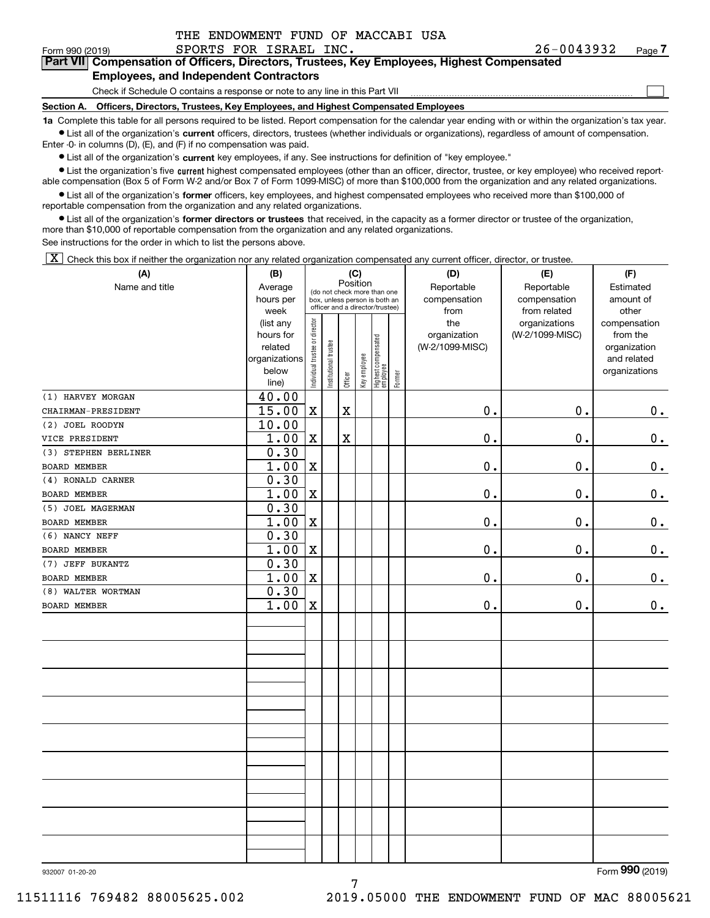| THE ENDOWMENT FUND OF MACCABI USA |  |  |
|-----------------------------------|--|--|
|                                   |  |  |

 $\mathcal{L}^{\text{max}}$ 

#### Form 990 (2019) SPORTS FOR ISRAEL INC. 26-0043932 <sub>Page</sub> **7Part VII Compensation of Officers, Directors, Trustees, Key Employees, Highest Compensated Employees, and Independent Contractors**

Check if Schedule O contains a response or note to any line in this Part VII

**Section A. Officers, Directors, Trustees, Key Employees, and Highest Compensated Employees**

**1a**  Complete this table for all persons required to be listed. Report compensation for the calendar year ending with or within the organization's tax year. **•** List all of the organization's current officers, directors, trustees (whether individuals or organizations), regardless of amount of compensation.

Enter -0- in columns (D), (E), and (F) if no compensation was paid.

 $\bullet$  List all of the organization's  $\,$ current key employees, if any. See instructions for definition of "key employee."

**•** List the organization's five current highest compensated employees (other than an officer, director, trustee, or key employee) who received reportable compensation (Box 5 of Form W-2 and/or Box 7 of Form 1099-MISC) of more than \$100,000 from the organization and any related organizations.

**•** List all of the organization's former officers, key employees, and highest compensated employees who received more than \$100,000 of reportable compensation from the organization and any related organizations.

**former directors or trustees**  ¥ List all of the organization's that received, in the capacity as a former director or trustee of the organization, more than \$10,000 of reportable compensation from the organization and any related organizations.

See instructions for the order in which to list the persons above.

 $\boxed{\textbf{X}}$  Check this box if neither the organization nor any related organization compensated any current officer, director, or trustee.

| (A)                  | (B)                  |                                |                       |             | (C)          |                                                                  |        | (D)                             | (E)             | (F)                         |  |  |  |
|----------------------|----------------------|--------------------------------|-----------------------|-------------|--------------|------------------------------------------------------------------|--------|---------------------------------|-----------------|-----------------------------|--|--|--|
| Name and title       | Average              |                                |                       | Position    |              | (do not check more than one                                      |        | Reportable                      | Reportable      | Estimated                   |  |  |  |
|                      | hours per            |                                |                       |             |              | box, unless person is both an<br>officer and a director/trustee) |        | compensation                    | compensation    | amount of                   |  |  |  |
|                      | week                 |                                |                       |             |              |                                                                  |        | from                            | from related    | other                       |  |  |  |
|                      | (list any            |                                |                       |             |              |                                                                  |        | the                             | organizations   | compensation                |  |  |  |
|                      | hours for<br>related |                                |                       |             |              |                                                                  |        | organization<br>(W-2/1099-MISC) | (W-2/1099-MISC) | from the                    |  |  |  |
|                      | organizations        |                                |                       |             |              |                                                                  |        |                                 |                 | organization<br>and related |  |  |  |
|                      | below                |                                |                       |             |              |                                                                  |        |                                 |                 | organizations               |  |  |  |
|                      | line)                | Individual trustee or director | Institutional trustee | Officer     | Key employee | Highest compensated<br>employee                                  | Former |                                 |                 |                             |  |  |  |
| (1) HARVEY MORGAN    | 40.00                |                                |                       |             |              |                                                                  |        |                                 |                 |                             |  |  |  |
| CHAIRMAN-PRESIDENT   | 15.00                | $\mathbf X$                    |                       | $\mathbf X$ |              |                                                                  |        | $\mathbf 0$ .                   | 0.              | 0.                          |  |  |  |
| (2) JOEL ROODYN      | 10.00                |                                |                       |             |              |                                                                  |        |                                 |                 |                             |  |  |  |
| VICE PRESIDENT       | 1.00                 | $\mathbf X$                    |                       | $\mathbf X$ |              |                                                                  |        | $\mathbf 0$ .                   | 0.              | $0_{.}$                     |  |  |  |
| (3) STEPHEN BERLINER | 0.30                 |                                |                       |             |              |                                                                  |        |                                 |                 |                             |  |  |  |
| <b>BOARD MEMBER</b>  | 1.00                 | $\mathbf X$                    |                       |             |              |                                                                  |        | $\mathfrak o$ .                 | $\mathbf 0$ .   | $0_{.}$                     |  |  |  |
| (4) RONALD CARNER    | 0.30                 |                                |                       |             |              |                                                                  |        |                                 |                 |                             |  |  |  |
| <b>BOARD MEMBER</b>  | 1.00                 | $\mathbf X$                    |                       |             |              |                                                                  |        | $\mathfrak o$ .                 | 0.              | $0_{.}$                     |  |  |  |
| (5) JOEL MAGERMAN    | 0.30                 |                                |                       |             |              |                                                                  |        |                                 |                 |                             |  |  |  |
| <b>BOARD MEMBER</b>  | 1.00                 | $\mathbf X$                    |                       |             |              |                                                                  |        | $\mathfrak o$ .                 | 0.              | $0_{.}$                     |  |  |  |
| (6) NANCY NEFF       | 0.30                 |                                |                       |             |              |                                                                  |        |                                 |                 |                             |  |  |  |
| BOARD MEMBER         | 1.00                 | $\mathbf X$                    |                       |             |              |                                                                  |        | $\mathbf 0$ .                   | 0.              | $0_{.}$                     |  |  |  |
| (7) JEFF BUKANTZ     | 0.30                 |                                |                       |             |              |                                                                  |        |                                 |                 |                             |  |  |  |
| BOARD MEMBER         | 1.00                 | $\mathbf X$                    |                       |             |              |                                                                  |        | $\mathbf 0$ .                   | 0.              | 0.                          |  |  |  |
| (8) WALTER WORTMAN   | 0.30                 |                                |                       |             |              |                                                                  |        |                                 |                 |                             |  |  |  |
| BOARD MEMBER         | 1.00                 | $\mathbf x$                    |                       |             |              |                                                                  |        | $\mathbf 0$ .                   | 0.              | 0.                          |  |  |  |
|                      |                      |                                |                       |             |              |                                                                  |        |                                 |                 |                             |  |  |  |
|                      |                      |                                |                       |             |              |                                                                  |        |                                 |                 |                             |  |  |  |
|                      |                      |                                |                       |             |              |                                                                  |        |                                 |                 |                             |  |  |  |
|                      |                      |                                |                       |             |              |                                                                  |        |                                 |                 |                             |  |  |  |
|                      |                      |                                |                       |             |              |                                                                  |        |                                 |                 |                             |  |  |  |
|                      |                      |                                |                       |             |              |                                                                  |        |                                 |                 |                             |  |  |  |
|                      |                      |                                |                       |             |              |                                                                  |        |                                 |                 |                             |  |  |  |
|                      |                      |                                |                       |             |              |                                                                  |        |                                 |                 |                             |  |  |  |
|                      |                      |                                |                       |             |              |                                                                  |        |                                 |                 |                             |  |  |  |
|                      |                      |                                |                       |             |              |                                                                  |        |                                 |                 |                             |  |  |  |
|                      |                      |                                |                       |             |              |                                                                  |        |                                 |                 |                             |  |  |  |
|                      |                      |                                |                       |             |              |                                                                  |        |                                 |                 |                             |  |  |  |
|                      |                      |                                |                       |             |              |                                                                  |        |                                 |                 |                             |  |  |  |
|                      |                      |                                |                       |             |              |                                                                  |        |                                 |                 |                             |  |  |  |
|                      |                      |                                |                       |             |              |                                                                  |        |                                 |                 |                             |  |  |  |
|                      |                      |                                |                       |             |              |                                                                  |        |                                 |                 |                             |  |  |  |
|                      |                      |                                |                       |             |              |                                                                  |        |                                 |                 |                             |  |  |  |

932007 01-20-20

Form (2019) **990**

7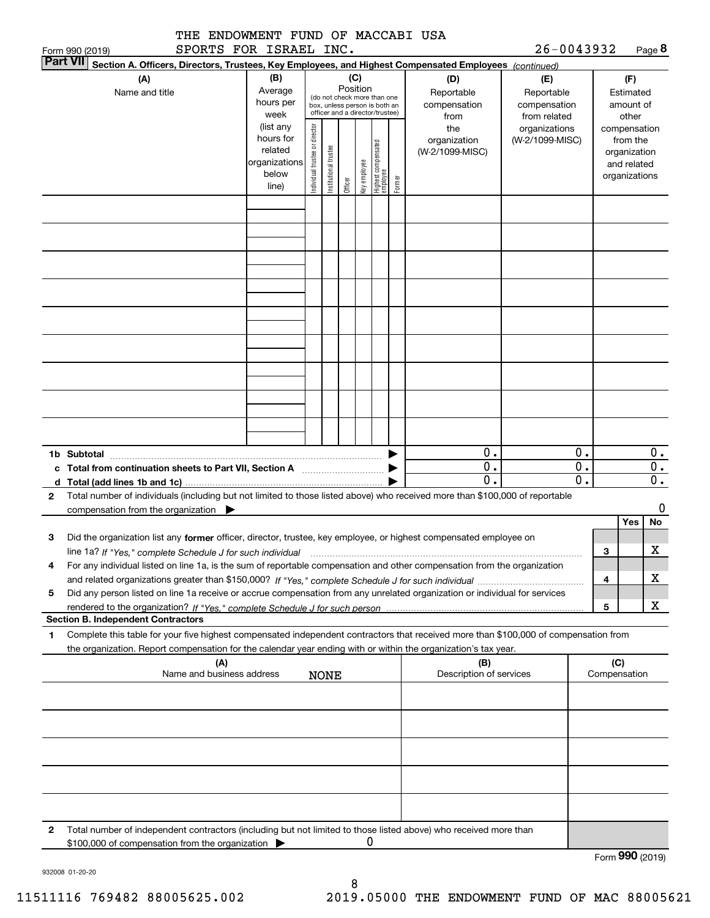|                                                                                                                                                                                                                                                             | THE ENDOWMENT FUND OF MACCABI USA                                    |                                |                      |                 |              |                                                                |        |                                           | 26-0043932                                        |                  |                                                                          |                           |
|-------------------------------------------------------------------------------------------------------------------------------------------------------------------------------------------------------------------------------------------------------------|----------------------------------------------------------------------|--------------------------------|----------------------|-----------------|--------------|----------------------------------------------------------------|--------|-------------------------------------------|---------------------------------------------------|------------------|--------------------------------------------------------------------------|---------------------------|
| Form 990 (2019)<br><b>Part VII</b>                                                                                                                                                                                                                          | SPORTS FOR ISRAEL INC.                                               |                                |                      |                 |              |                                                                |        |                                           |                                                   |                  |                                                                          | Page 8                    |
| Section A. Officers, Directors, Trustees, Key Employees, and Highest Compensated Employees (continued)<br>(A)<br>Name and title                                                                                                                             | (B)<br>Average<br>hours per<br>week                                  | box, unless person is both an  |                      | (C)<br>Position |              | (do not check more than one<br>officer and a director/trustee) |        | (D)<br>Reportable<br>compensation<br>from | (E)<br>Reportable<br>compensation<br>from related |                  | (F)<br>Estimated<br>amount of<br>other                                   |                           |
|                                                                                                                                                                                                                                                             | (list any<br>hours for<br>related<br>organizations<br>below<br>line) | Individual trustee or director | nstitutional trustee | Officer         | Key employee | Highest compensated<br>employee                                | Former | the<br>organization<br>(W-2/1099-MISC)    | organizations<br>(W-2/1099-MISC)                  |                  | compensation<br>from the<br>organization<br>and related<br>organizations |                           |
|                                                                                                                                                                                                                                                             |                                                                      |                                |                      |                 |              |                                                                |        |                                           |                                                   |                  |                                                                          |                           |
|                                                                                                                                                                                                                                                             |                                                                      |                                |                      |                 |              |                                                                |        |                                           |                                                   |                  |                                                                          |                           |
|                                                                                                                                                                                                                                                             |                                                                      |                                |                      |                 |              |                                                                |        |                                           |                                                   |                  |                                                                          |                           |
|                                                                                                                                                                                                                                                             |                                                                      |                                |                      |                 |              |                                                                |        |                                           |                                                   |                  |                                                                          |                           |
| 1b Subtotal                                                                                                                                                                                                                                                 |                                                                      |                                |                      |                 |              |                                                                |        | 0.<br>$\overline{0}$ .                    |                                                   | 0.<br>0.         |                                                                          | $0$ .<br>$\overline{0}$ . |
|                                                                                                                                                                                                                                                             |                                                                      |                                |                      |                 |              |                                                                |        | $\mathbf 0$ .                             |                                                   | $\overline{0}$ . |                                                                          | $\overline{\mathbf{0}}$ . |
| Total number of individuals (including but not limited to those listed above) who received more than \$100,000 of reportable<br>2<br>compensation from the organization                                                                                     |                                                                      |                                |                      |                 |              |                                                                |        |                                           |                                                   |                  |                                                                          | 0                         |
| Did the organization list any former officer, director, trustee, key employee, or highest compensated employee on<br>з                                                                                                                                      |                                                                      |                                |                      |                 |              |                                                                |        |                                           |                                                   |                  | <b>Yes</b>                                                               | No                        |
| line 1a? If "Yes," complete Schedule J for such individual manumanament contained and the numerous complete sc<br>For any individual listed on line 1a, is the sum of reportable compensation and other compensation from the organization<br>4             |                                                                      |                                |                      |                 |              |                                                                |        |                                           |                                                   |                  | з                                                                        | X                         |
|                                                                                                                                                                                                                                                             |                                                                      |                                |                      |                 |              |                                                                |        |                                           |                                                   |                  | 4                                                                        | х                         |
| Did any person listed on line 1a receive or accrue compensation from any unrelated organization or individual for services<br>5                                                                                                                             |                                                                      |                                |                      |                 |              |                                                                |        |                                           |                                                   |                  | 5                                                                        | X                         |
| <b>Section B. Independent Contractors</b>                                                                                                                                                                                                                   |                                                                      |                                |                      |                 |              |                                                                |        |                                           |                                                   |                  |                                                                          |                           |
| Complete this table for your five highest compensated independent contractors that received more than \$100,000 of compensation from<br>1<br>the organization. Report compensation for the calendar year ending with or within the organization's tax year. |                                                                      |                                |                      |                 |              |                                                                |        |                                           |                                                   |                  |                                                                          |                           |
|                                                                                                                                                                                                                                                             | (A)<br>Name and business address                                     | <b>NONE</b>                    |                      |                 |              |                                                                |        | (B)<br>Description of services            |                                                   |                  | (C)<br>Compensation                                                      |                           |
|                                                                                                                                                                                                                                                             |                                                                      |                                |                      |                 |              |                                                                |        |                                           |                                                   |                  |                                                                          |                           |
|                                                                                                                                                                                                                                                             |                                                                      |                                |                      |                 |              |                                                                |        |                                           |                                                   |                  |                                                                          |                           |
|                                                                                                                                                                                                                                                             |                                                                      |                                |                      |                 |              |                                                                |        |                                           |                                                   |                  |                                                                          |                           |
|                                                                                                                                                                                                                                                             |                                                                      |                                |                      |                 |              |                                                                |        |                                           |                                                   |                  |                                                                          |                           |
| Total number of independent contractors (including but not limited to those listed above) who received more than<br>2                                                                                                                                       |                                                                      |                                |                      |                 |              |                                                                |        |                                           |                                                   |                  |                                                                          |                           |
| \$100,000 of compensation from the organization                                                                                                                                                                                                             |                                                                      |                                |                      |                 | 0            |                                                                |        |                                           |                                                   |                  |                                                                          | Form 990 (2019)           |

932008 01-20-20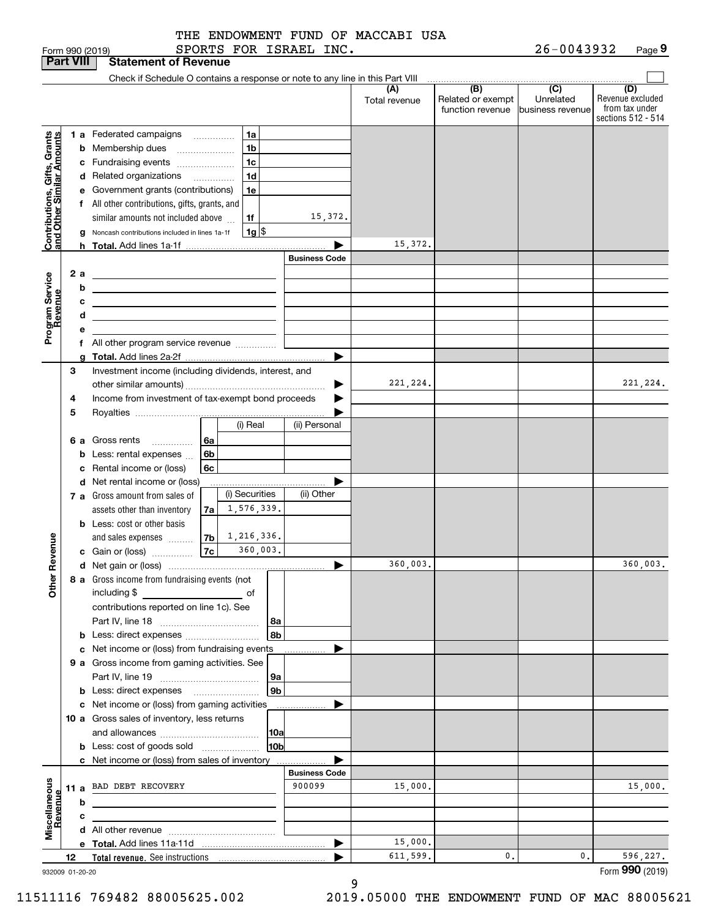|  |  |  | THE ENDOWMENT FUND OF MACCABI USA |  |
|--|--|--|-----------------------------------|--|
|  |  |  |                                   |  |

|                                                                                         |    |     | SPORTS FOR ISRAEL INC.<br>Form 990 (2019)                                     |                      |                      |                                              | 26-0043932                                      | Page 9                                                          |
|-----------------------------------------------------------------------------------------|----|-----|-------------------------------------------------------------------------------|----------------------|----------------------|----------------------------------------------|-------------------------------------------------|-----------------------------------------------------------------|
| <b>Part VIII</b>                                                                        |    |     | <b>Statement of Revenue</b>                                                   |                      |                      |                                              |                                                 |                                                                 |
|                                                                                         |    |     | Check if Schedule O contains a response or note to any line in this Part VIII |                      |                      |                                              |                                                 |                                                                 |
|                                                                                         |    |     |                                                                               |                      | (A)<br>Total revenue | (B)<br>Related or exempt<br>function revenue | $\overline{C}$<br>Unrelated<br>business revenue | (D)<br>Revenue excluded<br>from tax under<br>sections 512 - 514 |
|                                                                                         |    |     | 1a<br>1 a Federated campaigns                                                 |                      |                      |                                              |                                                 |                                                                 |
|                                                                                         |    |     | 1 <sub>b</sub><br><b>b</b> Membership dues                                    |                      |                      |                                              |                                                 |                                                                 |
|                                                                                         |    |     | 1 <sub>c</sub><br>c Fundraising events                                        |                      |                      |                                              |                                                 |                                                                 |
|                                                                                         |    |     | 1 <sub>d</sub><br>d Related organizations                                     |                      |                      |                                              |                                                 |                                                                 |
|                                                                                         |    |     | e Government grants (contributions)<br>1e                                     |                      |                      |                                              |                                                 |                                                                 |
|                                                                                         |    |     | f All other contributions, gifts, grants, and                                 |                      |                      |                                              |                                                 |                                                                 |
|                                                                                         |    |     | similar amounts not included above<br>1f                                      | 15,372.              |                      |                                              |                                                 |                                                                 |
|                                                                                         |    |     | $1g$ \$<br>Noncash contributions included in lines 1a-1f                      |                      |                      |                                              |                                                 |                                                                 |
|                                                                                         |    |     |                                                                               |                      | 15,372.              |                                              |                                                 |                                                                 |
|                                                                                         |    |     |                                                                               | <b>Business Code</b> |                      |                                              |                                                 |                                                                 |
|                                                                                         |    | 2 a |                                                                               |                      |                      |                                              |                                                 |                                                                 |
|                                                                                         |    | b   |                                                                               |                      |                      |                                              |                                                 |                                                                 |
| Contributions, Gifts, Grants<br>and Other Similar Amounts<br>Program Service<br>Revenue |    | с   |                                                                               |                      |                      |                                              |                                                 |                                                                 |
|                                                                                         |    | d   |                                                                               |                      |                      |                                              |                                                 |                                                                 |
|                                                                                         |    | е   |                                                                               |                      |                      |                                              |                                                 |                                                                 |
|                                                                                         |    |     | f All other program service revenue                                           |                      |                      |                                              |                                                 |                                                                 |
|                                                                                         |    | g   |                                                                               |                      |                      |                                              |                                                 |                                                                 |
|                                                                                         | 3  |     | Investment income (including dividends, interest, and                         |                      |                      |                                              |                                                 |                                                                 |
| evenue<br>č                                                                             |    |     |                                                                               |                      | 221,224.             |                                              |                                                 | 221, 224.                                                       |
|                                                                                         | 4  |     | Income from investment of tax-exempt bond proceeds                            |                      |                      |                                              |                                                 |                                                                 |
|                                                                                         | 5  |     |                                                                               |                      |                      |                                              |                                                 |                                                                 |
|                                                                                         |    |     | (i) Real                                                                      | (ii) Personal        |                      |                                              |                                                 |                                                                 |
|                                                                                         |    |     | <b>6 a</b> Gross rents<br>  6a                                                |                      |                      |                                              |                                                 |                                                                 |
|                                                                                         |    | b   | 6b<br>Less: rental expenses                                                   |                      |                      |                                              |                                                 |                                                                 |
|                                                                                         |    | c   | 6c<br>Rental income or (loss)                                                 |                      |                      |                                              |                                                 |                                                                 |
|                                                                                         |    |     | d Net rental income or (loss)<br>(i) Securities                               |                      |                      |                                              |                                                 |                                                                 |
|                                                                                         |    |     | 7 a Gross amount from sales of<br>1,576,339.                                  | (ii) Other           |                      |                                              |                                                 |                                                                 |
|                                                                                         |    |     | assets other than inventory<br>7a                                             |                      |                      |                                              |                                                 |                                                                 |
|                                                                                         |    |     | <b>b</b> Less: cost or other basis<br>1,216,336.                              |                      |                      |                                              |                                                 |                                                                 |
|                                                                                         |    |     | 7b<br>and sales expenses<br>7c<br>360,003.<br>c Gain or (loss)                |                      |                      |                                              |                                                 |                                                                 |
|                                                                                         |    |     |                                                                               |                      | 360,003.             |                                              |                                                 | 360,003.                                                        |
|                                                                                         |    |     | 8 a Gross income from fundraising events (not                                 |                      |                      |                                              |                                                 |                                                                 |
|                                                                                         |    |     | including \$                                                                  |                      |                      |                                              |                                                 |                                                                 |
|                                                                                         |    |     | contributions reported on line 1c). See                                       |                      |                      |                                              |                                                 |                                                                 |
| Other                                                                                   |    |     | 8a                                                                            |                      |                      |                                              |                                                 |                                                                 |
|                                                                                         |    |     | 8b<br><b>b</b> Less: direct expenses <i></i>                                  |                      |                      |                                              |                                                 |                                                                 |
|                                                                                         |    |     | c Net income or (loss) from fundraising events                                |                      |                      |                                              |                                                 |                                                                 |
| Miscellaneous<br>Revenue                                                                |    |     | 9 a Gross income from gaming activities. See                                  |                      |                      |                                              |                                                 |                                                                 |
|                                                                                         |    |     | <b>9a</b>                                                                     |                      |                      |                                              |                                                 |                                                                 |
|                                                                                         |    |     | 9b                                                                            |                      |                      |                                              |                                                 |                                                                 |
|                                                                                         |    |     | c Net income or (loss) from gaming activities                                 |                      |                      |                                              |                                                 |                                                                 |
|                                                                                         |    |     | 10 a Gross sales of inventory, less returns                                   |                      |                      |                                              |                                                 |                                                                 |
|                                                                                         |    |     | 10a                                                                           |                      |                      |                                              |                                                 |                                                                 |
|                                                                                         |    |     | 10 <sub>b</sub><br><b>b</b> Less: cost of goods sold                          |                      |                      |                                              |                                                 |                                                                 |
|                                                                                         |    |     | c Net income or (loss) from sales of inventory                                |                      |                      |                                              |                                                 |                                                                 |
|                                                                                         |    |     |                                                                               | <b>Business Code</b> |                      |                                              |                                                 |                                                                 |
|                                                                                         |    |     | 11 a BAD DEBT RECOVERY                                                        | 900099               | 15,000.              |                                              |                                                 | 15,000.                                                         |
|                                                                                         |    | b   |                                                                               |                      |                      |                                              |                                                 |                                                                 |
|                                                                                         |    | с   |                                                                               |                      |                      |                                              |                                                 |                                                                 |
|                                                                                         |    |     |                                                                               |                      |                      |                                              |                                                 |                                                                 |
|                                                                                         |    |     |                                                                               | ▶                    | 15,000.<br>611,599.  | 0.                                           | 0.                                              |                                                                 |
|                                                                                         | 12 |     |                                                                               |                      |                      |                                              |                                                 | 596,227.<br>Form 990 (2019)                                     |
| 932009 01-20-20                                                                         |    |     |                                                                               |                      |                      |                                              |                                                 |                                                                 |

9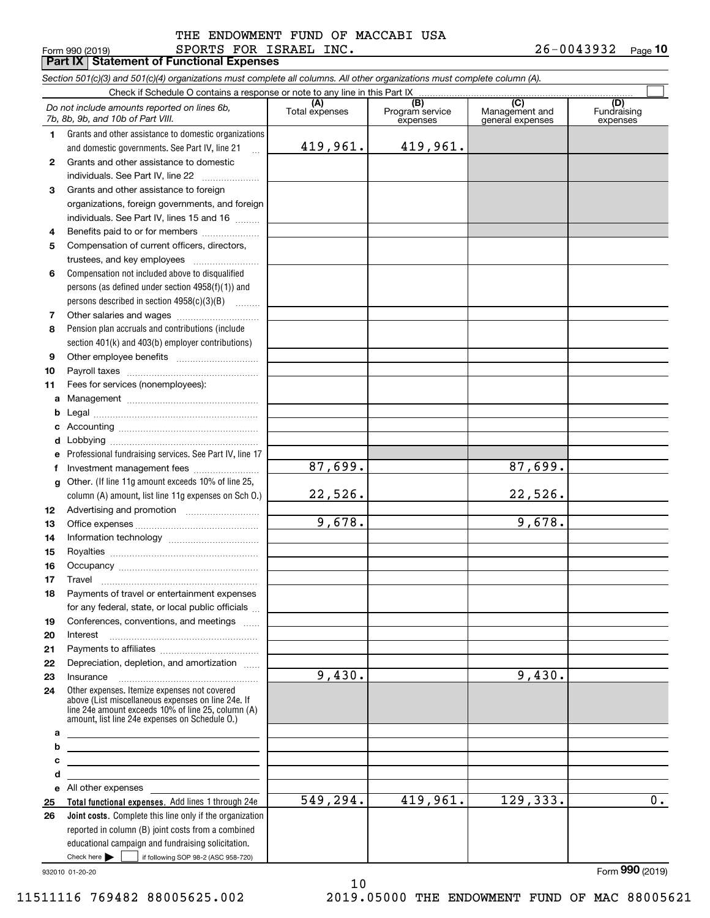#### Form 990 (2019) SPORTS FOR ISRAEL INC. 2 6-0 0 4 3 9 3 2 <sub>Page</sub> **Part IX Statement of Functional Expenses** THE ENDOWMENT FUND OF MACCABI USA

*Section 501(c)(3) and 501(c)(4) organizations must complete all columns. All other organizations must complete column (A).*

|              | Do not include amounts reported on lines 6b,<br>7b, 8b, 9b, and 10b of Part VIII.                                                                                                                          | (A)<br>Total expenses | (B)<br>Program service<br>expenses | (C)<br>Management and<br>general expenses | (D)<br>Fundraising<br>expenses |
|--------------|------------------------------------------------------------------------------------------------------------------------------------------------------------------------------------------------------------|-----------------------|------------------------------------|-------------------------------------------|--------------------------------|
| 1            | Grants and other assistance to domestic organizations                                                                                                                                                      |                       |                                    |                                           |                                |
|              | and domestic governments. See Part IV, line 21<br>$\dddotsc$                                                                                                                                               | 419,961.              | 419,961.                           |                                           |                                |
| $\mathbf{2}$ | Grants and other assistance to domestic                                                                                                                                                                    |                       |                                    |                                           |                                |
|              | individuals. See Part IV, line 22                                                                                                                                                                          |                       |                                    |                                           |                                |
| 3            | Grants and other assistance to foreign                                                                                                                                                                     |                       |                                    |                                           |                                |
|              | organizations, foreign governments, and foreign                                                                                                                                                            |                       |                                    |                                           |                                |
|              | individuals. See Part IV, lines 15 and 16                                                                                                                                                                  |                       |                                    |                                           |                                |
| 4            | Benefits paid to or for members<br>Compensation of current officers, directors,                                                                                                                            |                       |                                    |                                           |                                |
| 5            |                                                                                                                                                                                                            |                       |                                    |                                           |                                |
| 6            | Compensation not included above to disqualified                                                                                                                                                            |                       |                                    |                                           |                                |
|              | persons (as defined under section $4958(f)(1)$ ) and                                                                                                                                                       |                       |                                    |                                           |                                |
|              | persons described in section 4958(c)(3)(B)                                                                                                                                                                 |                       |                                    |                                           |                                |
| 7            |                                                                                                                                                                                                            |                       |                                    |                                           |                                |
| 8            | Pension plan accruals and contributions (include                                                                                                                                                           |                       |                                    |                                           |                                |
|              | section 401(k) and 403(b) employer contributions)                                                                                                                                                          |                       |                                    |                                           |                                |
| 9            |                                                                                                                                                                                                            |                       |                                    |                                           |                                |
| 10           |                                                                                                                                                                                                            |                       |                                    |                                           |                                |
| 11           | Fees for services (nonemployees):                                                                                                                                                                          |                       |                                    |                                           |                                |
| а            |                                                                                                                                                                                                            |                       |                                    |                                           |                                |
| b            |                                                                                                                                                                                                            |                       |                                    |                                           |                                |
| c            |                                                                                                                                                                                                            |                       |                                    |                                           |                                |
| d            |                                                                                                                                                                                                            |                       |                                    |                                           |                                |
| е            | Professional fundraising services. See Part IV, line 17                                                                                                                                                    |                       |                                    |                                           |                                |
| f            |                                                                                                                                                                                                            | $\overline{87,699}$ . |                                    | 87,699.                                   |                                |
| g            | Other. (If line 11g amount exceeds 10% of line 25,                                                                                                                                                         |                       |                                    |                                           |                                |
|              | column (A) amount, list line 11g expenses on Sch 0.)                                                                                                                                                       | 22,526.               |                                    | 22,526.                                   |                                |
| 12           |                                                                                                                                                                                                            |                       |                                    |                                           |                                |
| 13           |                                                                                                                                                                                                            | 9,678.                |                                    | 9,678.                                    |                                |
| 14           |                                                                                                                                                                                                            |                       |                                    |                                           |                                |
| 15           |                                                                                                                                                                                                            |                       |                                    |                                           |                                |
| 16           |                                                                                                                                                                                                            |                       |                                    |                                           |                                |
| 17           | Travel                                                                                                                                                                                                     |                       |                                    |                                           |                                |
| 18           | Payments of travel or entertainment expenses                                                                                                                                                               |                       |                                    |                                           |                                |
|              | for any federal, state, or local public officials                                                                                                                                                          |                       |                                    |                                           |                                |
| 19           | Conferences, conventions, and meetings                                                                                                                                                                     |                       |                                    |                                           |                                |
| 20<br>21     | Interest                                                                                                                                                                                                   |                       |                                    |                                           |                                |
| 22           | Depreciation, depletion, and amortization                                                                                                                                                                  |                       |                                    |                                           |                                |
| 23           | Insurance                                                                                                                                                                                                  | 9,430.                |                                    | 9,430.                                    |                                |
| 24           | Other expenses. Itemize expenses not covered<br>above (List miscellaneous expenses on line 24e. If<br>line 24e amount exceeds 10% of line 25, column (A)<br>amount. list line 24e expenses on Schedule O.) |                       |                                    |                                           |                                |
| а            |                                                                                                                                                                                                            |                       |                                    |                                           |                                |
| b            | <u> 1989 - Johann Barbara, markazi bashkar a shekara ta 1989 - André a shekara ta 1989 - André a shekara ta 198</u>                                                                                        |                       |                                    |                                           |                                |
| c            | the control of the control of the control of the control of the control of the control of                                                                                                                  |                       |                                    |                                           |                                |
| d            |                                                                                                                                                                                                            |                       |                                    |                                           |                                |
| e            | All other expenses<br>Total functional expenses. Add lines 1 through 24e                                                                                                                                   | 549,294.              | 419,961.                           | 129,333.                                  | $\overline{0}$ .               |
| 25<br>26     | Joint costs. Complete this line only if the organization                                                                                                                                                   |                       |                                    |                                           |                                |
|              | reported in column (B) joint costs from a combined                                                                                                                                                         |                       |                                    |                                           |                                |
|              | educational campaign and fundraising solicitation.                                                                                                                                                         |                       |                                    |                                           |                                |
|              | Check here $\blacktriangleright$<br>if following SOP 98-2 (ASC 958-720)                                                                                                                                    |                       |                                    |                                           |                                |

10

932010 01-20-20

11511116 769482 88005625.002 2019.05000 THE ENDOWMENT FUND OF MAC 88005621

Form (2019) **990**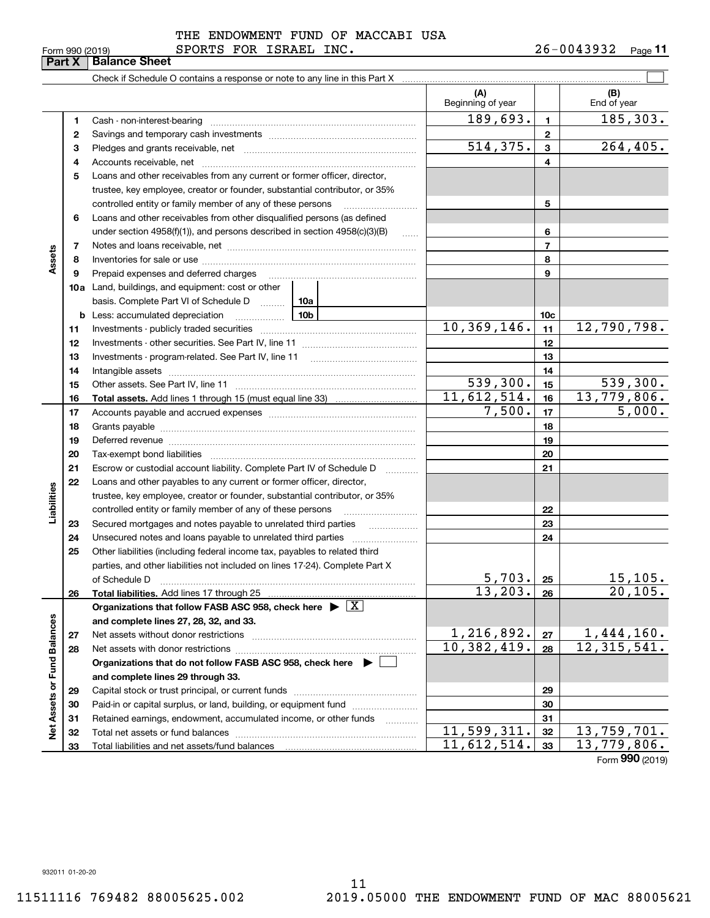|                                                                                                                                                                                                                        |    | <b>Balance Sheet</b>                                                                                                                                                                                                           |                             |                 |                                  |
|------------------------------------------------------------------------------------------------------------------------------------------------------------------------------------------------------------------------|----|--------------------------------------------------------------------------------------------------------------------------------------------------------------------------------------------------------------------------------|-----------------------------|-----------------|----------------------------------|
|                                                                                                                                                                                                                        |    |                                                                                                                                                                                                                                |                             |                 |                                  |
|                                                                                                                                                                                                                        |    |                                                                                                                                                                                                                                | (A)<br>Beginning of year    |                 | (B)<br>End of year               |
|                                                                                                                                                                                                                        | 1  | Cash - non-interest-bearing                                                                                                                                                                                                    | 189, 693.                   | $\mathbf{1}$    | 185,303.                         |
|                                                                                                                                                                                                                        | 2  |                                                                                                                                                                                                                                |                             | $\mathbf{2}$    |                                  |
|                                                                                                                                                                                                                        | з  |                                                                                                                                                                                                                                | 514, 375.                   | 3               | 264, 405.                        |
|                                                                                                                                                                                                                        | 4  |                                                                                                                                                                                                                                |                             | 4               |                                  |
|                                                                                                                                                                                                                        | 5  | Loans and other receivables from any current or former officer, director,                                                                                                                                                      |                             |                 |                                  |
|                                                                                                                                                                                                                        |    | trustee, key employee, creator or founder, substantial contributor, or 35%                                                                                                                                                     |                             |                 |                                  |
|                                                                                                                                                                                                                        |    | controlled entity or family member of any of these persons                                                                                                                                                                     |                             | 5               |                                  |
|                                                                                                                                                                                                                        | 6  | Loans and other receivables from other disqualified persons (as defined                                                                                                                                                        |                             |                 |                                  |
|                                                                                                                                                                                                                        |    | under section 4958(f)(1)), and persons described in section 4958(c)(3)(B)<br>$\ldots$                                                                                                                                          |                             | 6               |                                  |
|                                                                                                                                                                                                                        | 7  |                                                                                                                                                                                                                                |                             | $\overline{7}$  |                                  |
| <u>UHITUJU </u><br>ا ب ب<br>Part X<br>Assets<br>8<br>9<br>11<br>12<br>13<br>14<br>15<br>16<br>17<br>18<br>19<br>20<br>21<br>22<br>Liabilities<br>23<br>24<br>25<br>26<br>Net Assets or Fund Balances<br>27<br>28<br>29 |    |                                                                                                                                                                                                                                | 8                           |                 |                                  |
|                                                                                                                                                                                                                        |    | Prepaid expenses and deferred charges                                                                                                                                                                                          |                             | 9               |                                  |
|                                                                                                                                                                                                                        |    | <b>10a</b> Land, buildings, and equipment: cost or other                                                                                                                                                                       |                             |                 |                                  |
|                                                                                                                                                                                                                        |    | basis. Complete Part VI of Schedule D  10a                                                                                                                                                                                     |                             |                 |                                  |
|                                                                                                                                                                                                                        |    | 10 <sub>b</sub><br><b>b</b> Less: accumulated depreciation                                                                                                                                                                     |                             | 10 <sub>c</sub> |                                  |
|                                                                                                                                                                                                                        |    |                                                                                                                                                                                                                                | 10, 369, 146.               | 11              | 12,790,798.                      |
|                                                                                                                                                                                                                        |    |                                                                                                                                                                                                                                |                             | 12              |                                  |
|                                                                                                                                                                                                                        |    | Investments - program-related. See Part IV, line 11                                                                                                                                                                            |                             | 13              |                                  |
|                                                                                                                                                                                                                        |    |                                                                                                                                                                                                                                |                             | 14              |                                  |
|                                                                                                                                                                                                                        |    |                                                                                                                                                                                                                                | $\overline{539,300}$ .      | 15              | $\overline{539,300}$ .           |
|                                                                                                                                                                                                                        |    |                                                                                                                                                                                                                                | 11,612,514.                 | 16              | 13,779,806.                      |
|                                                                                                                                                                                                                        |    |                                                                                                                                                                                                                                | 7,500.                      | 17              | 5,000.                           |
|                                                                                                                                                                                                                        |    |                                                                                                                                                                                                                                |                             | 18              |                                  |
|                                                                                                                                                                                                                        |    | Deferred revenue material contracts and a contract of the contract of the contract of the contract of the contract of the contract of the contract of the contract of the contract of the contract of the contract of the cont |                             | 19              |                                  |
|                                                                                                                                                                                                                        |    | Tax-exempt bond liabilities                                                                                                                                                                                                    |                             | 20              |                                  |
|                                                                                                                                                                                                                        |    | Escrow or custodial account liability. Complete Part IV of Schedule D<br>1.1.1.1.1.1.1.1.1                                                                                                                                     |                             | 21              |                                  |
|                                                                                                                                                                                                                        |    | Loans and other payables to any current or former officer, director,                                                                                                                                                           |                             |                 |                                  |
|                                                                                                                                                                                                                        |    | trustee, key employee, creator or founder, substantial contributor, or 35%                                                                                                                                                     |                             |                 |                                  |
|                                                                                                                                                                                                                        |    | controlled entity or family member of any of these persons                                                                                                                                                                     |                             | 22              |                                  |
|                                                                                                                                                                                                                        |    | Secured mortgages and notes payable to unrelated third parties<br>.                                                                                                                                                            |                             | 23              |                                  |
|                                                                                                                                                                                                                        |    |                                                                                                                                                                                                                                |                             | 24              |                                  |
|                                                                                                                                                                                                                        |    | Other liabilities (including federal income tax, payables to related third                                                                                                                                                     |                             |                 |                                  |
|                                                                                                                                                                                                                        |    | parties, and other liabilities not included on lines 17-24). Complete Part X                                                                                                                                                   |                             |                 |                                  |
|                                                                                                                                                                                                                        |    | of Schedule D                                                                                                                                                                                                                  | 5,703.                      | 25              | <u>15,105.</u>                   |
|                                                                                                                                                                                                                        |    | Total liabilities. Add lines 17 through 25                                                                                                                                                                                     | 13, 203.                    | 26              | 20,105.                          |
|                                                                                                                                                                                                                        |    | Organizations that follow FASB ASC 958, check here $\blacktriangleright \boxed{X}$                                                                                                                                             |                             |                 |                                  |
|                                                                                                                                                                                                                        |    | and complete lines 27, 28, 32, and 33.                                                                                                                                                                                         |                             |                 |                                  |
|                                                                                                                                                                                                                        |    | Net assets without donor restrictions                                                                                                                                                                                          | 1,216,892.                  | 27              | $\frac{1,444,160.}{12,315,541.}$ |
|                                                                                                                                                                                                                        |    |                                                                                                                                                                                                                                | 10,382,419.                 | 28              |                                  |
|                                                                                                                                                                                                                        |    | Organizations that do not follow FASB ASC 958, check here $\blacktriangleright$                                                                                                                                                |                             |                 |                                  |
|                                                                                                                                                                                                                        |    | and complete lines 29 through 33.                                                                                                                                                                                              |                             |                 |                                  |
|                                                                                                                                                                                                                        |    |                                                                                                                                                                                                                                |                             | 29              |                                  |
|                                                                                                                                                                                                                        | 30 | Paid-in or capital surplus, or land, building, or equipment fund                                                                                                                                                               |                             | 30              |                                  |
|                                                                                                                                                                                                                        | 31 | Retained earnings, endowment, accumulated income, or other funds<br>.                                                                                                                                                          |                             | 31              |                                  |
|                                                                                                                                                                                                                        | 32 | Total net assets or fund balances                                                                                                                                                                                              | $\overline{11}$ , 599, 311. | 32              | $\overline{13}$ , 759, 701.      |
|                                                                                                                                                                                                                        | 33 |                                                                                                                                                                                                                                | 11,612,514.                 | 33              | 13,779,806.                      |

Form (2019) **990**

932011 01-20-20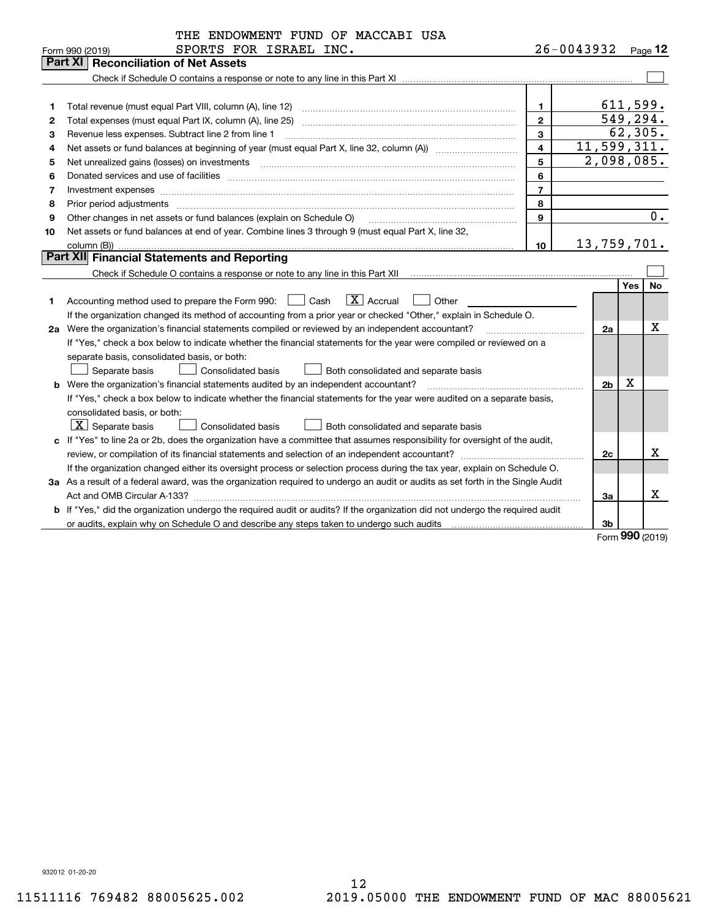| $26 - 0043932$ Page 12<br>SPORTS FOR ISRAEL INC.<br>Form 990 (2019)<br><b>Reconciliation of Net Assets</b><br>Part XI<br>611,599.<br>$\mathbf 1$<br>1<br>549, 294.<br>$\mathbf{2}$<br>2<br>62,305.<br>$\overline{3}$<br>Revenue less expenses. Subtract line 2 from line 1<br>3<br>11,599,311.<br>$\overline{\mathbf{4}}$<br>4<br>2,098,085.<br>5<br>5<br>6<br>6<br>$\overline{7}$<br>7<br>Investment expenses www.communication.com/www.communication.com/www.communication.com/www.com<br>8<br>Prior period adjustments<br>8<br>0.<br>$\mathbf{q}$<br>Other changes in net assets or fund balances (explain on Schedule O)<br>9<br>Net assets or fund balances at end of year. Combine lines 3 through 9 (must equal Part X, line 32,<br>10<br>13,759,701.<br>10<br>column (B)) |
|-----------------------------------------------------------------------------------------------------------------------------------------------------------------------------------------------------------------------------------------------------------------------------------------------------------------------------------------------------------------------------------------------------------------------------------------------------------------------------------------------------------------------------------------------------------------------------------------------------------------------------------------------------------------------------------------------------------------------------------------------------------------------------------|
|                                                                                                                                                                                                                                                                                                                                                                                                                                                                                                                                                                                                                                                                                                                                                                                   |
|                                                                                                                                                                                                                                                                                                                                                                                                                                                                                                                                                                                                                                                                                                                                                                                   |
|                                                                                                                                                                                                                                                                                                                                                                                                                                                                                                                                                                                                                                                                                                                                                                                   |
|                                                                                                                                                                                                                                                                                                                                                                                                                                                                                                                                                                                                                                                                                                                                                                                   |
|                                                                                                                                                                                                                                                                                                                                                                                                                                                                                                                                                                                                                                                                                                                                                                                   |
|                                                                                                                                                                                                                                                                                                                                                                                                                                                                                                                                                                                                                                                                                                                                                                                   |
|                                                                                                                                                                                                                                                                                                                                                                                                                                                                                                                                                                                                                                                                                                                                                                                   |
|                                                                                                                                                                                                                                                                                                                                                                                                                                                                                                                                                                                                                                                                                                                                                                                   |
|                                                                                                                                                                                                                                                                                                                                                                                                                                                                                                                                                                                                                                                                                                                                                                                   |
|                                                                                                                                                                                                                                                                                                                                                                                                                                                                                                                                                                                                                                                                                                                                                                                   |
|                                                                                                                                                                                                                                                                                                                                                                                                                                                                                                                                                                                                                                                                                                                                                                                   |
|                                                                                                                                                                                                                                                                                                                                                                                                                                                                                                                                                                                                                                                                                                                                                                                   |
|                                                                                                                                                                                                                                                                                                                                                                                                                                                                                                                                                                                                                                                                                                                                                                                   |
|                                                                                                                                                                                                                                                                                                                                                                                                                                                                                                                                                                                                                                                                                                                                                                                   |
|                                                                                                                                                                                                                                                                                                                                                                                                                                                                                                                                                                                                                                                                                                                                                                                   |
| <b>Part XII Financial Statements and Reporting</b>                                                                                                                                                                                                                                                                                                                                                                                                                                                                                                                                                                                                                                                                                                                                |
|                                                                                                                                                                                                                                                                                                                                                                                                                                                                                                                                                                                                                                                                                                                                                                                   |
| Yes<br>No                                                                                                                                                                                                                                                                                                                                                                                                                                                                                                                                                                                                                                                                                                                                                                         |
| $\boxed{\mathbf{X}}$ Accrual<br>Accounting method used to prepare the Form 990: <u>II</u> Cash<br>Other<br>1                                                                                                                                                                                                                                                                                                                                                                                                                                                                                                                                                                                                                                                                      |
| If the organization changed its method of accounting from a prior year or checked "Other," explain in Schedule O.                                                                                                                                                                                                                                                                                                                                                                                                                                                                                                                                                                                                                                                                 |
| х<br>2a Were the organization's financial statements compiled or reviewed by an independent accountant?<br>2a<br>and a strategic contract of the contract of the contract of the contract of the contract of the contract of th                                                                                                                                                                                                                                                                                                                                                                                                                                                                                                                                                   |
| If "Yes," check a box below to indicate whether the financial statements for the year were compiled or reviewed on a                                                                                                                                                                                                                                                                                                                                                                                                                                                                                                                                                                                                                                                              |
| separate basis, consolidated basis, or both:                                                                                                                                                                                                                                                                                                                                                                                                                                                                                                                                                                                                                                                                                                                                      |
| Separate basis<br>Consolidated basis<br>Both consolidated and separate basis                                                                                                                                                                                                                                                                                                                                                                                                                                                                                                                                                                                                                                                                                                      |
| х<br><b>b</b> Were the organization's financial statements audited by an independent accountant?<br>2 <sub>b</sub>                                                                                                                                                                                                                                                                                                                                                                                                                                                                                                                                                                                                                                                                |
| If "Yes," check a box below to indicate whether the financial statements for the year were audited on a separate basis,                                                                                                                                                                                                                                                                                                                                                                                                                                                                                                                                                                                                                                                           |
| consolidated basis, or both:                                                                                                                                                                                                                                                                                                                                                                                                                                                                                                                                                                                                                                                                                                                                                      |
| $ \mathbf{X} $ Separate basis<br><b>Consolidated basis</b><br>Both consolidated and separate basis                                                                                                                                                                                                                                                                                                                                                                                                                                                                                                                                                                                                                                                                                |
| c If "Yes" to line 2a or 2b, does the organization have a committee that assumes responsibility for oversight of the audit,                                                                                                                                                                                                                                                                                                                                                                                                                                                                                                                                                                                                                                                       |
| x<br>2c                                                                                                                                                                                                                                                                                                                                                                                                                                                                                                                                                                                                                                                                                                                                                                           |
| If the organization changed either its oversight process or selection process during the tax year, explain on Schedule O.                                                                                                                                                                                                                                                                                                                                                                                                                                                                                                                                                                                                                                                         |
| 3a As a result of a federal award, was the organization required to undergo an audit or audits as set forth in the Single Audit                                                                                                                                                                                                                                                                                                                                                                                                                                                                                                                                                                                                                                                   |
| x<br>За                                                                                                                                                                                                                                                                                                                                                                                                                                                                                                                                                                                                                                                                                                                                                                           |
| b If "Yes," did the organization undergo the required audit or audits? If the organization did not undergo the required audit                                                                                                                                                                                                                                                                                                                                                                                                                                                                                                                                                                                                                                                     |
| 3b<br>$000 \text{ hours}$                                                                                                                                                                                                                                                                                                                                                                                                                                                                                                                                                                                                                                                                                                                                                         |

Form (2019) **990**

932012 01-20-20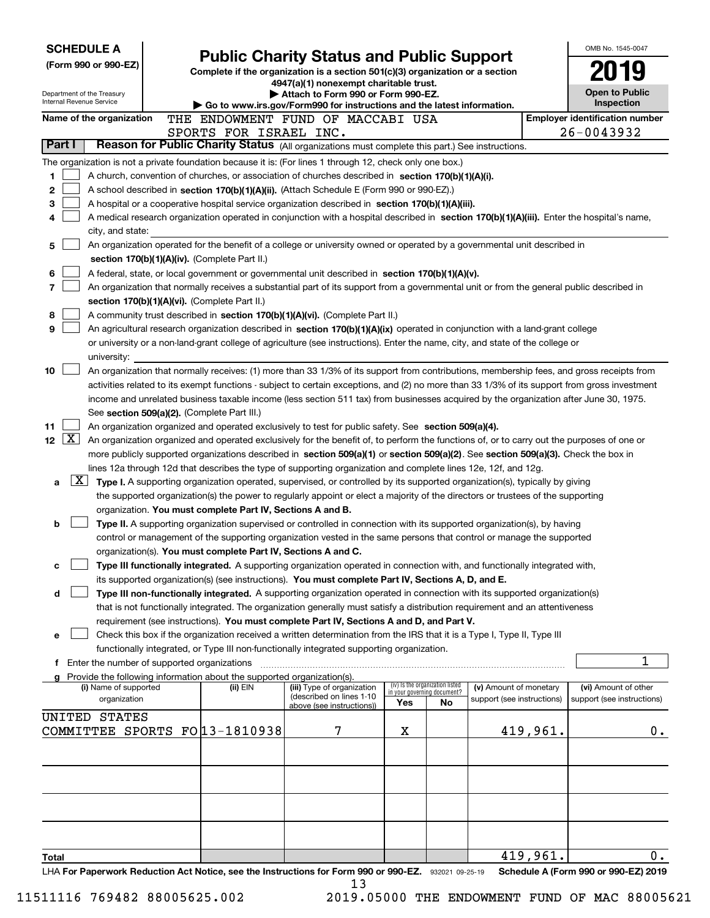| <b>SCHEDULE A</b><br>(Form 990 or 990-EZ)                                                                                        |                                                                                                                                                                                                                                                                                        | <b>Public Charity Status and Public Support</b>                                                                           |                                                                |    |                            |          | OMB No. 1545-0047                                   |
|----------------------------------------------------------------------------------------------------------------------------------|----------------------------------------------------------------------------------------------------------------------------------------------------------------------------------------------------------------------------------------------------------------------------------------|---------------------------------------------------------------------------------------------------------------------------|----------------------------------------------------------------|----|----------------------------|----------|-----------------------------------------------------|
|                                                                                                                                  |                                                                                                                                                                                                                                                                                        | Complete if the organization is a section $501(c)(3)$ organization or a section<br>4947(a)(1) nonexempt charitable trust. |                                                                |    |                            |          |                                                     |
| Department of the Treasury<br>Internal Revenue Service                                                                           |                                                                                                                                                                                                                                                                                        | Attach to Form 990 or Form 990-EZ.                                                                                        |                                                                |    |                            |          | <b>Open to Public</b>                               |
| Name of the organization                                                                                                         | THE ENDOWMENT FUND OF MACCABI USA                                                                                                                                                                                                                                                      | ▶ Go to www.irs.gov/Form990 for instructions and the latest information.                                                  |                                                                |    |                            |          | Inspection<br><b>Employer identification number</b> |
|                                                                                                                                  | SPORTS FOR ISRAEL INC.                                                                                                                                                                                                                                                                 |                                                                                                                           |                                                                |    |                            |          | 26-0043932                                          |
| Part I                                                                                                                           | Reason for Public Charity Status (All organizations must complete this part.) See instructions.                                                                                                                                                                                        |                                                                                                                           |                                                                |    |                            |          |                                                     |
| The organization is not a private foundation because it is: (For lines 1 through 12, check only one box.)                        |                                                                                                                                                                                                                                                                                        |                                                                                                                           |                                                                |    |                            |          |                                                     |
| 1                                                                                                                                | A church, convention of churches, or association of churches described in section 170(b)(1)(A)(i).                                                                                                                                                                                     |                                                                                                                           |                                                                |    |                            |          |                                                     |
| 2                                                                                                                                | A school described in section 170(b)(1)(A)(ii). (Attach Schedule E (Form 990 or 990-EZ).)                                                                                                                                                                                              |                                                                                                                           |                                                                |    |                            |          |                                                     |
| 3                                                                                                                                | A hospital or a cooperative hospital service organization described in section 170(b)(1)(A)(iii).                                                                                                                                                                                      |                                                                                                                           |                                                                |    |                            |          |                                                     |
| 4                                                                                                                                | A medical research organization operated in conjunction with a hospital described in section 170(b)(1)(A)(iii). Enter the hospital's name,                                                                                                                                             |                                                                                                                           |                                                                |    |                            |          |                                                     |
| city, and state:<br>5                                                                                                            | An organization operated for the benefit of a college or university owned or operated by a governmental unit described in                                                                                                                                                              |                                                                                                                           |                                                                |    |                            |          |                                                     |
| section 170(b)(1)(A)(iv). (Complete Part II.)                                                                                    |                                                                                                                                                                                                                                                                                        |                                                                                                                           |                                                                |    |                            |          |                                                     |
| 6                                                                                                                                | A federal, state, or local government or governmental unit described in section 170(b)(1)(A)(v).                                                                                                                                                                                       |                                                                                                                           |                                                                |    |                            |          |                                                     |
| 7                                                                                                                                | An organization that normally receives a substantial part of its support from a governmental unit or from the general public described in                                                                                                                                              |                                                                                                                           |                                                                |    |                            |          |                                                     |
| section 170(b)(1)(A)(vi). (Complete Part II.)                                                                                    |                                                                                                                                                                                                                                                                                        |                                                                                                                           |                                                                |    |                            |          |                                                     |
| 8                                                                                                                                | A community trust described in section 170(b)(1)(A)(vi). (Complete Part II.)                                                                                                                                                                                                           |                                                                                                                           |                                                                |    |                            |          |                                                     |
| 9                                                                                                                                | An agricultural research organization described in section 170(b)(1)(A)(ix) operated in conjunction with a land-grant college                                                                                                                                                          |                                                                                                                           |                                                                |    |                            |          |                                                     |
|                                                                                                                                  | or university or a non-land-grant college of agriculture (see instructions). Enter the name, city, and state of the college or                                                                                                                                                         |                                                                                                                           |                                                                |    |                            |          |                                                     |
| university:                                                                                                                      |                                                                                                                                                                                                                                                                                        |                                                                                                                           |                                                                |    |                            |          |                                                     |
| 10                                                                                                                               | An organization that normally receives: (1) more than 33 1/3% of its support from contributions, membership fees, and gross receipts from                                                                                                                                              |                                                                                                                           |                                                                |    |                            |          |                                                     |
|                                                                                                                                  | activities related to its exempt functions - subject to certain exceptions, and (2) no more than 33 1/3% of its support from gross investment<br>income and unrelated business taxable income (less section 511 tax) from businesses acquired by the organization after June 30, 1975. |                                                                                                                           |                                                                |    |                            |          |                                                     |
| See section 509(a)(2). (Complete Part III.)                                                                                      |                                                                                                                                                                                                                                                                                        |                                                                                                                           |                                                                |    |                            |          |                                                     |
| 11                                                                                                                               | An organization organized and operated exclusively to test for public safety. See section 509(a)(4).                                                                                                                                                                                   |                                                                                                                           |                                                                |    |                            |          |                                                     |
| $\boxed{\text{X}}$<br>12 <sub>2</sub>                                                                                            | An organization organized and operated exclusively for the benefit of, to perform the functions of, or to carry out the purposes of one or                                                                                                                                             |                                                                                                                           |                                                                |    |                            |          |                                                     |
|                                                                                                                                  | more publicly supported organizations described in section 509(a)(1) or section 509(a)(2). See section 509(a)(3). Check the box in                                                                                                                                                     |                                                                                                                           |                                                                |    |                            |          |                                                     |
|                                                                                                                                  | lines 12a through 12d that describes the type of supporting organization and complete lines 12e, 12f, and 12g.                                                                                                                                                                         |                                                                                                                           |                                                                |    |                            |          |                                                     |
| $\lfloor x \rfloor$<br>a                                                                                                         | Type I. A supporting organization operated, supervised, or controlled by its supported organization(s), typically by giving                                                                                                                                                            |                                                                                                                           |                                                                |    |                            |          |                                                     |
|                                                                                                                                  | the supported organization(s) the power to regularly appoint or elect a majority of the directors or trustees of the supporting                                                                                                                                                        |                                                                                                                           |                                                                |    |                            |          |                                                     |
|                                                                                                                                  | organization. You must complete Part IV, Sections A and B.                                                                                                                                                                                                                             |                                                                                                                           |                                                                |    |                            |          |                                                     |
| b                                                                                                                                | Type II. A supporting organization supervised or controlled in connection with its supported organization(s), by having                                                                                                                                                                |                                                                                                                           |                                                                |    |                            |          |                                                     |
|                                                                                                                                  | control or management of the supporting organization vested in the same persons that control or manage the supported<br>organization(s). You must complete Part IV, Sections A and C.                                                                                                  |                                                                                                                           |                                                                |    |                            |          |                                                     |
| c                                                                                                                                | Type III functionally integrated. A supporting organization operated in connection with, and functionally integrated with,                                                                                                                                                             |                                                                                                                           |                                                                |    |                            |          |                                                     |
|                                                                                                                                  | its supported organization(s) (see instructions). You must complete Part IV, Sections A, D, and E.                                                                                                                                                                                     |                                                                                                                           |                                                                |    |                            |          |                                                     |
| d                                                                                                                                | Type III non-functionally integrated. A supporting organization operated in connection with its supported organization(s)                                                                                                                                                              |                                                                                                                           |                                                                |    |                            |          |                                                     |
|                                                                                                                                  | that is not functionally integrated. The organization generally must satisfy a distribution requirement and an attentiveness                                                                                                                                                           |                                                                                                                           |                                                                |    |                            |          |                                                     |
|                                                                                                                                  | requirement (see instructions). You must complete Part IV, Sections A and D, and Part V.                                                                                                                                                                                               |                                                                                                                           |                                                                |    |                            |          |                                                     |
| е                                                                                                                                | Check this box if the organization received a written determination from the IRS that it is a Type I, Type II, Type III                                                                                                                                                                |                                                                                                                           |                                                                |    |                            |          |                                                     |
|                                                                                                                                  | functionally integrated, or Type III non-functionally integrated supporting organization.                                                                                                                                                                                              |                                                                                                                           |                                                                |    |                            |          | 1                                                   |
| <b>f</b> Enter the number of supported organizations<br>g Provide the following information about the supported organization(s). |                                                                                                                                                                                                                                                                                        |                                                                                                                           |                                                                |    |                            |          |                                                     |
| (i) Name of supported                                                                                                            | (ii) EIN                                                                                                                                                                                                                                                                               | (iii) Type of organization                                                                                                | (iv) Is the organization listed<br>in your governing document? |    | (v) Amount of monetary     |          | (vi) Amount of other                                |
| organization                                                                                                                     |                                                                                                                                                                                                                                                                                        | (described on lines 1-10<br>above (see instructions))                                                                     | Yes                                                            | No | support (see instructions) |          | support (see instructions)                          |
| <b>UNITED STATES</b>                                                                                                             |                                                                                                                                                                                                                                                                                        |                                                                                                                           |                                                                |    |                            |          |                                                     |
| COMMITTEE SPORTS FO 13-1810938                                                                                                   |                                                                                                                                                                                                                                                                                        | 7                                                                                                                         | X                                                              |    |                            | 419,961. | 0.                                                  |
|                                                                                                                                  |                                                                                                                                                                                                                                                                                        |                                                                                                                           |                                                                |    |                            |          |                                                     |
|                                                                                                                                  |                                                                                                                                                                                                                                                                                        |                                                                                                                           |                                                                |    |                            |          |                                                     |
|                                                                                                                                  |                                                                                                                                                                                                                                                                                        |                                                                                                                           |                                                                |    |                            |          |                                                     |
|                                                                                                                                  |                                                                                                                                                                                                                                                                                        |                                                                                                                           |                                                                |    |                            |          |                                                     |
|                                                                                                                                  |                                                                                                                                                                                                                                                                                        |                                                                                                                           |                                                                |    |                            |          |                                                     |
|                                                                                                                                  |                                                                                                                                                                                                                                                                                        |                                                                                                                           |                                                                |    |                            |          |                                                     |
|                                                                                                                                  |                                                                                                                                                                                                                                                                                        |                                                                                                                           |                                                                |    |                            |          |                                                     |
| Total                                                                                                                            |                                                                                                                                                                                                                                                                                        |                                                                                                                           |                                                                |    |                            | 419,961. | 0.                                                  |
| LHA For Paperwork Reduction Act Notice, see the Instructions for Form 990 or 990-EZ. 932021 09-25-19                             |                                                                                                                                                                                                                                                                                        |                                                                                                                           |                                                                |    |                            |          | Schedule A (Form 990 or 990-EZ) 2019                |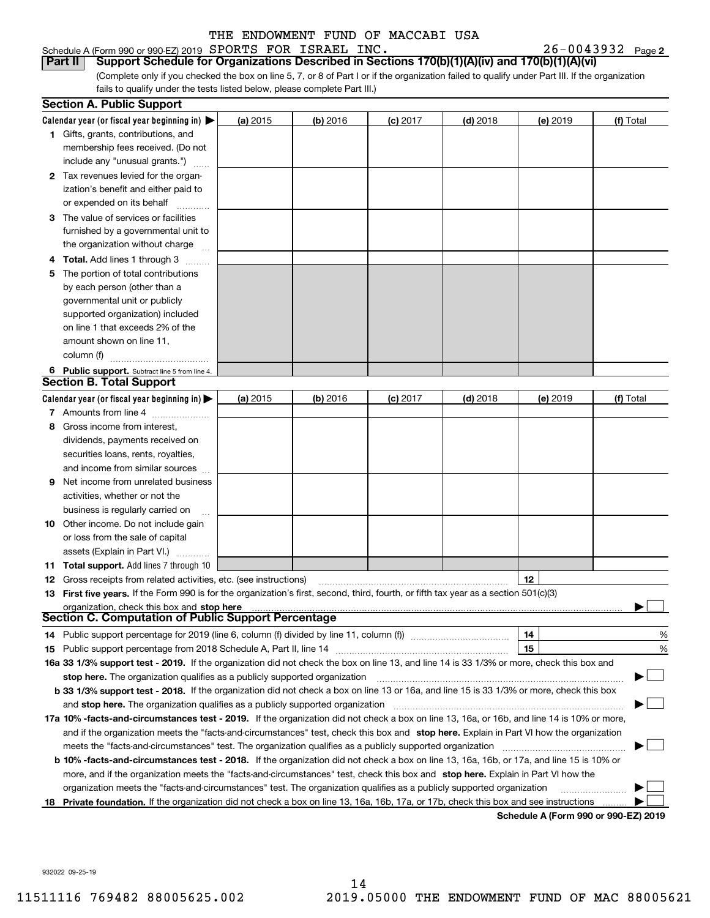Schedule A (Form 990 or 990-EZ) 2019 Page SPORTS FOR ISRAEL INC. 26-0043932 **Part II Support Schedule for Organizations Described in Sections 170(b)(1)(A)(iv) and 170(b)(1)(A)(vi)**

(Complete only if you checked the box on line 5, 7, or 8 of Part I or if the organization failed to qualify under Part III. If the organization fails to qualify under the tests listed below, please complete Part III.)

|    | <b>Section A. Public Support</b>                                                                                                               |            |            |            |            |          |           |
|----|------------------------------------------------------------------------------------------------------------------------------------------------|------------|------------|------------|------------|----------|-----------|
|    | Calendar year (or fiscal year beginning in) $\blacktriangleright$                                                                              | (a) 2015   | $(b)$ 2016 | $(c)$ 2017 | $(d)$ 2018 | (e) 2019 | (f) Total |
|    | <b>1</b> Gifts, grants, contributions, and                                                                                                     |            |            |            |            |          |           |
|    | membership fees received. (Do not                                                                                                              |            |            |            |            |          |           |
|    | include any "unusual grants.")                                                                                                                 |            |            |            |            |          |           |
|    | 2 Tax revenues levied for the organ-                                                                                                           |            |            |            |            |          |           |
|    | ization's benefit and either paid to                                                                                                           |            |            |            |            |          |           |
|    | or expended on its behalf                                                                                                                      |            |            |            |            |          |           |
|    | 3 The value of services or facilities                                                                                                          |            |            |            |            |          |           |
|    | furnished by a governmental unit to                                                                                                            |            |            |            |            |          |           |
|    | the organization without charge                                                                                                                |            |            |            |            |          |           |
|    | <b>4 Total.</b> Add lines 1 through 3                                                                                                          |            |            |            |            |          |           |
| 5. | The portion of total contributions                                                                                                             |            |            |            |            |          |           |
|    | by each person (other than a                                                                                                                   |            |            |            |            |          |           |
|    | governmental unit or publicly                                                                                                                  |            |            |            |            |          |           |
|    | supported organization) included                                                                                                               |            |            |            |            |          |           |
|    | on line 1 that exceeds 2% of the                                                                                                               |            |            |            |            |          |           |
|    | amount shown on line 11,                                                                                                                       |            |            |            |            |          |           |
|    | column (f)                                                                                                                                     |            |            |            |            |          |           |
|    | 6 Public support. Subtract line 5 from line 4.                                                                                                 |            |            |            |            |          |           |
|    | <b>Section B. Total Support</b>                                                                                                                |            |            |            |            |          |           |
|    | Calendar year (or fiscal year beginning in) $\blacktriangleright$                                                                              | (a) $2015$ | $(b)$ 2016 | $(c)$ 2017 | $(d)$ 2018 | (e) 2019 | (f) Total |
|    | 7 Amounts from line 4                                                                                                                          |            |            |            |            |          |           |
| 8  | Gross income from interest,                                                                                                                    |            |            |            |            |          |           |
|    | dividends, payments received on                                                                                                                |            |            |            |            |          |           |
|    | securities loans, rents, royalties,                                                                                                            |            |            |            |            |          |           |
|    | and income from similar sources                                                                                                                |            |            |            |            |          |           |
| 9  | Net income from unrelated business                                                                                                             |            |            |            |            |          |           |
|    | activities, whether or not the                                                                                                                 |            |            |            |            |          |           |
|    | business is regularly carried on                                                                                                               |            |            |            |            |          |           |
|    | <b>10</b> Other income. Do not include gain                                                                                                    |            |            |            |            |          |           |
|    | or loss from the sale of capital                                                                                                               |            |            |            |            |          |           |
|    | assets (Explain in Part VI.)                                                                                                                   |            |            |            |            |          |           |
|    | <b>11 Total support.</b> Add lines 7 through 10                                                                                                |            |            |            |            |          |           |
|    | <b>12</b> Gross receipts from related activities, etc. (see instructions)                                                                      |            |            |            |            | 12       |           |
|    | 13 First five years. If the Form 990 is for the organization's first, second, third, fourth, or fifth tax year as a section 501(c)(3)          |            |            |            |            |          |           |
|    | organization, check this box and stop here                                                                                                     |            |            |            |            |          |           |
|    | Section C. Computation of Public Support Percentage                                                                                            |            |            |            |            |          |           |
|    | 14 Public support percentage for 2019 (line 6, column (f) divided by line 11, column (f) <i>mummumumumum</i>                                   |            |            |            |            | 14       | %         |
|    |                                                                                                                                                |            |            |            |            | 15       | %         |
|    | 16a 33 1/3% support test - 2019. If the organization did not check the box on line 13, and line 14 is 33 1/3% or more, check this box and      |            |            |            |            |          |           |
|    | stop here. The organization qualifies as a publicly supported organization                                                                     |            |            |            |            |          |           |
|    | b 33 1/3% support test - 2018. If the organization did not check a box on line 13 or 16a, and line 15 is 33 1/3% or more, check this box       |            |            |            |            |          |           |
|    | and stop here. The organization qualifies as a publicly supported organization                                                                 |            |            |            |            |          |           |
|    | 17a 10% -facts-and-circumstances test - 2019. If the organization did not check a box on line 13, 16a, or 16b, and line 14 is 10% or more,     |            |            |            |            |          |           |
|    | and if the organization meets the "facts-and-circumstances" test, check this box and stop here. Explain in Part VI how the organization        |            |            |            |            |          |           |
|    | meets the "facts-and-circumstances" test. The organization qualifies as a publicly supported organization                                      |            |            |            |            |          |           |
|    | <b>b 10% -facts-and-circumstances test - 2018.</b> If the organization did not check a box on line 13, 16a, 16b, or 17a, and line 15 is 10% or |            |            |            |            |          |           |
|    | more, and if the organization meets the "facts-and-circumstances" test, check this box and stop here. Explain in Part VI how the               |            |            |            |            |          |           |
|    | organization meets the "facts-and-circumstances" test. The organization qualifies as a publicly supported organization                         |            |            |            |            |          |           |
|    | 18 Private foundation. If the organization did not check a box on line 13, 16a, 16b, 17a, or 17b, check this box and see instructions          |            |            |            |            |          |           |
|    |                                                                                                                                                |            |            |            |            |          |           |

**Schedule A (Form 990 or 990-EZ) 2019**

932022 09-25-19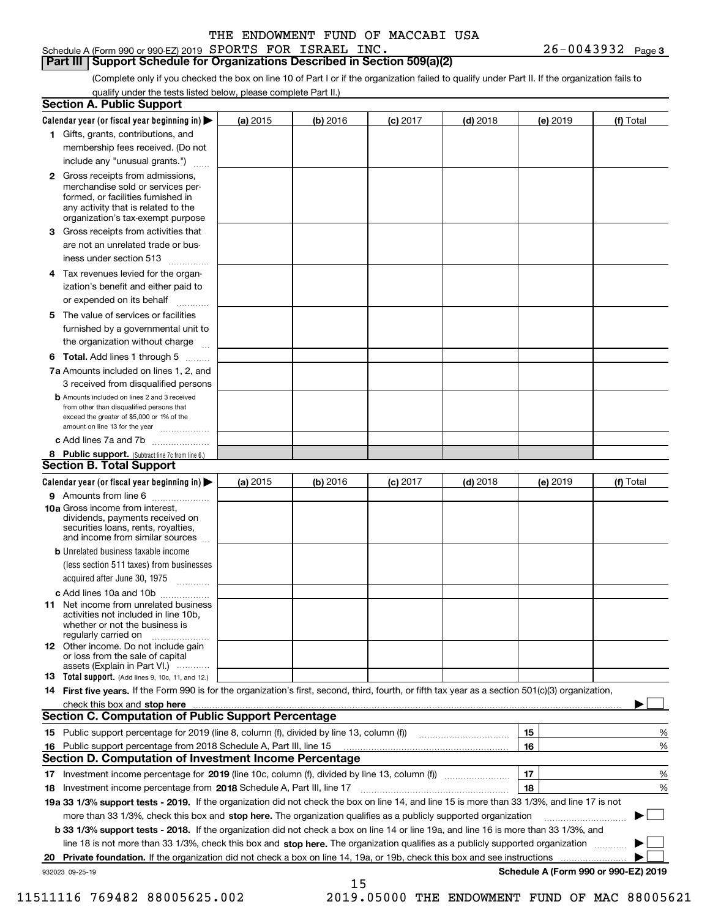#### Schedule A (Form 990 or 990-EZ) 2019 Page SPORTS FOR ISRAEL INC. 26-0043932

(Complete only if you checked the box on line 10 of Part I or if the organization failed to qualify under Part II. If the organization fails to qualify under the tests listed below, please complete Part II.)

|    | <b>Section A. Public Support</b>                                                                                                                                                                                               |          |          |            |            |          |                                      |
|----|--------------------------------------------------------------------------------------------------------------------------------------------------------------------------------------------------------------------------------|----------|----------|------------|------------|----------|--------------------------------------|
|    | Calendar year (or fiscal year beginning in) $\blacktriangleright$                                                                                                                                                              | (a) 2015 | (b) 2016 | $(c)$ 2017 | $(d)$ 2018 | (e) 2019 | (f) Total                            |
|    | 1 Gifts, grants, contributions, and                                                                                                                                                                                            |          |          |            |            |          |                                      |
|    | membership fees received. (Do not                                                                                                                                                                                              |          |          |            |            |          |                                      |
|    | include any "unusual grants.")                                                                                                                                                                                                 |          |          |            |            |          |                                      |
|    | 2 Gross receipts from admissions,<br>merchandise sold or services per-<br>formed, or facilities furnished in<br>any activity that is related to the<br>organization's tax-exempt purpose                                       |          |          |            |            |          |                                      |
|    | 3 Gross receipts from activities that<br>are not an unrelated trade or bus-                                                                                                                                                    |          |          |            |            |          |                                      |
|    | iness under section 513                                                                                                                                                                                                        |          |          |            |            |          |                                      |
|    | 4 Tax revenues levied for the organ-<br>ization's benefit and either paid to<br>or expended on its behalf                                                                                                                      |          |          |            |            |          |                                      |
|    | 5 The value of services or facilities<br>furnished by a governmental unit to                                                                                                                                                   |          |          |            |            |          |                                      |
|    | the organization without charge                                                                                                                                                                                                |          |          |            |            |          |                                      |
|    | <b>6 Total.</b> Add lines 1 through 5                                                                                                                                                                                          |          |          |            |            |          |                                      |
|    | 7a Amounts included on lines 1, 2, and<br>3 received from disqualified persons                                                                                                                                                 |          |          |            |            |          |                                      |
|    | <b>b</b> Amounts included on lines 2 and 3 received<br>from other than disqualified persons that<br>exceed the greater of \$5,000 or 1% of the<br>amount on line 13 for the year                                               |          |          |            |            |          |                                      |
|    | c Add lines 7a and 7b                                                                                                                                                                                                          |          |          |            |            |          |                                      |
|    | 8 Public support. (Subtract line 7c from line 6.)<br><b>Section B. Total Support</b>                                                                                                                                           |          |          |            |            |          |                                      |
|    | Calendar year (or fiscal year beginning in)                                                                                                                                                                                    | (a) 2015 | (b) 2016 | $(c)$ 2017 | $(d)$ 2018 | (e) 2019 | (f) Total                            |
|    | 9 Amounts from line 6                                                                                                                                                                                                          |          |          |            |            |          |                                      |
|    | 10a Gross income from interest,<br>dividends, payments received on<br>securities loans, rents, royalties,<br>and income from similar sources                                                                                   |          |          |            |            |          |                                      |
|    | <b>b</b> Unrelated business taxable income<br>(less section 511 taxes) from businesses<br>acquired after June 30, 1975                                                                                                         |          |          |            |            |          |                                      |
|    | c Add lines 10a and 10b                                                                                                                                                                                                        |          |          |            |            |          |                                      |
|    | <b>11</b> Net income from unrelated business<br>activities not included in line 10b,<br>whether or not the business is<br>regularly carried on                                                                                 |          |          |            |            |          |                                      |
|    | <b>12</b> Other income. Do not include gain<br>or loss from the sale of capital<br>assets (Explain in Part VI.)                                                                                                                |          |          |            |            |          |                                      |
|    | <b>13</b> Total support. (Add lines 9, 10c, 11, and 12.)                                                                                                                                                                       |          |          |            |            |          |                                      |
|    | 14 First five years. If the Form 990 is for the organization's first, second, third, fourth, or fifth tax year as a section 501(c)(3) organization,                                                                            |          |          |            |            |          |                                      |
|    | check this box and stop here manufactured and content to the state of the state of the state of the state of the state of the state of the state of the state of the state of the state of the state of the state of the state |          |          |            |            |          |                                      |
|    | <b>Section C. Computation of Public Support Percentage</b>                                                                                                                                                                     |          |          |            |            |          |                                      |
|    |                                                                                                                                                                                                                                |          |          |            |            | 15       | %                                    |
|    | 16 Public support percentage from 2018 Schedule A, Part III, line 15<br><b>Section D. Computation of Investment Income Percentage</b>                                                                                          |          |          |            |            | 16       | %                                    |
|    | 17 Investment income percentage for 2019 (line 10c, column (f), divided by line 13, column (f))                                                                                                                                |          |          |            |            | 17       | %                                    |
|    | 18 Investment income percentage from 2018 Schedule A, Part III, line 17                                                                                                                                                        |          |          |            |            | 18       | %                                    |
|    | 19a 33 1/3% support tests - 2019. If the organization did not check the box on line 14, and line 15 is more than 33 1/3%, and line 17 is not                                                                                   |          |          |            |            |          |                                      |
|    | more than 33 1/3%, check this box and stop here. The organization qualifies as a publicly supported organization                                                                                                               |          |          |            |            |          |                                      |
|    | <b>b 33 1/3% support tests - 2018.</b> If the organization did not check a box on line 14 or line 19a, and line 16 is more than 33 1/3%, and                                                                                   |          |          |            |            |          |                                      |
|    | line 18 is not more than 33 1/3%, check this box and stop here. The organization qualifies as a publicly supported organization                                                                                                |          |          |            |            |          |                                      |
| 20 | Private foundation. If the organization did not check a box on line 14, 19a, or 19b, check this box and see instructions                                                                                                       |          |          |            |            |          |                                      |
|    | 932023 09-25-19                                                                                                                                                                                                                |          |          |            |            |          | Schedule A (Form 990 or 990-EZ) 2019 |
|    |                                                                                                                                                                                                                                |          | 15       |            |            |          |                                      |

11511116 769482 88005625.002 2019.05000 THE ENDOWMENT FUND OF MAC 88005621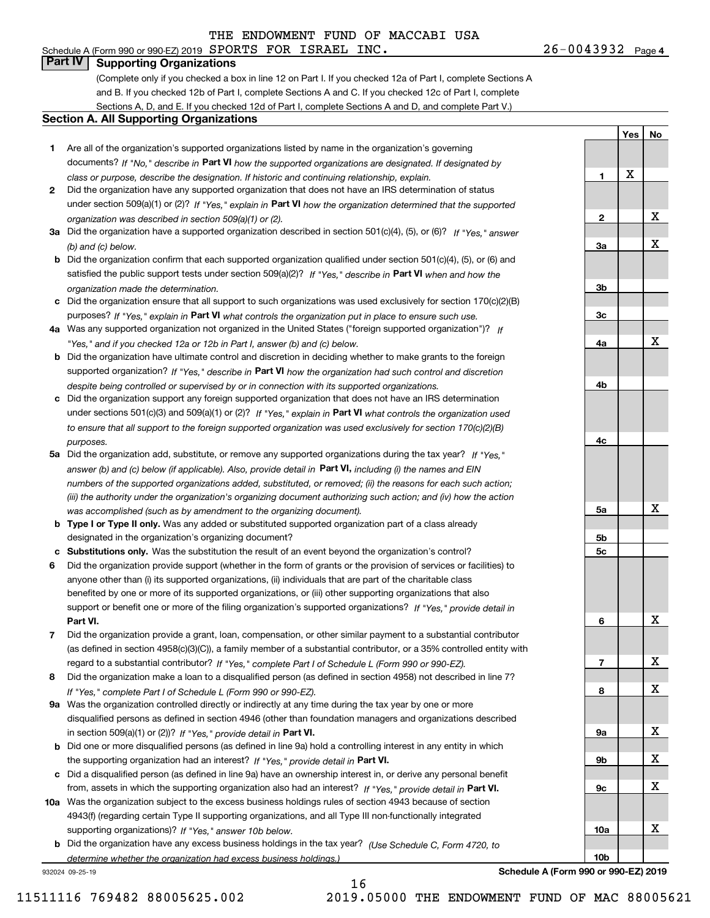# **Part IV Supporting Organizations**

(Complete only if you checked a box in line 12 on Part I. If you checked 12a of Part I, complete Sections A and B. If you checked 12b of Part I, complete Sections A and C. If you checked 12c of Part I, complete Sections A, D, and E. If you checked 12d of Part I, complete Sections A and D, and complete Part V.)

#### **Section A. All Supporting Organizations**

- **1** Are all of the organization's supported organizations listed by name in the organization's governing documents? If "No," describe in **Part VI** how the supported organizations are designated. If designated by *class or purpose, describe the designation. If historic and continuing relationship, explain.*
- **2** Did the organization have any supported organization that does not have an IRS determination of status under section 509(a)(1) or (2)? If "Yes," explain in Part VI how the organization determined that the supported *organization was described in section 509(a)(1) or (2).*
- **3a** Did the organization have a supported organization described in section 501(c)(4), (5), or (6)? If "Yes," answer *(b) and (c) below.*
- **b** Did the organization confirm that each supported organization qualified under section 501(c)(4), (5), or (6) and satisfied the public support tests under section 509(a)(2)? If "Yes," describe in **Part VI** when and how the *organization made the determination.*
- **c**Did the organization ensure that all support to such organizations was used exclusively for section 170(c)(2)(B) purposes? If "Yes," explain in **Part VI** what controls the organization put in place to ensure such use.
- **4a***If* Was any supported organization not organized in the United States ("foreign supported organization")? *"Yes," and if you checked 12a or 12b in Part I, answer (b) and (c) below.*
- **b** Did the organization have ultimate control and discretion in deciding whether to make grants to the foreign supported organization? If "Yes," describe in **Part VI** how the organization had such control and discretion *despite being controlled or supervised by or in connection with its supported organizations.*
- **c** Did the organization support any foreign supported organization that does not have an IRS determination under sections 501(c)(3) and 509(a)(1) or (2)? If "Yes," explain in **Part VI** what controls the organization used *to ensure that all support to the foreign supported organization was used exclusively for section 170(c)(2)(B) purposes.*
- **5a** Did the organization add, substitute, or remove any supported organizations during the tax year? If "Yes," answer (b) and (c) below (if applicable). Also, provide detail in **Part VI,** including (i) the names and EIN *numbers of the supported organizations added, substituted, or removed; (ii) the reasons for each such action; (iii) the authority under the organization's organizing document authorizing such action; and (iv) how the action was accomplished (such as by amendment to the organizing document).*
- **b** Type I or Type II only. Was any added or substituted supported organization part of a class already designated in the organization's organizing document?
- **cSubstitutions only.**  Was the substitution the result of an event beyond the organization's control?
- **6** Did the organization provide support (whether in the form of grants or the provision of services or facilities) to **Part VI.** *If "Yes," provide detail in* support or benefit one or more of the filing organization's supported organizations? anyone other than (i) its supported organizations, (ii) individuals that are part of the charitable class benefited by one or more of its supported organizations, or (iii) other supporting organizations that also
- **7**Did the organization provide a grant, loan, compensation, or other similar payment to a substantial contributor *If "Yes," complete Part I of Schedule L (Form 990 or 990-EZ).* regard to a substantial contributor? (as defined in section 4958(c)(3)(C)), a family member of a substantial contributor, or a 35% controlled entity with
- **8** Did the organization make a loan to a disqualified person (as defined in section 4958) not described in line 7? *If "Yes," complete Part I of Schedule L (Form 990 or 990-EZ).*
- **9a** Was the organization controlled directly or indirectly at any time during the tax year by one or more in section 509(a)(1) or (2))? If "Yes," *provide detail in* <code>Part VI.</code> disqualified persons as defined in section 4946 (other than foundation managers and organizations described
- **b**the supporting organization had an interest? If "Yes," provide detail in P**art VI**. Did one or more disqualified persons (as defined in line 9a) hold a controlling interest in any entity in which
- **c**Did a disqualified person (as defined in line 9a) have an ownership interest in, or derive any personal benefit from, assets in which the supporting organization also had an interest? If "Yes," provide detail in P**art VI.**
- **10a** Was the organization subject to the excess business holdings rules of section 4943 because of section supporting organizations)? If "Yes," answer 10b below. 4943(f) (regarding certain Type II supporting organizations, and all Type III non-functionally integrated
- **b** Did the organization have any excess business holdings in the tax year? (Use Schedule C, Form 4720, to *determine whether the organization had excess business holdings.)*

16

932024 09-25-19

**Schedule A (Form 990 or 990-EZ) 2019**

**1**

**2**

**3a**

**3b**

**3c**

**4a**

**4b**

**4c**

**5a**

**5b5c**

**6**

**7**

**8**

**9a**

**9b**

**9c**

**10a**

**10b**

**Yes**

X

**No**

X

X

X

X

X

X

X

X

X

X

X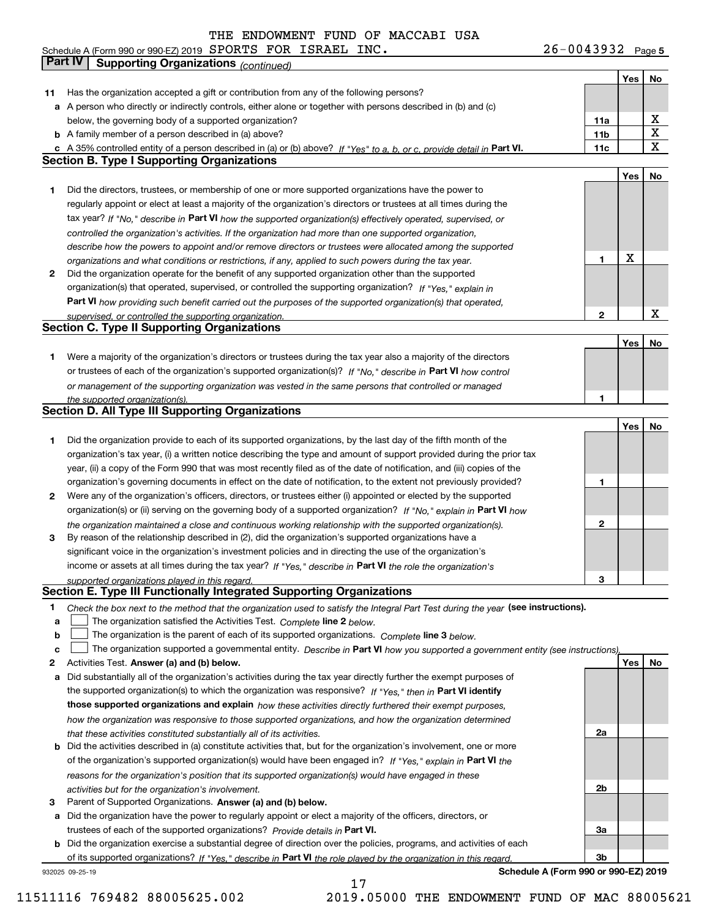**5** Schedule A (Form 990 or 990-EZ) 2019 Page SPORTS FOR ISRAEL INC. 26-0043932

|    | <b>Part IV</b>  | <b>Supporting Organizations (continued)</b>                                                                                       |                 |     |                         |
|----|-----------------|-----------------------------------------------------------------------------------------------------------------------------------|-----------------|-----|-------------------------|
|    |                 |                                                                                                                                   |                 | Yes | No                      |
| 11 |                 | Has the organization accepted a gift or contribution from any of the following persons?                                           |                 |     |                         |
| а  |                 | A person who directly or indirectly controls, either alone or together with persons described in (b) and (c)                      |                 |     |                         |
|    |                 | below, the governing body of a supported organization?                                                                            | 11a             |     | х                       |
|    |                 | <b>b</b> A family member of a person described in (a) above?                                                                      | 11 <sub>b</sub> |     | $\overline{\textbf{X}}$ |
|    |                 | c A 35% controlled entity of a person described in (a) or (b) above? If "Yes" to a, b, or c, provide detail in Part VI.           | 11c             |     | $\mathbf X$             |
|    |                 | <b>Section B. Type I Supporting Organizations</b>                                                                                 |                 |     |                         |
|    |                 |                                                                                                                                   |                 | Yes | No                      |
| 1  |                 | Did the directors, trustees, or membership of one or more supported organizations have the power to                               |                 |     |                         |
|    |                 | regularly appoint or elect at least a majority of the organization's directors or trustees at all times during the                |                 |     |                         |
|    |                 | tax year? If "No," describe in Part VI how the supported organization(s) effectively operated, supervised, or                     |                 |     |                         |
|    |                 | controlled the organization's activities. If the organization had more than one supported organization,                           |                 |     |                         |
|    |                 | describe how the powers to appoint and/or remove directors or trustees were allocated among the supported                         |                 |     |                         |
|    |                 | organizations and what conditions or restrictions, if any, applied to such powers during the tax year.                            | 1               | X   |                         |
| 2  |                 | Did the organization operate for the benefit of any supported organization other than the supported                               |                 |     |                         |
|    |                 | organization(s) that operated, supervised, or controlled the supporting organization? If "Yes," explain in                        |                 |     |                         |
|    |                 | Part VI how providing such benefit carried out the purposes of the supported organization(s) that operated,                       |                 |     |                         |
|    |                 | supervised, or controlled the supporting organization.                                                                            | 2               |     | $\mathbf X$             |
|    |                 | <b>Section C. Type II Supporting Organizations</b>                                                                                |                 |     |                         |
|    |                 |                                                                                                                                   |                 | Yes | No                      |
| 1  |                 | Were a majority of the organization's directors or trustees during the tax year also a majority of the directors                  |                 |     |                         |
|    |                 | or trustees of each of the organization's supported organization(s)? If "No," describe in Part VI how control                     |                 |     |                         |
|    |                 | or management of the supporting organization was vested in the same persons that controlled or managed                            |                 |     |                         |
|    |                 | the supported organization(s).                                                                                                    | 1               |     |                         |
|    |                 | Section D. All Type III Supporting Organizations                                                                                  |                 |     |                         |
|    |                 |                                                                                                                                   |                 | Yes | No                      |
| 1  |                 | Did the organization provide to each of its supported organizations, by the last day of the fifth month of the                    |                 |     |                         |
|    |                 | organization's tax year, (i) a written notice describing the type and amount of support provided during the prior tax             |                 |     |                         |
|    |                 | year, (ii) a copy of the Form 990 that was most recently filed as of the date of notification, and (iii) copies of the            |                 |     |                         |
|    |                 | organization's governing documents in effect on the date of notification, to the extent not previously provided?                  | 1               |     |                         |
| 2  |                 | Were any of the organization's officers, directors, or trustees either (i) appointed or elected by the supported                  |                 |     |                         |
|    |                 | organization(s) or (ii) serving on the governing body of a supported organization? If "No," explain in Part VI how                |                 |     |                         |
|    |                 | the organization maintained a close and continuous working relationship with the supported organization(s).                       | $\mathbf{2}$    |     |                         |
| з  |                 | By reason of the relationship described in (2), did the organization's supported organizations have a                             |                 |     |                         |
|    |                 | significant voice in the organization's investment policies and in directing the use of the organization's                        |                 |     |                         |
|    |                 | income or assets at all times during the tax year? If "Yes," describe in Part VI the role the organization's                      |                 |     |                         |
|    |                 | supported organizations played in this regard.                                                                                    | 3               |     |                         |
|    |                 | Section E. Type III Functionally Integrated Supporting Organizations                                                              |                 |     |                         |
| 1  |                 | Check the box next to the method that the organization used to satisfy the Integral Part Test during the year (see instructions). |                 |     |                         |
| a  |                 | The organization satisfied the Activities Test. Complete line 2 below.                                                            |                 |     |                         |
| b  |                 | The organization is the parent of each of its supported organizations. Complete line 3 below.                                     |                 |     |                         |
| c  |                 | The organization supported a governmental entity. Describe in Part VI how you supported a government entity (see instructions)    |                 |     |                         |
| 2  |                 | Activities Test. Answer (a) and (b) below.                                                                                        |                 | Yes | No                      |
| а  |                 | Did substantially all of the organization's activities during the tax year directly further the exempt purposes of                |                 |     |                         |
|    |                 | the supported organization(s) to which the organization was responsive? If "Yes," then in Part VI identify                        |                 |     |                         |
|    |                 | those supported organizations and explain how these activities directly furthered their exempt purposes,                          |                 |     |                         |
|    |                 | how the organization was responsive to those supported organizations, and how the organization determined                         |                 |     |                         |
|    |                 | that these activities constituted substantially all of its activities.                                                            | 2a              |     |                         |
| b  |                 | Did the activities described in (a) constitute activities that, but for the organization's involvement, one or more               |                 |     |                         |
|    |                 | of the organization's supported organization(s) would have been engaged in? If "Yes," explain in Part VI the                      |                 |     |                         |
|    |                 | reasons for the organization's position that its supported organization(s) would have engaged in these                            |                 |     |                         |
|    |                 | activities but for the organization's involvement.                                                                                | 2b              |     |                         |
| з  |                 | Parent of Supported Organizations. Answer (a) and (b) below.                                                                      |                 |     |                         |
| а  |                 | Did the organization have the power to regularly appoint or elect a majority of the officers, directors, or                       |                 |     |                         |
|    |                 | trustees of each of the supported organizations? Provide details in Part VI.                                                      | За              |     |                         |
|    |                 | <b>b</b> Did the organization exercise a substantial degree of direction over the policies, programs, and activities of each      |                 |     |                         |
|    |                 | of its supported organizations? If "Yes," describe in Part VI the role played by the organization in this regard                  | Зb              |     |                         |
|    | 932025 09-25-19 | Schedule A (Form 990 or 990-EZ) 2019                                                                                              |                 |     |                         |

17

11511116 769482 88005625.002 2019.05000 THE ENDOWMENT FUND OF MAC 88005621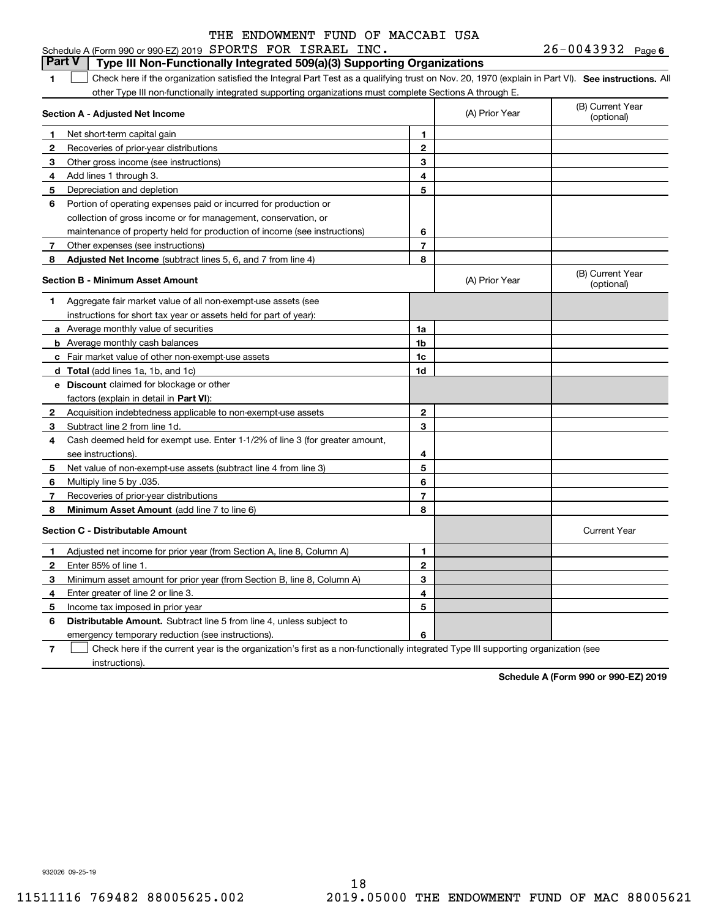#### $26 - 0043932$  Page 6 **1SEP 10. See instructions.** All antegral Part Test as a qualifying trust on Nov. 20, 1970 (explain in Part VI). See instructions. All **Section A - Adjusted Net Income 123** Other gross income (see instructions) **4**Add lines 1 through 3. **56** Portion of operating expenses paid or incurred for production or **7** Other expenses (see instructions) **8** Adjusted Net Income (subtract lines 5, 6, and 7 from line 4) **8 8 1234567Section B - Minimum Asset Amount 1**Aggregate fair market value of all non-exempt-use assets (see **2**Acquisition indebtedness applicable to non-exempt-use assets **3** Subtract line 2 from line 1d. **4**Cash deemed held for exempt use. Enter 1-1/2% of line 3 (for greater amount, **5** Net value of non-exempt-use assets (subtract line 4 from line 3) **678a** Average monthly value of securities **b** Average monthly cash balances **c**Fair market value of other non-exempt-use assets **dTotal**  (add lines 1a, 1b, and 1c) **eDiscount** claimed for blockage or other **1a1b1c1d2345678**factors (explain in detail in **Part VI**): **Minimum Asset Amount**  (add line 7 to line 6) **Section C - Distributable Amount 123456123456Distributable Amount.** Subtract line 5 from line 4, unless subject to Schedule A (Form 990 or 990-EZ) 2019 Page SPORTS FOR ISRAEL INC. 26-0043932 other Type III non-functionally integrated supporting organizations must complete Sections A through E. (B) Current Year (optional)(A) Prior Year Net short-term capital gain Recoveries of prior-year distributions Depreciation and depletion collection of gross income or for management, conservation, or maintenance of property held for production of income (see instructions) (B) Current Year (optional)(A) Prior Year instructions for short tax year or assets held for part of year): see instructions). Multiply line 5 by .035. Recoveries of prior-year distributions Current Year Adjusted net income for prior year (from Section A, line 8, Column A) Enter 85% of line 1. Minimum asset amount for prior year (from Section B, line 8, Column A) Enter greater of line 2 or line 3. Income tax imposed in prior year emergency temporary reduction (see instructions). **Part V Type III Non-Functionally Integrated 509(a)(3) Supporting Organizations**   $\mathcal{L}^{\text{max}}$

**7**Check here if the current year is the organization's first as a non-functionally integrated Type III supporting organization (see instructions). $\mathcal{L}^{\text{max}}$ 

**Schedule A (Form 990 or 990-EZ) 2019**

932026 09-25-19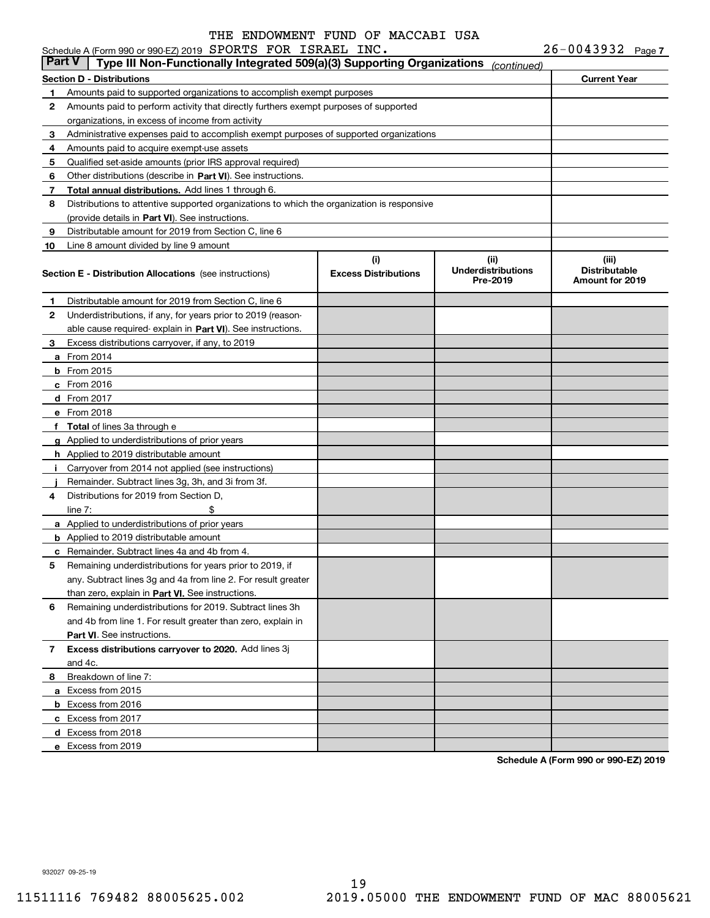|               | Schedule A (Form 990 or 990-EZ) 2019 SPORTS FOR ISRAEL INC.                                |                                    |                                                | $26 - 0043932$ Page 7                            |
|---------------|--------------------------------------------------------------------------------------------|------------------------------------|------------------------------------------------|--------------------------------------------------|
| <b>Part V</b> | Type III Non-Functionally Integrated 509(a)(3) Supporting Organizations                    |                                    | (continued)                                    |                                                  |
|               | <b>Section D - Distributions</b>                                                           |                                    |                                                | <b>Current Year</b>                              |
| 1             | Amounts paid to supported organizations to accomplish exempt purposes                      |                                    |                                                |                                                  |
| 2             | Amounts paid to perform activity that directly furthers exempt purposes of supported       |                                    |                                                |                                                  |
|               | organizations, in excess of income from activity                                           |                                    |                                                |                                                  |
| 3             | Administrative expenses paid to accomplish exempt purposes of supported organizations      |                                    |                                                |                                                  |
| 4             | Amounts paid to acquire exempt-use assets                                                  |                                    |                                                |                                                  |
| 5             | Qualified set-aside amounts (prior IRS approval required)                                  |                                    |                                                |                                                  |
| 6             | Other distributions (describe in Part VI). See instructions.                               |                                    |                                                |                                                  |
| 7             | Total annual distributions. Add lines 1 through 6.                                         |                                    |                                                |                                                  |
| 8             | Distributions to attentive supported organizations to which the organization is responsive |                                    |                                                |                                                  |
|               | (provide details in Part VI). See instructions.                                            |                                    |                                                |                                                  |
| 9             | Distributable amount for 2019 from Section C, line 6                                       |                                    |                                                |                                                  |
| 10            | Line 8 amount divided by line 9 amount                                                     |                                    |                                                |                                                  |
|               | <b>Section E - Distribution Allocations</b> (see instructions)                             | (i)<br><b>Excess Distributions</b> | (iii)<br><b>Underdistributions</b><br>Pre-2019 | (iii)<br><b>Distributable</b><br>Amount for 2019 |
| 1             | Distributable amount for 2019 from Section C, line 6                                       |                                    |                                                |                                                  |
| 2             | Underdistributions, if any, for years prior to 2019 (reason-                               |                                    |                                                |                                                  |
|               | able cause required-explain in Part VI). See instructions.                                 |                                    |                                                |                                                  |
| 3             | Excess distributions carryover, if any, to 2019                                            |                                    |                                                |                                                  |
|               | <b>a</b> From 2014                                                                         |                                    |                                                |                                                  |
|               | $b$ From 2015                                                                              |                                    |                                                |                                                  |
|               | $c$ From 2016                                                                              |                                    |                                                |                                                  |
|               | d From 2017                                                                                |                                    |                                                |                                                  |
|               | e From 2018                                                                                |                                    |                                                |                                                  |
|               | f Total of lines 3a through e                                                              |                                    |                                                |                                                  |
|               | g Applied to underdistributions of prior years                                             |                                    |                                                |                                                  |
|               | <b>h</b> Applied to 2019 distributable amount                                              |                                    |                                                |                                                  |
|               | Carryover from 2014 not applied (see instructions)                                         |                                    |                                                |                                                  |
|               | Remainder. Subtract lines 3g, 3h, and 3i from 3f.                                          |                                    |                                                |                                                  |
| 4             | Distributions for 2019 from Section D.                                                     |                                    |                                                |                                                  |
|               | \$<br>line $7:$                                                                            |                                    |                                                |                                                  |
|               | a Applied to underdistributions of prior years                                             |                                    |                                                |                                                  |
|               | <b>b</b> Applied to 2019 distributable amount                                              |                                    |                                                |                                                  |
|               | <b>c</b> Remainder. Subtract lines 4a and 4b from 4.                                       |                                    |                                                |                                                  |
|               | Remaining underdistributions for years prior to 2019, if                                   |                                    |                                                |                                                  |
|               | any. Subtract lines 3g and 4a from line 2. For result greater                              |                                    |                                                |                                                  |
|               | than zero, explain in Part VI. See instructions.                                           |                                    |                                                |                                                  |
| 6             | Remaining underdistributions for 2019. Subtract lines 3h                                   |                                    |                                                |                                                  |
|               | and 4b from line 1. For result greater than zero, explain in                               |                                    |                                                |                                                  |
|               | <b>Part VI.</b> See instructions.                                                          |                                    |                                                |                                                  |
| 7             | Excess distributions carryover to 2020. Add lines 3j                                       |                                    |                                                |                                                  |
|               | and 4c.                                                                                    |                                    |                                                |                                                  |
| 8             | Breakdown of line 7:                                                                       |                                    |                                                |                                                  |
|               | a Excess from 2015                                                                         |                                    |                                                |                                                  |
|               | <b>b</b> Excess from 2016                                                                  |                                    |                                                |                                                  |
|               | c Excess from 2017                                                                         |                                    |                                                |                                                  |
|               | d Excess from 2018                                                                         |                                    |                                                |                                                  |
|               | e Excess from 2019                                                                         |                                    |                                                |                                                  |
|               |                                                                                            |                                    |                                                |                                                  |

**Schedule A (Form 990 or 990-EZ) 2019**

932027 09-25-19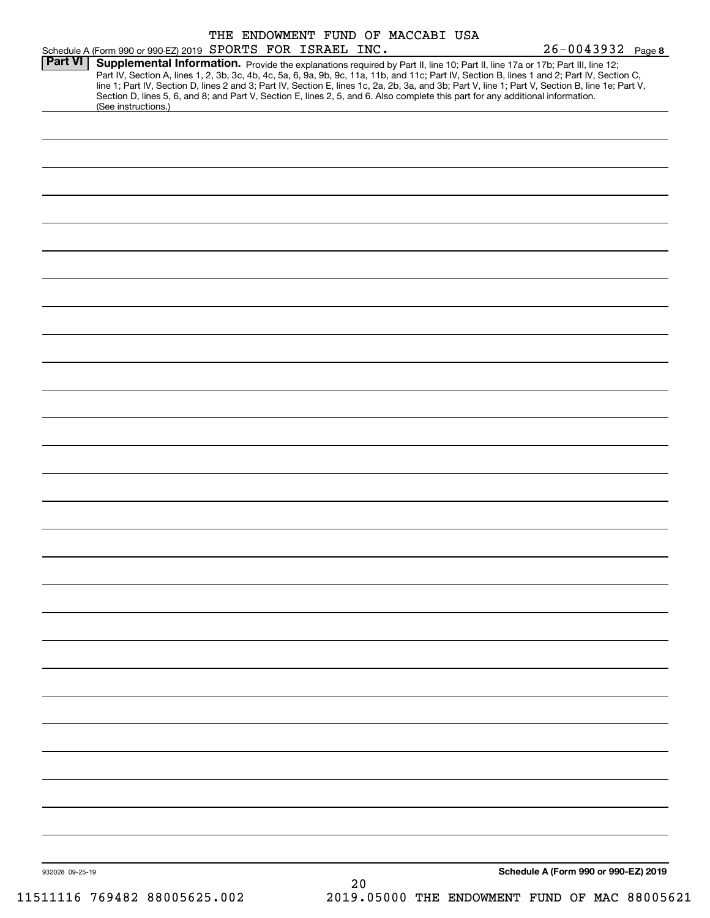| Schedule A (Form 990 or 990-EZ) 2019 SPORTS FOR ISRAEL INC.<br>Supplemental Information. Provide the explanations required by Part II, line 10; Part II, line 17a or 17b; Part III, line 12;<br>Part IV, Section A, lines 1, 2, 3b, 3c, 4b, 4c, 5a, 6, 9a, 9b, 9c, 11a, 11b, and 11c; Part IV, Section B, lines 1 and 2; Part IV, Section C,<br>line 1; Part IV, Section D, lines 2 and 3; Part IV, Section E, lines 1c, 2a, 2b, 3a, and 3b; Part V, line 1; Part V, Section B, line 1e; Part V,<br>Section D, lines 5, 6, and 8; and Part V, Section E, lines 2, 5, and 6. Also complete this part for any additional information.<br>(See instructions.) |  |  |    | $26 - 0043932$ Page 8 |                                      |
|------------------------------------------------------------------------------------------------------------------------------------------------------------------------------------------------------------------------------------------------------------------------------------------------------------------------------------------------------------------------------------------------------------------------------------------------------------------------------------------------------------------------------------------------------------------------------------------------------------------------------------------------------------|--|--|----|-----------------------|--------------------------------------|
|                                                                                                                                                                                                                                                                                                                                                                                                                                                                                                                                                                                                                                                            |  |  |    |                       |                                      |
|                                                                                                                                                                                                                                                                                                                                                                                                                                                                                                                                                                                                                                                            |  |  |    |                       |                                      |
|                                                                                                                                                                                                                                                                                                                                                                                                                                                                                                                                                                                                                                                            |  |  |    |                       |                                      |
|                                                                                                                                                                                                                                                                                                                                                                                                                                                                                                                                                                                                                                                            |  |  |    |                       |                                      |
|                                                                                                                                                                                                                                                                                                                                                                                                                                                                                                                                                                                                                                                            |  |  |    |                       |                                      |
|                                                                                                                                                                                                                                                                                                                                                                                                                                                                                                                                                                                                                                                            |  |  |    |                       |                                      |
|                                                                                                                                                                                                                                                                                                                                                                                                                                                                                                                                                                                                                                                            |  |  |    |                       |                                      |
|                                                                                                                                                                                                                                                                                                                                                                                                                                                                                                                                                                                                                                                            |  |  |    |                       |                                      |
|                                                                                                                                                                                                                                                                                                                                                                                                                                                                                                                                                                                                                                                            |  |  |    |                       |                                      |
|                                                                                                                                                                                                                                                                                                                                                                                                                                                                                                                                                                                                                                                            |  |  |    |                       |                                      |
|                                                                                                                                                                                                                                                                                                                                                                                                                                                                                                                                                                                                                                                            |  |  |    |                       |                                      |
|                                                                                                                                                                                                                                                                                                                                                                                                                                                                                                                                                                                                                                                            |  |  |    |                       |                                      |
|                                                                                                                                                                                                                                                                                                                                                                                                                                                                                                                                                                                                                                                            |  |  |    |                       |                                      |
|                                                                                                                                                                                                                                                                                                                                                                                                                                                                                                                                                                                                                                                            |  |  |    |                       |                                      |
|                                                                                                                                                                                                                                                                                                                                                                                                                                                                                                                                                                                                                                                            |  |  |    |                       |                                      |
|                                                                                                                                                                                                                                                                                                                                                                                                                                                                                                                                                                                                                                                            |  |  |    |                       |                                      |
|                                                                                                                                                                                                                                                                                                                                                                                                                                                                                                                                                                                                                                                            |  |  |    |                       |                                      |
|                                                                                                                                                                                                                                                                                                                                                                                                                                                                                                                                                                                                                                                            |  |  |    |                       |                                      |
|                                                                                                                                                                                                                                                                                                                                                                                                                                                                                                                                                                                                                                                            |  |  |    |                       |                                      |
|                                                                                                                                                                                                                                                                                                                                                                                                                                                                                                                                                                                                                                                            |  |  |    |                       |                                      |
|                                                                                                                                                                                                                                                                                                                                                                                                                                                                                                                                                                                                                                                            |  |  |    |                       |                                      |
|                                                                                                                                                                                                                                                                                                                                                                                                                                                                                                                                                                                                                                                            |  |  |    |                       |                                      |
|                                                                                                                                                                                                                                                                                                                                                                                                                                                                                                                                                                                                                                                            |  |  |    |                       |                                      |
|                                                                                                                                                                                                                                                                                                                                                                                                                                                                                                                                                                                                                                                            |  |  |    |                       |                                      |
|                                                                                                                                                                                                                                                                                                                                                                                                                                                                                                                                                                                                                                                            |  |  |    |                       |                                      |
|                                                                                                                                                                                                                                                                                                                                                                                                                                                                                                                                                                                                                                                            |  |  |    |                       |                                      |
|                                                                                                                                                                                                                                                                                                                                                                                                                                                                                                                                                                                                                                                            |  |  |    |                       |                                      |
|                                                                                                                                                                                                                                                                                                                                                                                                                                                                                                                                                                                                                                                            |  |  |    |                       |                                      |
|                                                                                                                                                                                                                                                                                                                                                                                                                                                                                                                                                                                                                                                            |  |  |    |                       |                                      |
|                                                                                                                                                                                                                                                                                                                                                                                                                                                                                                                                                                                                                                                            |  |  |    |                       |                                      |
|                                                                                                                                                                                                                                                                                                                                                                                                                                                                                                                                                                                                                                                            |  |  |    |                       |                                      |
|                                                                                                                                                                                                                                                                                                                                                                                                                                                                                                                                                                                                                                                            |  |  |    |                       |                                      |
|                                                                                                                                                                                                                                                                                                                                                                                                                                                                                                                                                                                                                                                            |  |  |    |                       |                                      |
|                                                                                                                                                                                                                                                                                                                                                                                                                                                                                                                                                                                                                                                            |  |  |    |                       |                                      |
|                                                                                                                                                                                                                                                                                                                                                                                                                                                                                                                                                                                                                                                            |  |  |    |                       |                                      |
|                                                                                                                                                                                                                                                                                                                                                                                                                                                                                                                                                                                                                                                            |  |  |    |                       |                                      |
|                                                                                                                                                                                                                                                                                                                                                                                                                                                                                                                                                                                                                                                            |  |  |    |                       |                                      |
|                                                                                                                                                                                                                                                                                                                                                                                                                                                                                                                                                                                                                                                            |  |  |    |                       |                                      |
|                                                                                                                                                                                                                                                                                                                                                                                                                                                                                                                                                                                                                                                            |  |  |    |                       |                                      |
|                                                                                                                                                                                                                                                                                                                                                                                                                                                                                                                                                                                                                                                            |  |  |    |                       |                                      |
|                                                                                                                                                                                                                                                                                                                                                                                                                                                                                                                                                                                                                                                            |  |  |    |                       |                                      |
|                                                                                                                                                                                                                                                                                                                                                                                                                                                                                                                                                                                                                                                            |  |  |    |                       |                                      |
|                                                                                                                                                                                                                                                                                                                                                                                                                                                                                                                                                                                                                                                            |  |  |    |                       |                                      |
|                                                                                                                                                                                                                                                                                                                                                                                                                                                                                                                                                                                                                                                            |  |  |    |                       |                                      |
|                                                                                                                                                                                                                                                                                                                                                                                                                                                                                                                                                                                                                                                            |  |  |    |                       |                                      |
|                                                                                                                                                                                                                                                                                                                                                                                                                                                                                                                                                                                                                                                            |  |  |    |                       |                                      |
|                                                                                                                                                                                                                                                                                                                                                                                                                                                                                                                                                                                                                                                            |  |  |    |                       |                                      |
|                                                                                                                                                                                                                                                                                                                                                                                                                                                                                                                                                                                                                                                            |  |  |    |                       |                                      |
|                                                                                                                                                                                                                                                                                                                                                                                                                                                                                                                                                                                                                                                            |  |  |    |                       |                                      |
|                                                                                                                                                                                                                                                                                                                                                                                                                                                                                                                                                                                                                                                            |  |  |    |                       |                                      |
|                                                                                                                                                                                                                                                                                                                                                                                                                                                                                                                                                                                                                                                            |  |  | 20 |                       | Schedule A (Form 990 or 990-EZ) 2019 |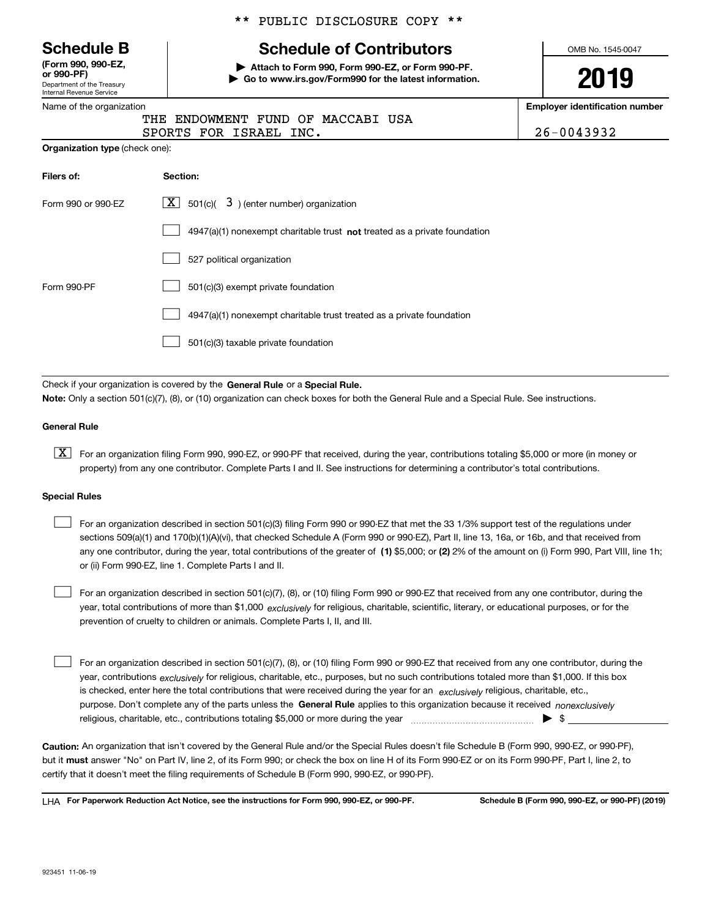Department of the Treasury Internal Revenue Service **(Form 990, 990-EZ, or 990-PF)**

#### Name of the organization

#### \*\* PUBLIC DISCLOSURE COPY \*\*

# **Schedule B Schedule of Contributors**

**| Attach to Form 990, Form 990-EZ, or Form 990-PF. | Go to www.irs.gov/Form990 for the latest information.** OMB No. 1545-0047

# **2019**

**Employer identification number**

|                        | THE ENDOWMENT FUND OF MACCABI USA |            |
|------------------------|-----------------------------------|------------|
| SPORTS FOR ISRAEL INC. |                                   | 26-0043932 |

**Organization type** (check one):

| Filers of:         | Section:                                                                  |
|--------------------|---------------------------------------------------------------------------|
| Form 990 or 990-EZ | $\lfloor x \rfloor$ 501(c)( 3) (enter number) organization                |
|                    | 4947(a)(1) nonexempt charitable trust not treated as a private foundation |
|                    | 527 political organization                                                |
| Form 990-PF        | 501(c)(3) exempt private foundation                                       |
|                    | 4947(a)(1) nonexempt charitable trust treated as a private foundation     |
|                    | 501(c)(3) taxable private foundation                                      |
|                    |                                                                           |

Check if your organization is covered by the **General Rule** or a **Special Rule. Note:**  Only a section 501(c)(7), (8), or (10) organization can check boxes for both the General Rule and a Special Rule. See instructions.

#### **General Rule**

 $\boxed{\textbf{X}}$  For an organization filing Form 990, 990-EZ, or 990-PF that received, during the year, contributions totaling \$5,000 or more (in money or property) from any one contributor. Complete Parts I and II. See instructions for determining a contributor's total contributions.

#### **Special Rules**

any one contributor, during the year, total contributions of the greater of  $\,$  (1) \$5,000; or **(2)** 2% of the amount on (i) Form 990, Part VIII, line 1h; For an organization described in section 501(c)(3) filing Form 990 or 990-EZ that met the 33 1/3% support test of the regulations under sections 509(a)(1) and 170(b)(1)(A)(vi), that checked Schedule A (Form 990 or 990-EZ), Part II, line 13, 16a, or 16b, and that received from or (ii) Form 990-EZ, line 1. Complete Parts I and II.  $\mathcal{L}^{\text{max}}$ 

year, total contributions of more than \$1,000 *exclusively* for religious, charitable, scientific, literary, or educational purposes, or for the For an organization described in section 501(c)(7), (8), or (10) filing Form 990 or 990-EZ that received from any one contributor, during the prevention of cruelty to children or animals. Complete Parts I, II, and III.  $\mathcal{L}^{\text{max}}$ 

purpose. Don't complete any of the parts unless the **General Rule** applies to this organization because it received *nonexclusively* year, contributions <sub>exclusively</sub> for religious, charitable, etc., purposes, but no such contributions totaled more than \$1,000. If this box is checked, enter here the total contributions that were received during the year for an  $\;$ exclusively religious, charitable, etc., For an organization described in section 501(c)(7), (8), or (10) filing Form 990 or 990-EZ that received from any one contributor, during the religious, charitable, etc., contributions totaling \$5,000 or more during the year  $\Box$ — $\Box$   $\Box$  $\mathcal{L}^{\text{max}}$ 

**Caution:**  An organization that isn't covered by the General Rule and/or the Special Rules doesn't file Schedule B (Form 990, 990-EZ, or 990-PF),  **must** but it answer "No" on Part IV, line 2, of its Form 990; or check the box on line H of its Form 990-EZ or on its Form 990-PF, Part I, line 2, to certify that it doesn't meet the filing requirements of Schedule B (Form 990, 990-EZ, or 990-PF).

**For Paperwork Reduction Act Notice, see the instructions for Form 990, 990-EZ, or 990-PF. Schedule B (Form 990, 990-EZ, or 990-PF) (2019)** LHA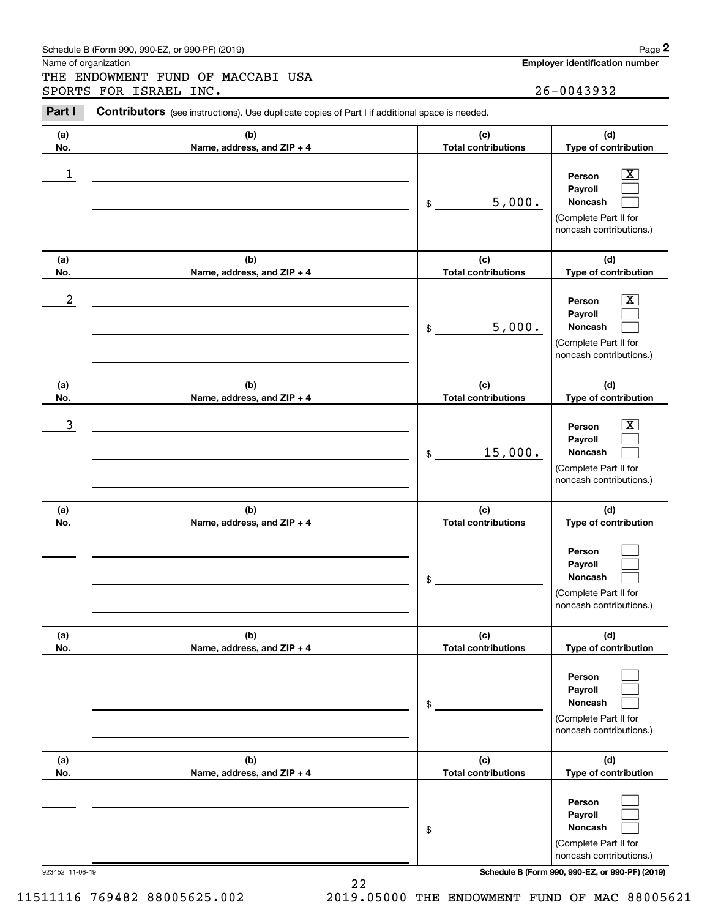#### Schedule B (Form 990, 990-EZ, or 990-PF) (2019) **Page 2**

Name of organization

Chedule B (Form 990, 990-EZ, or 990-PF) (2019)<br>
Iame of organization<br> **2PORTS FOR ISRAEL INC.**<br> **2PORTS FOR ISRAEL INC.**<br> **2PORTS FOR ISRAEL INC.**<br> **2PORTS FOR ISRAEL INC.** THE ENDOWMENT FUND OF MACCABI USA SPORTS FOR ISRAEL INC. 26-0043932

Contributors (see instructions). Use duplicate copies of Part I if additional space is needed.

| (a)             | (b)                        | (c)                              | (d)                                                                                                      |
|-----------------|----------------------------|----------------------------------|----------------------------------------------------------------------------------------------------------|
| No.             | Name, address, and ZIP + 4 | <b>Total contributions</b>       | Type of contribution                                                                                     |
| 1               |                            | 5,000.<br>$\frac{1}{2}$          | Person<br>X.<br>Payroll<br>Noncash<br>(Complete Part II for<br>noncash contributions.)                   |
| (a)             | (b)                        | (c)                              | (d)                                                                                                      |
| No.             | Name, address, and ZIP + 4 | <b>Total contributions</b>       | Type of contribution                                                                                     |
| 2               |                            | 5,000.<br>\$                     | Person<br>X.<br>Payroll<br>Noncash<br>(Complete Part II for<br>noncash contributions.)                   |
| (a)             | (b)                        | (c)                              | (d)                                                                                                      |
| No.             | Name, address, and ZIP + 4 | <b>Total contributions</b>       | Type of contribution                                                                                     |
| 3               |                            | 15,000.<br>\$                    | Person<br>х.<br>Payroll<br>Noncash<br>(Complete Part II for<br>noncash contributions.)                   |
|                 |                            |                                  |                                                                                                          |
| (a)             | (b)                        | (c)                              | (d)                                                                                                      |
| No.             | Name, address, and ZIP + 4 | <b>Total contributions</b>       | Type of contribution                                                                                     |
|                 |                            | \$                               | Person<br>Payroll<br>Noncash<br>(Complete Part II for<br>noncash contributions.)                         |
| (a)             | (b)                        | (c)                              | (d)                                                                                                      |
| No.             | Name, address, and ZIP + 4 | <b>Total contributions</b><br>\$ | Type of contribution<br>Person<br>Payroll<br>Noncash<br>(Complete Part II for<br>noncash contributions.) |
| (a)             | (b)                        | (c)                              | (d)                                                                                                      |
| No.             | Name, address, and ZIP + 4 | <b>Total contributions</b>       | Type of contribution                                                                                     |
|                 |                            | \$                               | Person<br>Payroll<br>Noncash<br>(Complete Part II for                                                    |
| 923452 11-06-19 |                            |                                  | noncash contributions.)<br>Schedule B (Form 990, 990-EZ, or 990-PF) (2019)                               |

22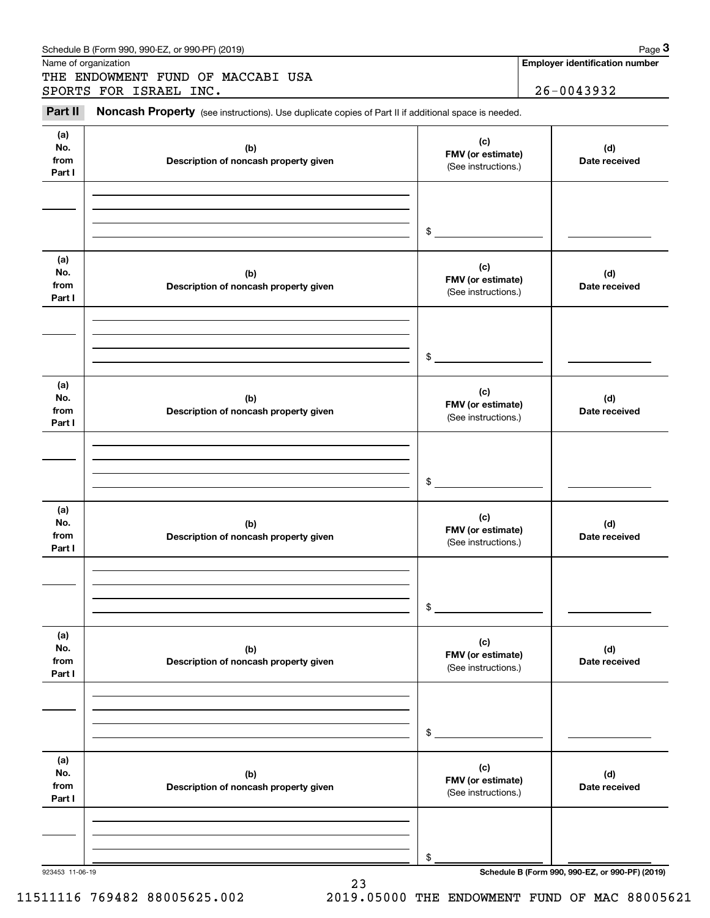| Schedule B (Form 990, 990-EZ, or 990-PF) (2019)                                                                       | Page $3$                              |
|-----------------------------------------------------------------------------------------------------------------------|---------------------------------------|
| Name of organization                                                                                                  | <b>Employer identification number</b> |
| THE ENDOWMENT FUND OF MACCABI USA                                                                                     |                                       |
| SPORTS FOR ISRAEL INC.                                                                                                | $26 - 0043932$                        |
| Part II<br><b>Noncash Property</b> (see instructions). Use duplicate copies of Part II if additional space is needed. |                                       |

| .                            | onodon'i roporty (300 mandonona). Oso duphodio copics ori dit in idditional space is nocuou. |                                                 |                                                 |
|------------------------------|----------------------------------------------------------------------------------------------|-------------------------------------------------|-------------------------------------------------|
| (a)<br>No.<br>from<br>Part I | (b)<br>Description of noncash property given                                                 | (c)<br>FMV (or estimate)<br>(See instructions.) | (d)<br>Date received                            |
|                              |                                                                                              |                                                 |                                                 |
|                              |                                                                                              |                                                 |                                                 |
|                              |                                                                                              | \$                                              |                                                 |
| (a)<br>No.<br>from<br>Part I | (b)<br>Description of noncash property given                                                 | (c)<br>FMV (or estimate)<br>(See instructions.) | (d)<br>Date received                            |
|                              |                                                                                              |                                                 |                                                 |
|                              |                                                                                              |                                                 |                                                 |
|                              |                                                                                              | \$                                              |                                                 |
| (a)                          |                                                                                              |                                                 |                                                 |
| No.<br>from<br>Part I        | (b)<br>Description of noncash property given                                                 | (c)<br>FMV (or estimate)<br>(See instructions.) | (d)<br>Date received                            |
|                              |                                                                                              |                                                 |                                                 |
|                              |                                                                                              |                                                 |                                                 |
|                              |                                                                                              | \$                                              |                                                 |
| (a)                          |                                                                                              |                                                 |                                                 |
| No.                          | (b)                                                                                          | (c)<br>FMV (or estimate)                        | (d)                                             |
| from<br>Part I               | Description of noncash property given                                                        | (See instructions.)                             | Date received                                   |
|                              |                                                                                              |                                                 |                                                 |
|                              |                                                                                              |                                                 |                                                 |
|                              |                                                                                              | \$                                              |                                                 |
|                              |                                                                                              |                                                 |                                                 |
| (a)<br>No.<br>from           | (b)<br>Description of noncash property given                                                 | (c)<br>FMV (or estimate)                        | (d)<br>Date received                            |
| Part I                       |                                                                                              | (See instructions.)                             |                                                 |
|                              |                                                                                              |                                                 |                                                 |
|                              |                                                                                              |                                                 |                                                 |
|                              |                                                                                              | \$                                              |                                                 |
| (a)                          |                                                                                              |                                                 |                                                 |
| No.                          | (b)                                                                                          | (c)<br>FMV (or estimate)                        | (d)                                             |
| from<br>Part I               | Description of noncash property given                                                        | (See instructions.)                             | Date received                                   |
|                              |                                                                                              |                                                 |                                                 |
|                              |                                                                                              |                                                 |                                                 |
|                              |                                                                                              | \$                                              |                                                 |
| 923453 11-06-19              |                                                                                              |                                                 | Schedule B (Form 990, 990-EZ, or 990-PF) (2019) |

23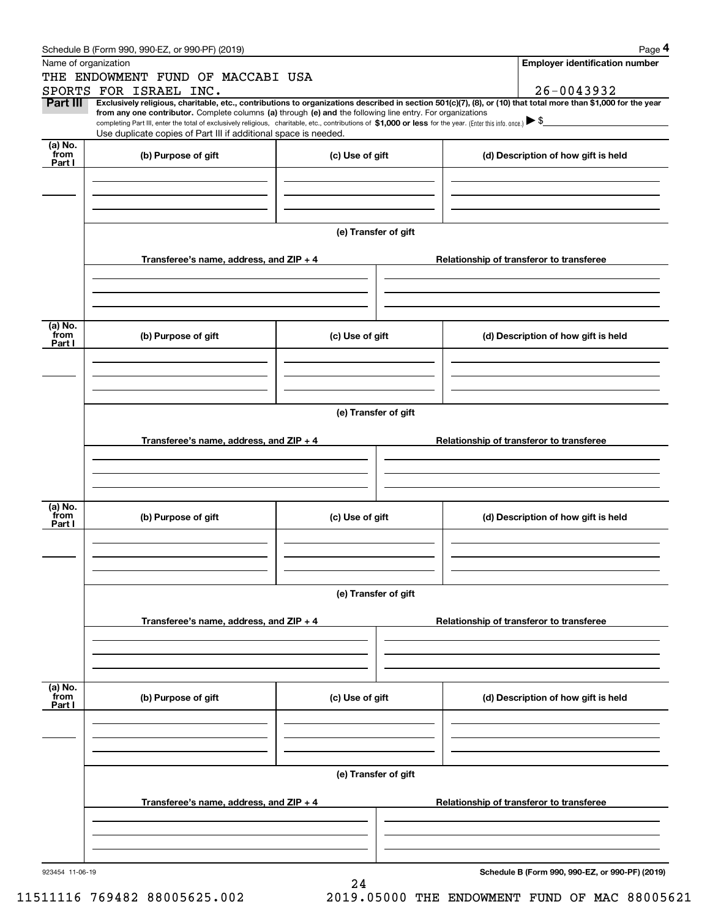|                 | Schedule B (Form 990, 990-EZ, or 990-PF) (2019)                                                                                                                                                                                                                            |                      |                                          | Page 4                                          |  |  |
|-----------------|----------------------------------------------------------------------------------------------------------------------------------------------------------------------------------------------------------------------------------------------------------------------------|----------------------|------------------------------------------|-------------------------------------------------|--|--|
|                 | Name of organization                                                                                                                                                                                                                                                       |                      |                                          | <b>Employer identification number</b>           |  |  |
|                 | THE ENDOWMENT FUND OF MACCABI USA                                                                                                                                                                                                                                          |                      |                                          |                                                 |  |  |
|                 | SPORTS FOR ISRAEL INC.                                                                                                                                                                                                                                                     |                      |                                          | 26-0043932                                      |  |  |
| Part III        | Exclusively religious, charitable, etc., contributions to organizations described in section 501(c)(7), (8), or (10) that total more than \$1,000 for the year                                                                                                             |                      |                                          |                                                 |  |  |
|                 | from any one contributor. Complete columns (a) through (e) and the following line entry. For organizations<br>completing Part III, enter the total of exclusively religious, charitable, etc., contributions of \$1,000 or less for the year. (Enter this info. once.) \\$ |                      |                                          |                                                 |  |  |
|                 | Use duplicate copies of Part III if additional space is needed.                                                                                                                                                                                                            |                      |                                          |                                                 |  |  |
| (a) No.<br>from | (b) Purpose of gift                                                                                                                                                                                                                                                        |                      |                                          |                                                 |  |  |
| Part I          |                                                                                                                                                                                                                                                                            | (c) Use of gift      |                                          | (d) Description of how gift is held             |  |  |
|                 |                                                                                                                                                                                                                                                                            |                      |                                          |                                                 |  |  |
|                 |                                                                                                                                                                                                                                                                            |                      |                                          |                                                 |  |  |
|                 |                                                                                                                                                                                                                                                                            |                      |                                          |                                                 |  |  |
|                 |                                                                                                                                                                                                                                                                            |                      |                                          |                                                 |  |  |
|                 |                                                                                                                                                                                                                                                                            | (e) Transfer of gift |                                          |                                                 |  |  |
|                 |                                                                                                                                                                                                                                                                            |                      |                                          |                                                 |  |  |
|                 | Transferee's name, address, and ZIP + 4                                                                                                                                                                                                                                    |                      |                                          | Relationship of transferor to transferee        |  |  |
|                 |                                                                                                                                                                                                                                                                            |                      |                                          |                                                 |  |  |
|                 |                                                                                                                                                                                                                                                                            |                      |                                          |                                                 |  |  |
|                 |                                                                                                                                                                                                                                                                            |                      |                                          |                                                 |  |  |
| (a) No.         |                                                                                                                                                                                                                                                                            |                      |                                          |                                                 |  |  |
| from<br>Part I  | (b) Purpose of gift                                                                                                                                                                                                                                                        | (c) Use of gift      |                                          | (d) Description of how gift is held             |  |  |
|                 |                                                                                                                                                                                                                                                                            |                      |                                          |                                                 |  |  |
|                 |                                                                                                                                                                                                                                                                            |                      |                                          |                                                 |  |  |
|                 |                                                                                                                                                                                                                                                                            |                      |                                          |                                                 |  |  |
|                 |                                                                                                                                                                                                                                                                            |                      |                                          |                                                 |  |  |
|                 |                                                                                                                                                                                                                                                                            | (e) Transfer of gift |                                          |                                                 |  |  |
|                 |                                                                                                                                                                                                                                                                            |                      |                                          |                                                 |  |  |
|                 | Transferee's name, address, and ZIP + 4                                                                                                                                                                                                                                    |                      | Relationship of transferor to transferee |                                                 |  |  |
|                 |                                                                                                                                                                                                                                                                            |                      |                                          |                                                 |  |  |
|                 |                                                                                                                                                                                                                                                                            |                      |                                          |                                                 |  |  |
|                 |                                                                                                                                                                                                                                                                            |                      |                                          |                                                 |  |  |
| (a) No.         |                                                                                                                                                                                                                                                                            |                      |                                          |                                                 |  |  |
| from<br>Part I  | (b) Purpose of gift                                                                                                                                                                                                                                                        | (c) Use of gift      |                                          | (d) Description of how gift is held             |  |  |
|                 |                                                                                                                                                                                                                                                                            |                      |                                          |                                                 |  |  |
|                 |                                                                                                                                                                                                                                                                            |                      |                                          |                                                 |  |  |
|                 |                                                                                                                                                                                                                                                                            |                      |                                          |                                                 |  |  |
|                 |                                                                                                                                                                                                                                                                            |                      |                                          |                                                 |  |  |
|                 |                                                                                                                                                                                                                                                                            | (e) Transfer of gift |                                          |                                                 |  |  |
|                 |                                                                                                                                                                                                                                                                            |                      |                                          |                                                 |  |  |
|                 | Transferee's name, address, and ZIP + 4                                                                                                                                                                                                                                    |                      |                                          | Relationship of transferor to transferee        |  |  |
|                 |                                                                                                                                                                                                                                                                            |                      |                                          |                                                 |  |  |
|                 |                                                                                                                                                                                                                                                                            |                      |                                          |                                                 |  |  |
|                 |                                                                                                                                                                                                                                                                            |                      |                                          |                                                 |  |  |
| (a) No.<br>from |                                                                                                                                                                                                                                                                            |                      |                                          |                                                 |  |  |
| Part I          | (b) Purpose of gift                                                                                                                                                                                                                                                        | (c) Use of gift      |                                          | (d) Description of how gift is held             |  |  |
|                 |                                                                                                                                                                                                                                                                            |                      |                                          |                                                 |  |  |
|                 |                                                                                                                                                                                                                                                                            |                      |                                          |                                                 |  |  |
|                 |                                                                                                                                                                                                                                                                            |                      |                                          |                                                 |  |  |
|                 |                                                                                                                                                                                                                                                                            |                      |                                          |                                                 |  |  |
|                 |                                                                                                                                                                                                                                                                            | (e) Transfer of gift |                                          |                                                 |  |  |
|                 |                                                                                                                                                                                                                                                                            |                      |                                          |                                                 |  |  |
|                 | Transferee's name, address, and $ZIP + 4$                                                                                                                                                                                                                                  |                      |                                          | Relationship of transferor to transferee        |  |  |
|                 |                                                                                                                                                                                                                                                                            |                      |                                          |                                                 |  |  |
|                 |                                                                                                                                                                                                                                                                            |                      |                                          |                                                 |  |  |
|                 |                                                                                                                                                                                                                                                                            |                      |                                          |                                                 |  |  |
| 923454 11-06-19 |                                                                                                                                                                                                                                                                            |                      |                                          | Schedule B (Form 990, 990-EZ, or 990-PF) (2019) |  |  |
|                 |                                                                                                                                                                                                                                                                            | 24                   |                                          |                                                 |  |  |

11511116 769482 88005625.002 2019.05000 THE ENDOWMENT FUND OF MAC 88005621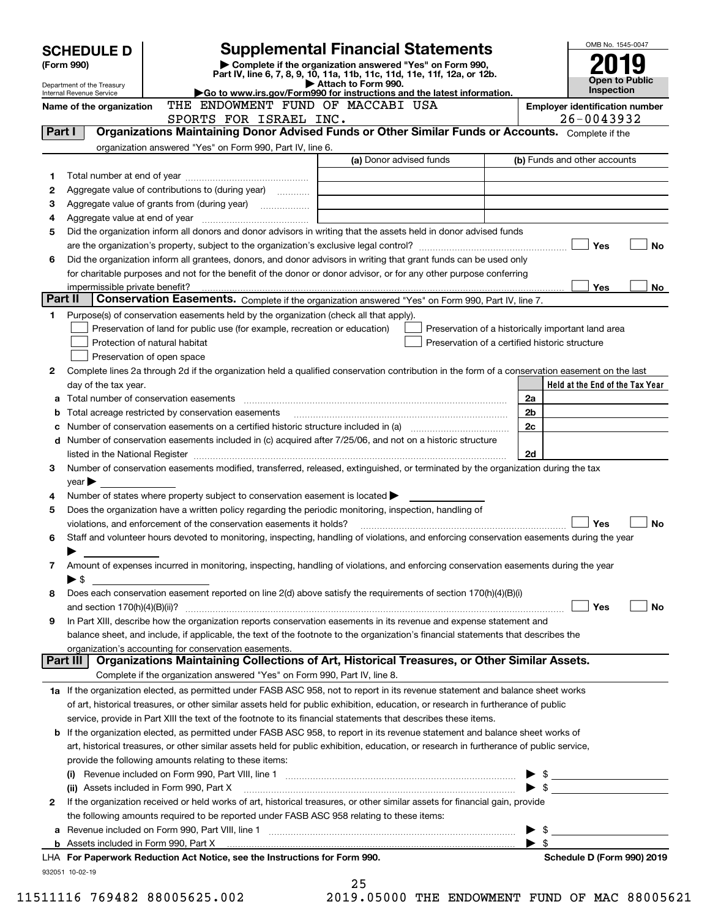| Complete if the organization answered "Yes" on Form 990,<br>(Form 990)<br>Part IV, line 6, 7, 8, 9, 10, 11a, 11b, 11c, 11d, 11e, 11f, 12a, or 12b.<br><b>Open to Public</b><br>Attach to Form 990.<br>Department of the Treasury<br>Inspection<br>Go to www.irs.gov/Form990 for instructions and the latest information.<br>Internal Revenue Service<br>THE ENDOWMENT FUND OF MACCABI USA<br><b>Employer identification number</b><br>Name of the organization<br>26-0043932<br>SPORTS FOR ISRAEL INC.<br>Organizations Maintaining Donor Advised Funds or Other Similar Funds or Accounts. Complete if the<br>Part I<br>organization answered "Yes" on Form 990, Part IV, line 6.<br>(a) Donor advised funds<br>(b) Funds and other accounts<br>1<br>Aggregate value of contributions to (during year)<br>2<br>З<br>4<br>Did the organization inform all donors and donor advisors in writing that the assets held in donor advised funds<br>5<br>Yes<br>No<br>Did the organization inform all grantees, donors, and donor advisors in writing that grant funds can be used only<br>6<br>for charitable purposes and not for the benefit of the donor or donor advisor, or for any other purpose conferring<br><b>Yes</b><br>No<br>impermissible private benefit?<br>Part II<br>Conservation Easements. Complete if the organization answered "Yes" on Form 990, Part IV, line 7.<br>Purpose(s) of conservation easements held by the organization (check all that apply).<br>1<br>Preservation of land for public use (for example, recreation or education)<br>Preservation of a historically important land area<br>Protection of natural habitat<br>Preservation of a certified historic structure<br>Preservation of open space<br>Complete lines 2a through 2d if the organization held a qualified conservation contribution in the form of a conservation easement on the last<br>2<br>Held at the End of the Tax Year<br>day of the tax year.<br>Total number of conservation easements<br>2a<br>а<br>2 <sub>b</sub><br>Total acreage restricted by conservation easements<br>b<br>2c<br>Number of conservation easements on a certified historic structure included in (a) manufacture included in (a)<br>d Number of conservation easements included in (c) acquired after 7/25/06, and not on a historic structure<br>2d<br>Number of conservation easements modified, transferred, released, extinguished, or terminated by the organization during the tax<br>3<br>$year \blacktriangleright$<br>Number of states where property subject to conservation easement is located $\blacktriangleright$<br>4<br>Does the organization have a written policy regarding the periodic monitoring, inspection, handling of<br>5<br>Yes<br><b>No</b><br>violations, and enforcement of the conservation easements it holds?<br>Staff and volunteer hours devoted to monitoring, inspecting, handling of violations, and enforcing conservation easements during the year<br>6<br>Amount of expenses incurred in monitoring, inspecting, handling of violations, and enforcing conservation easements during the year<br>7<br>▶ \$<br>Does each conservation easement reported on line 2(d) above satisfy the requirements of section 170(h)(4)(B)(i)<br>8<br>Yes<br>No<br>In Part XIII, describe how the organization reports conservation easements in its revenue and expense statement and<br>9<br>balance sheet, and include, if applicable, the text of the footnote to the organization's financial statements that describes the<br>organization's accounting for conservation easements.<br>Organizations Maintaining Collections of Art, Historical Treasures, or Other Similar Assets.<br>Part III<br>Complete if the organization answered "Yes" on Form 990, Part IV, line 8.<br>1a If the organization elected, as permitted under FASB ASC 958, not to report in its revenue statement and balance sheet works<br>of art, historical treasures, or other similar assets held for public exhibition, education, or research in furtherance of public<br>service, provide in Part XIII the text of the footnote to its financial statements that describes these items.<br><b>b</b> If the organization elected, as permitted under FASB ASC 958, to report in its revenue statement and balance sheet works of<br>art, historical treasures, or other similar assets held for public exhibition, education, or research in furtherance of public service,<br>provide the following amounts relating to these items:<br>$\blacktriangleright$ \$<br>$\bullet$ \$<br>(ii) Assets included in Form 990, Part X<br>If the organization received or held works of art, historical treasures, or other similar assets for financial gain, provide<br>2<br>the following amounts required to be reported under FASB ASC 958 relating to these items:<br>$\blacktriangleright$ s<br>$\blacktriangleright$ \$<br>b Assets included in Form 990, Part X [11] Marten and Martin Martin Marten and Martin Martin Martin Martin Mar<br>LHA For Paperwork Reduction Act Notice, see the Instructions for Form 990.<br>Schedule D (Form 990) 2019<br>932051 10-02-19 | <b>SCHEDULE D</b> |  | <b>Supplemental Financial Statements</b> |  | OMB No. 1545-0047 |  |  |  |
|-------------------------------------------------------------------------------------------------------------------------------------------------------------------------------------------------------------------------------------------------------------------------------------------------------------------------------------------------------------------------------------------------------------------------------------------------------------------------------------------------------------------------------------------------------------------------------------------------------------------------------------------------------------------------------------------------------------------------------------------------------------------------------------------------------------------------------------------------------------------------------------------------------------------------------------------------------------------------------------------------------------------------------------------------------------------------------------------------------------------------------------------------------------------------------------------------------------------------------------------------------------------------------------------------------------------------------------------------------------------------------------------------------------------------------------------------------------------------------------------------------------------------------------------------------------------------------------------------------------------------------------------------------------------------------------------------------------------------------------------------------------------------------------------------------------------------------------------------------------------------------------------------------------------------------------------------------------------------------------------------------------------------------------------------------------------------------------------------------------------------------------------------------------------------------------------------------------------------------------------------------------------------------------------------------------------------------------------------------------------------------------------------------------------------------------------------------------------------------------------------------------------------------------------------------------------------------------------------------------------------------------------------------------------------------------------------------------------------------------------------------------------------------------------------------------------------------------------------------------------------------------------------------------------------------------------------------------------------------------------------------------------------------------------------------------------------------------------------------------------------------------------------------------------------------------------------------------------------------------------------------------------------------------------------------------------------------------------------------------------------------------------------------------------------------------------------------------------------------------------------------------------------------------------------------------------------------------------------------------------------------------------------------------------------------------------------------------------------------------------------------------------------------------------------------------------------------------------------------------------------------------------------------------------------------------------------------------------------------------------------------------------------------------------------------------------------------------------------------------------------------------------------------------------------------------------------------------------------------------------------------------------------------------------------------------------------------------------------------------------------------------------------------------------------------------------------------------------------------------------------------------------------------------------------------------------------------------------------------------------------------------------------------------------------------------------------------------------------------------------------------------------------------------------------------------------------------------------------------------------------------------------------------------------------------------------------------------------------------------------------------------------------------------------------------------------------------------------------------------------------------------------------------------------------|-------------------|--|------------------------------------------|--|-------------------|--|--|--|
|                                                                                                                                                                                                                                                                                                                                                                                                                                                                                                                                                                                                                                                                                                                                                                                                                                                                                                                                                                                                                                                                                                                                                                                                                                                                                                                                                                                                                                                                                                                                                                                                                                                                                                                                                                                                                                                                                                                                                                                                                                                                                                                                                                                                                                                                                                                                                                                                                                                                                                                                                                                                                                                                                                                                                                                                                                                                                                                                                                                                                                                                                                                                                                                                                                                                                                                                                                                                                                                                                                                                                                                                                                                                                                                                                                                                                                                                                                                                                                                                                                                                                                                                                                                                                                                                                                                                                                                                                                                                                                                                                                                                                                                                                                                                                                                                                                                                                                                                                                                                                                                                                                                                                                         |                   |  |                                          |  |                   |  |  |  |
|                                                                                                                                                                                                                                                                                                                                                                                                                                                                                                                                                                                                                                                                                                                                                                                                                                                                                                                                                                                                                                                                                                                                                                                                                                                                                                                                                                                                                                                                                                                                                                                                                                                                                                                                                                                                                                                                                                                                                                                                                                                                                                                                                                                                                                                                                                                                                                                                                                                                                                                                                                                                                                                                                                                                                                                                                                                                                                                                                                                                                                                                                                                                                                                                                                                                                                                                                                                                                                                                                                                                                                                                                                                                                                                                                                                                                                                                                                                                                                                                                                                                                                                                                                                                                                                                                                                                                                                                                                                                                                                                                                                                                                                                                                                                                                                                                                                                                                                                                                                                                                                                                                                                                                         |                   |  |                                          |  |                   |  |  |  |
|                                                                                                                                                                                                                                                                                                                                                                                                                                                                                                                                                                                                                                                                                                                                                                                                                                                                                                                                                                                                                                                                                                                                                                                                                                                                                                                                                                                                                                                                                                                                                                                                                                                                                                                                                                                                                                                                                                                                                                                                                                                                                                                                                                                                                                                                                                                                                                                                                                                                                                                                                                                                                                                                                                                                                                                                                                                                                                                                                                                                                                                                                                                                                                                                                                                                                                                                                                                                                                                                                                                                                                                                                                                                                                                                                                                                                                                                                                                                                                                                                                                                                                                                                                                                                                                                                                                                                                                                                                                                                                                                                                                                                                                                                                                                                                                                                                                                                                                                                                                                                                                                                                                                                                         |                   |  |                                          |  |                   |  |  |  |
|                                                                                                                                                                                                                                                                                                                                                                                                                                                                                                                                                                                                                                                                                                                                                                                                                                                                                                                                                                                                                                                                                                                                                                                                                                                                                                                                                                                                                                                                                                                                                                                                                                                                                                                                                                                                                                                                                                                                                                                                                                                                                                                                                                                                                                                                                                                                                                                                                                                                                                                                                                                                                                                                                                                                                                                                                                                                                                                                                                                                                                                                                                                                                                                                                                                                                                                                                                                                                                                                                                                                                                                                                                                                                                                                                                                                                                                                                                                                                                                                                                                                                                                                                                                                                                                                                                                                                                                                                                                                                                                                                                                                                                                                                                                                                                                                                                                                                                                                                                                                                                                                                                                                                                         |                   |  |                                          |  |                   |  |  |  |
|                                                                                                                                                                                                                                                                                                                                                                                                                                                                                                                                                                                                                                                                                                                                                                                                                                                                                                                                                                                                                                                                                                                                                                                                                                                                                                                                                                                                                                                                                                                                                                                                                                                                                                                                                                                                                                                                                                                                                                                                                                                                                                                                                                                                                                                                                                                                                                                                                                                                                                                                                                                                                                                                                                                                                                                                                                                                                                                                                                                                                                                                                                                                                                                                                                                                                                                                                                                                                                                                                                                                                                                                                                                                                                                                                                                                                                                                                                                                                                                                                                                                                                                                                                                                                                                                                                                                                                                                                                                                                                                                                                                                                                                                                                                                                                                                                                                                                                                                                                                                                                                                                                                                                                         |                   |  |                                          |  |                   |  |  |  |
|                                                                                                                                                                                                                                                                                                                                                                                                                                                                                                                                                                                                                                                                                                                                                                                                                                                                                                                                                                                                                                                                                                                                                                                                                                                                                                                                                                                                                                                                                                                                                                                                                                                                                                                                                                                                                                                                                                                                                                                                                                                                                                                                                                                                                                                                                                                                                                                                                                                                                                                                                                                                                                                                                                                                                                                                                                                                                                                                                                                                                                                                                                                                                                                                                                                                                                                                                                                                                                                                                                                                                                                                                                                                                                                                                                                                                                                                                                                                                                                                                                                                                                                                                                                                                                                                                                                                                                                                                                                                                                                                                                                                                                                                                                                                                                                                                                                                                                                                                                                                                                                                                                                                                                         |                   |  |                                          |  |                   |  |  |  |
|                                                                                                                                                                                                                                                                                                                                                                                                                                                                                                                                                                                                                                                                                                                                                                                                                                                                                                                                                                                                                                                                                                                                                                                                                                                                                                                                                                                                                                                                                                                                                                                                                                                                                                                                                                                                                                                                                                                                                                                                                                                                                                                                                                                                                                                                                                                                                                                                                                                                                                                                                                                                                                                                                                                                                                                                                                                                                                                                                                                                                                                                                                                                                                                                                                                                                                                                                                                                                                                                                                                                                                                                                                                                                                                                                                                                                                                                                                                                                                                                                                                                                                                                                                                                                                                                                                                                                                                                                                                                                                                                                                                                                                                                                                                                                                                                                                                                                                                                                                                                                                                                                                                                                                         |                   |  |                                          |  |                   |  |  |  |
|                                                                                                                                                                                                                                                                                                                                                                                                                                                                                                                                                                                                                                                                                                                                                                                                                                                                                                                                                                                                                                                                                                                                                                                                                                                                                                                                                                                                                                                                                                                                                                                                                                                                                                                                                                                                                                                                                                                                                                                                                                                                                                                                                                                                                                                                                                                                                                                                                                                                                                                                                                                                                                                                                                                                                                                                                                                                                                                                                                                                                                                                                                                                                                                                                                                                                                                                                                                                                                                                                                                                                                                                                                                                                                                                                                                                                                                                                                                                                                                                                                                                                                                                                                                                                                                                                                                                                                                                                                                                                                                                                                                                                                                                                                                                                                                                                                                                                                                                                                                                                                                                                                                                                                         |                   |  |                                          |  |                   |  |  |  |
|                                                                                                                                                                                                                                                                                                                                                                                                                                                                                                                                                                                                                                                                                                                                                                                                                                                                                                                                                                                                                                                                                                                                                                                                                                                                                                                                                                                                                                                                                                                                                                                                                                                                                                                                                                                                                                                                                                                                                                                                                                                                                                                                                                                                                                                                                                                                                                                                                                                                                                                                                                                                                                                                                                                                                                                                                                                                                                                                                                                                                                                                                                                                                                                                                                                                                                                                                                                                                                                                                                                                                                                                                                                                                                                                                                                                                                                                                                                                                                                                                                                                                                                                                                                                                                                                                                                                                                                                                                                                                                                                                                                                                                                                                                                                                                                                                                                                                                                                                                                                                                                                                                                                                                         |                   |  |                                          |  |                   |  |  |  |
|                                                                                                                                                                                                                                                                                                                                                                                                                                                                                                                                                                                                                                                                                                                                                                                                                                                                                                                                                                                                                                                                                                                                                                                                                                                                                                                                                                                                                                                                                                                                                                                                                                                                                                                                                                                                                                                                                                                                                                                                                                                                                                                                                                                                                                                                                                                                                                                                                                                                                                                                                                                                                                                                                                                                                                                                                                                                                                                                                                                                                                                                                                                                                                                                                                                                                                                                                                                                                                                                                                                                                                                                                                                                                                                                                                                                                                                                                                                                                                                                                                                                                                                                                                                                                                                                                                                                                                                                                                                                                                                                                                                                                                                                                                                                                                                                                                                                                                                                                                                                                                                                                                                                                                         |                   |  |                                          |  |                   |  |  |  |
|                                                                                                                                                                                                                                                                                                                                                                                                                                                                                                                                                                                                                                                                                                                                                                                                                                                                                                                                                                                                                                                                                                                                                                                                                                                                                                                                                                                                                                                                                                                                                                                                                                                                                                                                                                                                                                                                                                                                                                                                                                                                                                                                                                                                                                                                                                                                                                                                                                                                                                                                                                                                                                                                                                                                                                                                                                                                                                                                                                                                                                                                                                                                                                                                                                                                                                                                                                                                                                                                                                                                                                                                                                                                                                                                                                                                                                                                                                                                                                                                                                                                                                                                                                                                                                                                                                                                                                                                                                                                                                                                                                                                                                                                                                                                                                                                                                                                                                                                                                                                                                                                                                                                                                         |                   |  |                                          |  |                   |  |  |  |
|                                                                                                                                                                                                                                                                                                                                                                                                                                                                                                                                                                                                                                                                                                                                                                                                                                                                                                                                                                                                                                                                                                                                                                                                                                                                                                                                                                                                                                                                                                                                                                                                                                                                                                                                                                                                                                                                                                                                                                                                                                                                                                                                                                                                                                                                                                                                                                                                                                                                                                                                                                                                                                                                                                                                                                                                                                                                                                                                                                                                                                                                                                                                                                                                                                                                                                                                                                                                                                                                                                                                                                                                                                                                                                                                                                                                                                                                                                                                                                                                                                                                                                                                                                                                                                                                                                                                                                                                                                                                                                                                                                                                                                                                                                                                                                                                                                                                                                                                                                                                                                                                                                                                                                         |                   |  |                                          |  |                   |  |  |  |
|                                                                                                                                                                                                                                                                                                                                                                                                                                                                                                                                                                                                                                                                                                                                                                                                                                                                                                                                                                                                                                                                                                                                                                                                                                                                                                                                                                                                                                                                                                                                                                                                                                                                                                                                                                                                                                                                                                                                                                                                                                                                                                                                                                                                                                                                                                                                                                                                                                                                                                                                                                                                                                                                                                                                                                                                                                                                                                                                                                                                                                                                                                                                                                                                                                                                                                                                                                                                                                                                                                                                                                                                                                                                                                                                                                                                                                                                                                                                                                                                                                                                                                                                                                                                                                                                                                                                                                                                                                                                                                                                                                                                                                                                                                                                                                                                                                                                                                                                                                                                                                                                                                                                                                         |                   |  |                                          |  |                   |  |  |  |
|                                                                                                                                                                                                                                                                                                                                                                                                                                                                                                                                                                                                                                                                                                                                                                                                                                                                                                                                                                                                                                                                                                                                                                                                                                                                                                                                                                                                                                                                                                                                                                                                                                                                                                                                                                                                                                                                                                                                                                                                                                                                                                                                                                                                                                                                                                                                                                                                                                                                                                                                                                                                                                                                                                                                                                                                                                                                                                                                                                                                                                                                                                                                                                                                                                                                                                                                                                                                                                                                                                                                                                                                                                                                                                                                                                                                                                                                                                                                                                                                                                                                                                                                                                                                                                                                                                                                                                                                                                                                                                                                                                                                                                                                                                                                                                                                                                                                                                                                                                                                                                                                                                                                                                         |                   |  |                                          |  |                   |  |  |  |
|                                                                                                                                                                                                                                                                                                                                                                                                                                                                                                                                                                                                                                                                                                                                                                                                                                                                                                                                                                                                                                                                                                                                                                                                                                                                                                                                                                                                                                                                                                                                                                                                                                                                                                                                                                                                                                                                                                                                                                                                                                                                                                                                                                                                                                                                                                                                                                                                                                                                                                                                                                                                                                                                                                                                                                                                                                                                                                                                                                                                                                                                                                                                                                                                                                                                                                                                                                                                                                                                                                                                                                                                                                                                                                                                                                                                                                                                                                                                                                                                                                                                                                                                                                                                                                                                                                                                                                                                                                                                                                                                                                                                                                                                                                                                                                                                                                                                                                                                                                                                                                                                                                                                                                         |                   |  |                                          |  |                   |  |  |  |
|                                                                                                                                                                                                                                                                                                                                                                                                                                                                                                                                                                                                                                                                                                                                                                                                                                                                                                                                                                                                                                                                                                                                                                                                                                                                                                                                                                                                                                                                                                                                                                                                                                                                                                                                                                                                                                                                                                                                                                                                                                                                                                                                                                                                                                                                                                                                                                                                                                                                                                                                                                                                                                                                                                                                                                                                                                                                                                                                                                                                                                                                                                                                                                                                                                                                                                                                                                                                                                                                                                                                                                                                                                                                                                                                                                                                                                                                                                                                                                                                                                                                                                                                                                                                                                                                                                                                                                                                                                                                                                                                                                                                                                                                                                                                                                                                                                                                                                                                                                                                                                                                                                                                                                         |                   |  |                                          |  |                   |  |  |  |
|                                                                                                                                                                                                                                                                                                                                                                                                                                                                                                                                                                                                                                                                                                                                                                                                                                                                                                                                                                                                                                                                                                                                                                                                                                                                                                                                                                                                                                                                                                                                                                                                                                                                                                                                                                                                                                                                                                                                                                                                                                                                                                                                                                                                                                                                                                                                                                                                                                                                                                                                                                                                                                                                                                                                                                                                                                                                                                                                                                                                                                                                                                                                                                                                                                                                                                                                                                                                                                                                                                                                                                                                                                                                                                                                                                                                                                                                                                                                                                                                                                                                                                                                                                                                                                                                                                                                                                                                                                                                                                                                                                                                                                                                                                                                                                                                                                                                                                                                                                                                                                                                                                                                                                         |                   |  |                                          |  |                   |  |  |  |
|                                                                                                                                                                                                                                                                                                                                                                                                                                                                                                                                                                                                                                                                                                                                                                                                                                                                                                                                                                                                                                                                                                                                                                                                                                                                                                                                                                                                                                                                                                                                                                                                                                                                                                                                                                                                                                                                                                                                                                                                                                                                                                                                                                                                                                                                                                                                                                                                                                                                                                                                                                                                                                                                                                                                                                                                                                                                                                                                                                                                                                                                                                                                                                                                                                                                                                                                                                                                                                                                                                                                                                                                                                                                                                                                                                                                                                                                                                                                                                                                                                                                                                                                                                                                                                                                                                                                                                                                                                                                                                                                                                                                                                                                                                                                                                                                                                                                                                                                                                                                                                                                                                                                                                         |                   |  |                                          |  |                   |  |  |  |
|                                                                                                                                                                                                                                                                                                                                                                                                                                                                                                                                                                                                                                                                                                                                                                                                                                                                                                                                                                                                                                                                                                                                                                                                                                                                                                                                                                                                                                                                                                                                                                                                                                                                                                                                                                                                                                                                                                                                                                                                                                                                                                                                                                                                                                                                                                                                                                                                                                                                                                                                                                                                                                                                                                                                                                                                                                                                                                                                                                                                                                                                                                                                                                                                                                                                                                                                                                                                                                                                                                                                                                                                                                                                                                                                                                                                                                                                                                                                                                                                                                                                                                                                                                                                                                                                                                                                                                                                                                                                                                                                                                                                                                                                                                                                                                                                                                                                                                                                                                                                                                                                                                                                                                         |                   |  |                                          |  |                   |  |  |  |
|                                                                                                                                                                                                                                                                                                                                                                                                                                                                                                                                                                                                                                                                                                                                                                                                                                                                                                                                                                                                                                                                                                                                                                                                                                                                                                                                                                                                                                                                                                                                                                                                                                                                                                                                                                                                                                                                                                                                                                                                                                                                                                                                                                                                                                                                                                                                                                                                                                                                                                                                                                                                                                                                                                                                                                                                                                                                                                                                                                                                                                                                                                                                                                                                                                                                                                                                                                                                                                                                                                                                                                                                                                                                                                                                                                                                                                                                                                                                                                                                                                                                                                                                                                                                                                                                                                                                                                                                                                                                                                                                                                                                                                                                                                                                                                                                                                                                                                                                                                                                                                                                                                                                                                         |                   |  |                                          |  |                   |  |  |  |
|                                                                                                                                                                                                                                                                                                                                                                                                                                                                                                                                                                                                                                                                                                                                                                                                                                                                                                                                                                                                                                                                                                                                                                                                                                                                                                                                                                                                                                                                                                                                                                                                                                                                                                                                                                                                                                                                                                                                                                                                                                                                                                                                                                                                                                                                                                                                                                                                                                                                                                                                                                                                                                                                                                                                                                                                                                                                                                                                                                                                                                                                                                                                                                                                                                                                                                                                                                                                                                                                                                                                                                                                                                                                                                                                                                                                                                                                                                                                                                                                                                                                                                                                                                                                                                                                                                                                                                                                                                                                                                                                                                                                                                                                                                                                                                                                                                                                                                                                                                                                                                                                                                                                                                         |                   |  |                                          |  |                   |  |  |  |
|                                                                                                                                                                                                                                                                                                                                                                                                                                                                                                                                                                                                                                                                                                                                                                                                                                                                                                                                                                                                                                                                                                                                                                                                                                                                                                                                                                                                                                                                                                                                                                                                                                                                                                                                                                                                                                                                                                                                                                                                                                                                                                                                                                                                                                                                                                                                                                                                                                                                                                                                                                                                                                                                                                                                                                                                                                                                                                                                                                                                                                                                                                                                                                                                                                                                                                                                                                                                                                                                                                                                                                                                                                                                                                                                                                                                                                                                                                                                                                                                                                                                                                                                                                                                                                                                                                                                                                                                                                                                                                                                                                                                                                                                                                                                                                                                                                                                                                                                                                                                                                                                                                                                                                         |                   |  |                                          |  |                   |  |  |  |
|                                                                                                                                                                                                                                                                                                                                                                                                                                                                                                                                                                                                                                                                                                                                                                                                                                                                                                                                                                                                                                                                                                                                                                                                                                                                                                                                                                                                                                                                                                                                                                                                                                                                                                                                                                                                                                                                                                                                                                                                                                                                                                                                                                                                                                                                                                                                                                                                                                                                                                                                                                                                                                                                                                                                                                                                                                                                                                                                                                                                                                                                                                                                                                                                                                                                                                                                                                                                                                                                                                                                                                                                                                                                                                                                                                                                                                                                                                                                                                                                                                                                                                                                                                                                                                                                                                                                                                                                                                                                                                                                                                                                                                                                                                                                                                                                                                                                                                                                                                                                                                                                                                                                                                         |                   |  |                                          |  |                   |  |  |  |
|                                                                                                                                                                                                                                                                                                                                                                                                                                                                                                                                                                                                                                                                                                                                                                                                                                                                                                                                                                                                                                                                                                                                                                                                                                                                                                                                                                                                                                                                                                                                                                                                                                                                                                                                                                                                                                                                                                                                                                                                                                                                                                                                                                                                                                                                                                                                                                                                                                                                                                                                                                                                                                                                                                                                                                                                                                                                                                                                                                                                                                                                                                                                                                                                                                                                                                                                                                                                                                                                                                                                                                                                                                                                                                                                                                                                                                                                                                                                                                                                                                                                                                                                                                                                                                                                                                                                                                                                                                                                                                                                                                                                                                                                                                                                                                                                                                                                                                                                                                                                                                                                                                                                                                         |                   |  |                                          |  |                   |  |  |  |
|                                                                                                                                                                                                                                                                                                                                                                                                                                                                                                                                                                                                                                                                                                                                                                                                                                                                                                                                                                                                                                                                                                                                                                                                                                                                                                                                                                                                                                                                                                                                                                                                                                                                                                                                                                                                                                                                                                                                                                                                                                                                                                                                                                                                                                                                                                                                                                                                                                                                                                                                                                                                                                                                                                                                                                                                                                                                                                                                                                                                                                                                                                                                                                                                                                                                                                                                                                                                                                                                                                                                                                                                                                                                                                                                                                                                                                                                                                                                                                                                                                                                                                                                                                                                                                                                                                                                                                                                                                                                                                                                                                                                                                                                                                                                                                                                                                                                                                                                                                                                                                                                                                                                                                         |                   |  |                                          |  |                   |  |  |  |
|                                                                                                                                                                                                                                                                                                                                                                                                                                                                                                                                                                                                                                                                                                                                                                                                                                                                                                                                                                                                                                                                                                                                                                                                                                                                                                                                                                                                                                                                                                                                                                                                                                                                                                                                                                                                                                                                                                                                                                                                                                                                                                                                                                                                                                                                                                                                                                                                                                                                                                                                                                                                                                                                                                                                                                                                                                                                                                                                                                                                                                                                                                                                                                                                                                                                                                                                                                                                                                                                                                                                                                                                                                                                                                                                                                                                                                                                                                                                                                                                                                                                                                                                                                                                                                                                                                                                                                                                                                                                                                                                                                                                                                                                                                                                                                                                                                                                                                                                                                                                                                                                                                                                                                         |                   |  |                                          |  |                   |  |  |  |
|                                                                                                                                                                                                                                                                                                                                                                                                                                                                                                                                                                                                                                                                                                                                                                                                                                                                                                                                                                                                                                                                                                                                                                                                                                                                                                                                                                                                                                                                                                                                                                                                                                                                                                                                                                                                                                                                                                                                                                                                                                                                                                                                                                                                                                                                                                                                                                                                                                                                                                                                                                                                                                                                                                                                                                                                                                                                                                                                                                                                                                                                                                                                                                                                                                                                                                                                                                                                                                                                                                                                                                                                                                                                                                                                                                                                                                                                                                                                                                                                                                                                                                                                                                                                                                                                                                                                                                                                                                                                                                                                                                                                                                                                                                                                                                                                                                                                                                                                                                                                                                                                                                                                                                         |                   |  |                                          |  |                   |  |  |  |
|                                                                                                                                                                                                                                                                                                                                                                                                                                                                                                                                                                                                                                                                                                                                                                                                                                                                                                                                                                                                                                                                                                                                                                                                                                                                                                                                                                                                                                                                                                                                                                                                                                                                                                                                                                                                                                                                                                                                                                                                                                                                                                                                                                                                                                                                                                                                                                                                                                                                                                                                                                                                                                                                                                                                                                                                                                                                                                                                                                                                                                                                                                                                                                                                                                                                                                                                                                                                                                                                                                                                                                                                                                                                                                                                                                                                                                                                                                                                                                                                                                                                                                                                                                                                                                                                                                                                                                                                                                                                                                                                                                                                                                                                                                                                                                                                                                                                                                                                                                                                                                                                                                                                                                         |                   |  |                                          |  |                   |  |  |  |
|                                                                                                                                                                                                                                                                                                                                                                                                                                                                                                                                                                                                                                                                                                                                                                                                                                                                                                                                                                                                                                                                                                                                                                                                                                                                                                                                                                                                                                                                                                                                                                                                                                                                                                                                                                                                                                                                                                                                                                                                                                                                                                                                                                                                                                                                                                                                                                                                                                                                                                                                                                                                                                                                                                                                                                                                                                                                                                                                                                                                                                                                                                                                                                                                                                                                                                                                                                                                                                                                                                                                                                                                                                                                                                                                                                                                                                                                                                                                                                                                                                                                                                                                                                                                                                                                                                                                                                                                                                                                                                                                                                                                                                                                                                                                                                                                                                                                                                                                                                                                                                                                                                                                                                         |                   |  |                                          |  |                   |  |  |  |
|                                                                                                                                                                                                                                                                                                                                                                                                                                                                                                                                                                                                                                                                                                                                                                                                                                                                                                                                                                                                                                                                                                                                                                                                                                                                                                                                                                                                                                                                                                                                                                                                                                                                                                                                                                                                                                                                                                                                                                                                                                                                                                                                                                                                                                                                                                                                                                                                                                                                                                                                                                                                                                                                                                                                                                                                                                                                                                                                                                                                                                                                                                                                                                                                                                                                                                                                                                                                                                                                                                                                                                                                                                                                                                                                                                                                                                                                                                                                                                                                                                                                                                                                                                                                                                                                                                                                                                                                                                                                                                                                                                                                                                                                                                                                                                                                                                                                                                                                                                                                                                                                                                                                                                         |                   |  |                                          |  |                   |  |  |  |
|                                                                                                                                                                                                                                                                                                                                                                                                                                                                                                                                                                                                                                                                                                                                                                                                                                                                                                                                                                                                                                                                                                                                                                                                                                                                                                                                                                                                                                                                                                                                                                                                                                                                                                                                                                                                                                                                                                                                                                                                                                                                                                                                                                                                                                                                                                                                                                                                                                                                                                                                                                                                                                                                                                                                                                                                                                                                                                                                                                                                                                                                                                                                                                                                                                                                                                                                                                                                                                                                                                                                                                                                                                                                                                                                                                                                                                                                                                                                                                                                                                                                                                                                                                                                                                                                                                                                                                                                                                                                                                                                                                                                                                                                                                                                                                                                                                                                                                                                                                                                                                                                                                                                                                         |                   |  |                                          |  |                   |  |  |  |
|                                                                                                                                                                                                                                                                                                                                                                                                                                                                                                                                                                                                                                                                                                                                                                                                                                                                                                                                                                                                                                                                                                                                                                                                                                                                                                                                                                                                                                                                                                                                                                                                                                                                                                                                                                                                                                                                                                                                                                                                                                                                                                                                                                                                                                                                                                                                                                                                                                                                                                                                                                                                                                                                                                                                                                                                                                                                                                                                                                                                                                                                                                                                                                                                                                                                                                                                                                                                                                                                                                                                                                                                                                                                                                                                                                                                                                                                                                                                                                                                                                                                                                                                                                                                                                                                                                                                                                                                                                                                                                                                                                                                                                                                                                                                                                                                                                                                                                                                                                                                                                                                                                                                                                         |                   |  |                                          |  |                   |  |  |  |
|                                                                                                                                                                                                                                                                                                                                                                                                                                                                                                                                                                                                                                                                                                                                                                                                                                                                                                                                                                                                                                                                                                                                                                                                                                                                                                                                                                                                                                                                                                                                                                                                                                                                                                                                                                                                                                                                                                                                                                                                                                                                                                                                                                                                                                                                                                                                                                                                                                                                                                                                                                                                                                                                                                                                                                                                                                                                                                                                                                                                                                                                                                                                                                                                                                                                                                                                                                                                                                                                                                                                                                                                                                                                                                                                                                                                                                                                                                                                                                                                                                                                                                                                                                                                                                                                                                                                                                                                                                                                                                                                                                                                                                                                                                                                                                                                                                                                                                                                                                                                                                                                                                                                                                         |                   |  |                                          |  |                   |  |  |  |
|                                                                                                                                                                                                                                                                                                                                                                                                                                                                                                                                                                                                                                                                                                                                                                                                                                                                                                                                                                                                                                                                                                                                                                                                                                                                                                                                                                                                                                                                                                                                                                                                                                                                                                                                                                                                                                                                                                                                                                                                                                                                                                                                                                                                                                                                                                                                                                                                                                                                                                                                                                                                                                                                                                                                                                                                                                                                                                                                                                                                                                                                                                                                                                                                                                                                                                                                                                                                                                                                                                                                                                                                                                                                                                                                                                                                                                                                                                                                                                                                                                                                                                                                                                                                                                                                                                                                                                                                                                                                                                                                                                                                                                                                                                                                                                                                                                                                                                                                                                                                                                                                                                                                                                         |                   |  |                                          |  |                   |  |  |  |
|                                                                                                                                                                                                                                                                                                                                                                                                                                                                                                                                                                                                                                                                                                                                                                                                                                                                                                                                                                                                                                                                                                                                                                                                                                                                                                                                                                                                                                                                                                                                                                                                                                                                                                                                                                                                                                                                                                                                                                                                                                                                                                                                                                                                                                                                                                                                                                                                                                                                                                                                                                                                                                                                                                                                                                                                                                                                                                                                                                                                                                                                                                                                                                                                                                                                                                                                                                                                                                                                                                                                                                                                                                                                                                                                                                                                                                                                                                                                                                                                                                                                                                                                                                                                                                                                                                                                                                                                                                                                                                                                                                                                                                                                                                                                                                                                                                                                                                                                                                                                                                                                                                                                                                         |                   |  |                                          |  |                   |  |  |  |
|                                                                                                                                                                                                                                                                                                                                                                                                                                                                                                                                                                                                                                                                                                                                                                                                                                                                                                                                                                                                                                                                                                                                                                                                                                                                                                                                                                                                                                                                                                                                                                                                                                                                                                                                                                                                                                                                                                                                                                                                                                                                                                                                                                                                                                                                                                                                                                                                                                                                                                                                                                                                                                                                                                                                                                                                                                                                                                                                                                                                                                                                                                                                                                                                                                                                                                                                                                                                                                                                                                                                                                                                                                                                                                                                                                                                                                                                                                                                                                                                                                                                                                                                                                                                                                                                                                                                                                                                                                                                                                                                                                                                                                                                                                                                                                                                                                                                                                                                                                                                                                                                                                                                                                         |                   |  |                                          |  |                   |  |  |  |
|                                                                                                                                                                                                                                                                                                                                                                                                                                                                                                                                                                                                                                                                                                                                                                                                                                                                                                                                                                                                                                                                                                                                                                                                                                                                                                                                                                                                                                                                                                                                                                                                                                                                                                                                                                                                                                                                                                                                                                                                                                                                                                                                                                                                                                                                                                                                                                                                                                                                                                                                                                                                                                                                                                                                                                                                                                                                                                                                                                                                                                                                                                                                                                                                                                                                                                                                                                                                                                                                                                                                                                                                                                                                                                                                                                                                                                                                                                                                                                                                                                                                                                                                                                                                                                                                                                                                                                                                                                                                                                                                                                                                                                                                                                                                                                                                                                                                                                                                                                                                                                                                                                                                                                         |                   |  |                                          |  |                   |  |  |  |
|                                                                                                                                                                                                                                                                                                                                                                                                                                                                                                                                                                                                                                                                                                                                                                                                                                                                                                                                                                                                                                                                                                                                                                                                                                                                                                                                                                                                                                                                                                                                                                                                                                                                                                                                                                                                                                                                                                                                                                                                                                                                                                                                                                                                                                                                                                                                                                                                                                                                                                                                                                                                                                                                                                                                                                                                                                                                                                                                                                                                                                                                                                                                                                                                                                                                                                                                                                                                                                                                                                                                                                                                                                                                                                                                                                                                                                                                                                                                                                                                                                                                                                                                                                                                                                                                                                                                                                                                                                                                                                                                                                                                                                                                                                                                                                                                                                                                                                                                                                                                                                                                                                                                                                         |                   |  |                                          |  |                   |  |  |  |
|                                                                                                                                                                                                                                                                                                                                                                                                                                                                                                                                                                                                                                                                                                                                                                                                                                                                                                                                                                                                                                                                                                                                                                                                                                                                                                                                                                                                                                                                                                                                                                                                                                                                                                                                                                                                                                                                                                                                                                                                                                                                                                                                                                                                                                                                                                                                                                                                                                                                                                                                                                                                                                                                                                                                                                                                                                                                                                                                                                                                                                                                                                                                                                                                                                                                                                                                                                                                                                                                                                                                                                                                                                                                                                                                                                                                                                                                                                                                                                                                                                                                                                                                                                                                                                                                                                                                                                                                                                                                                                                                                                                                                                                                                                                                                                                                                                                                                                                                                                                                                                                                                                                                                                         |                   |  |                                          |  |                   |  |  |  |
|                                                                                                                                                                                                                                                                                                                                                                                                                                                                                                                                                                                                                                                                                                                                                                                                                                                                                                                                                                                                                                                                                                                                                                                                                                                                                                                                                                                                                                                                                                                                                                                                                                                                                                                                                                                                                                                                                                                                                                                                                                                                                                                                                                                                                                                                                                                                                                                                                                                                                                                                                                                                                                                                                                                                                                                                                                                                                                                                                                                                                                                                                                                                                                                                                                                                                                                                                                                                                                                                                                                                                                                                                                                                                                                                                                                                                                                                                                                                                                                                                                                                                                                                                                                                                                                                                                                                                                                                                                                                                                                                                                                                                                                                                                                                                                                                                                                                                                                                                                                                                                                                                                                                                                         |                   |  |                                          |  |                   |  |  |  |
|                                                                                                                                                                                                                                                                                                                                                                                                                                                                                                                                                                                                                                                                                                                                                                                                                                                                                                                                                                                                                                                                                                                                                                                                                                                                                                                                                                                                                                                                                                                                                                                                                                                                                                                                                                                                                                                                                                                                                                                                                                                                                                                                                                                                                                                                                                                                                                                                                                                                                                                                                                                                                                                                                                                                                                                                                                                                                                                                                                                                                                                                                                                                                                                                                                                                                                                                                                                                                                                                                                                                                                                                                                                                                                                                                                                                                                                                                                                                                                                                                                                                                                                                                                                                                                                                                                                                                                                                                                                                                                                                                                                                                                                                                                                                                                                                                                                                                                                                                                                                                                                                                                                                                                         |                   |  |                                          |  |                   |  |  |  |
|                                                                                                                                                                                                                                                                                                                                                                                                                                                                                                                                                                                                                                                                                                                                                                                                                                                                                                                                                                                                                                                                                                                                                                                                                                                                                                                                                                                                                                                                                                                                                                                                                                                                                                                                                                                                                                                                                                                                                                                                                                                                                                                                                                                                                                                                                                                                                                                                                                                                                                                                                                                                                                                                                                                                                                                                                                                                                                                                                                                                                                                                                                                                                                                                                                                                                                                                                                                                                                                                                                                                                                                                                                                                                                                                                                                                                                                                                                                                                                                                                                                                                                                                                                                                                                                                                                                                                                                                                                                                                                                                                                                                                                                                                                                                                                                                                                                                                                                                                                                                                                                                                                                                                                         |                   |  |                                          |  |                   |  |  |  |
|                                                                                                                                                                                                                                                                                                                                                                                                                                                                                                                                                                                                                                                                                                                                                                                                                                                                                                                                                                                                                                                                                                                                                                                                                                                                                                                                                                                                                                                                                                                                                                                                                                                                                                                                                                                                                                                                                                                                                                                                                                                                                                                                                                                                                                                                                                                                                                                                                                                                                                                                                                                                                                                                                                                                                                                                                                                                                                                                                                                                                                                                                                                                                                                                                                                                                                                                                                                                                                                                                                                                                                                                                                                                                                                                                                                                                                                                                                                                                                                                                                                                                                                                                                                                                                                                                                                                                                                                                                                                                                                                                                                                                                                                                                                                                                                                                                                                                                                                                                                                                                                                                                                                                                         |                   |  |                                          |  |                   |  |  |  |
|                                                                                                                                                                                                                                                                                                                                                                                                                                                                                                                                                                                                                                                                                                                                                                                                                                                                                                                                                                                                                                                                                                                                                                                                                                                                                                                                                                                                                                                                                                                                                                                                                                                                                                                                                                                                                                                                                                                                                                                                                                                                                                                                                                                                                                                                                                                                                                                                                                                                                                                                                                                                                                                                                                                                                                                                                                                                                                                                                                                                                                                                                                                                                                                                                                                                                                                                                                                                                                                                                                                                                                                                                                                                                                                                                                                                                                                                                                                                                                                                                                                                                                                                                                                                                                                                                                                                                                                                                                                                                                                                                                                                                                                                                                                                                                                                                                                                                                                                                                                                                                                                                                                                                                         |                   |  |                                          |  |                   |  |  |  |
|                                                                                                                                                                                                                                                                                                                                                                                                                                                                                                                                                                                                                                                                                                                                                                                                                                                                                                                                                                                                                                                                                                                                                                                                                                                                                                                                                                                                                                                                                                                                                                                                                                                                                                                                                                                                                                                                                                                                                                                                                                                                                                                                                                                                                                                                                                                                                                                                                                                                                                                                                                                                                                                                                                                                                                                                                                                                                                                                                                                                                                                                                                                                                                                                                                                                                                                                                                                                                                                                                                                                                                                                                                                                                                                                                                                                                                                                                                                                                                                                                                                                                                                                                                                                                                                                                                                                                                                                                                                                                                                                                                                                                                                                                                                                                                                                                                                                                                                                                                                                                                                                                                                                                                         |                   |  |                                          |  |                   |  |  |  |
|                                                                                                                                                                                                                                                                                                                                                                                                                                                                                                                                                                                                                                                                                                                                                                                                                                                                                                                                                                                                                                                                                                                                                                                                                                                                                                                                                                                                                                                                                                                                                                                                                                                                                                                                                                                                                                                                                                                                                                                                                                                                                                                                                                                                                                                                                                                                                                                                                                                                                                                                                                                                                                                                                                                                                                                                                                                                                                                                                                                                                                                                                                                                                                                                                                                                                                                                                                                                                                                                                                                                                                                                                                                                                                                                                                                                                                                                                                                                                                                                                                                                                                                                                                                                                                                                                                                                                                                                                                                                                                                                                                                                                                                                                                                                                                                                                                                                                                                                                                                                                                                                                                                                                                         |                   |  |                                          |  |                   |  |  |  |
|                                                                                                                                                                                                                                                                                                                                                                                                                                                                                                                                                                                                                                                                                                                                                                                                                                                                                                                                                                                                                                                                                                                                                                                                                                                                                                                                                                                                                                                                                                                                                                                                                                                                                                                                                                                                                                                                                                                                                                                                                                                                                                                                                                                                                                                                                                                                                                                                                                                                                                                                                                                                                                                                                                                                                                                                                                                                                                                                                                                                                                                                                                                                                                                                                                                                                                                                                                                                                                                                                                                                                                                                                                                                                                                                                                                                                                                                                                                                                                                                                                                                                                                                                                                                                                                                                                                                                                                                                                                                                                                                                                                                                                                                                                                                                                                                                                                                                                                                                                                                                                                                                                                                                                         |                   |  |                                          |  |                   |  |  |  |
|                                                                                                                                                                                                                                                                                                                                                                                                                                                                                                                                                                                                                                                                                                                                                                                                                                                                                                                                                                                                                                                                                                                                                                                                                                                                                                                                                                                                                                                                                                                                                                                                                                                                                                                                                                                                                                                                                                                                                                                                                                                                                                                                                                                                                                                                                                                                                                                                                                                                                                                                                                                                                                                                                                                                                                                                                                                                                                                                                                                                                                                                                                                                                                                                                                                                                                                                                                                                                                                                                                                                                                                                                                                                                                                                                                                                                                                                                                                                                                                                                                                                                                                                                                                                                                                                                                                                                                                                                                                                                                                                                                                                                                                                                                                                                                                                                                                                                                                                                                                                                                                                                                                                                                         |                   |  |                                          |  |                   |  |  |  |
|                                                                                                                                                                                                                                                                                                                                                                                                                                                                                                                                                                                                                                                                                                                                                                                                                                                                                                                                                                                                                                                                                                                                                                                                                                                                                                                                                                                                                                                                                                                                                                                                                                                                                                                                                                                                                                                                                                                                                                                                                                                                                                                                                                                                                                                                                                                                                                                                                                                                                                                                                                                                                                                                                                                                                                                                                                                                                                                                                                                                                                                                                                                                                                                                                                                                                                                                                                                                                                                                                                                                                                                                                                                                                                                                                                                                                                                                                                                                                                                                                                                                                                                                                                                                                                                                                                                                                                                                                                                                                                                                                                                                                                                                                                                                                                                                                                                                                                                                                                                                                                                                                                                                                                         |                   |  |                                          |  |                   |  |  |  |
|                                                                                                                                                                                                                                                                                                                                                                                                                                                                                                                                                                                                                                                                                                                                                                                                                                                                                                                                                                                                                                                                                                                                                                                                                                                                                                                                                                                                                                                                                                                                                                                                                                                                                                                                                                                                                                                                                                                                                                                                                                                                                                                                                                                                                                                                                                                                                                                                                                                                                                                                                                                                                                                                                                                                                                                                                                                                                                                                                                                                                                                                                                                                                                                                                                                                                                                                                                                                                                                                                                                                                                                                                                                                                                                                                                                                                                                                                                                                                                                                                                                                                                                                                                                                                                                                                                                                                                                                                                                                                                                                                                                                                                                                                                                                                                                                                                                                                                                                                                                                                                                                                                                                                                         |                   |  |                                          |  |                   |  |  |  |
|                                                                                                                                                                                                                                                                                                                                                                                                                                                                                                                                                                                                                                                                                                                                                                                                                                                                                                                                                                                                                                                                                                                                                                                                                                                                                                                                                                                                                                                                                                                                                                                                                                                                                                                                                                                                                                                                                                                                                                                                                                                                                                                                                                                                                                                                                                                                                                                                                                                                                                                                                                                                                                                                                                                                                                                                                                                                                                                                                                                                                                                                                                                                                                                                                                                                                                                                                                                                                                                                                                                                                                                                                                                                                                                                                                                                                                                                                                                                                                                                                                                                                                                                                                                                                                                                                                                                                                                                                                                                                                                                                                                                                                                                                                                                                                                                                                                                                                                                                                                                                                                                                                                                                                         |                   |  |                                          |  |                   |  |  |  |
|                                                                                                                                                                                                                                                                                                                                                                                                                                                                                                                                                                                                                                                                                                                                                                                                                                                                                                                                                                                                                                                                                                                                                                                                                                                                                                                                                                                                                                                                                                                                                                                                                                                                                                                                                                                                                                                                                                                                                                                                                                                                                                                                                                                                                                                                                                                                                                                                                                                                                                                                                                                                                                                                                                                                                                                                                                                                                                                                                                                                                                                                                                                                                                                                                                                                                                                                                                                                                                                                                                                                                                                                                                                                                                                                                                                                                                                                                                                                                                                                                                                                                                                                                                                                                                                                                                                                                                                                                                                                                                                                                                                                                                                                                                                                                                                                                                                                                                                                                                                                                                                                                                                                                                         |                   |  |                                          |  |                   |  |  |  |
|                                                                                                                                                                                                                                                                                                                                                                                                                                                                                                                                                                                                                                                                                                                                                                                                                                                                                                                                                                                                                                                                                                                                                                                                                                                                                                                                                                                                                                                                                                                                                                                                                                                                                                                                                                                                                                                                                                                                                                                                                                                                                                                                                                                                                                                                                                                                                                                                                                                                                                                                                                                                                                                                                                                                                                                                                                                                                                                                                                                                                                                                                                                                                                                                                                                                                                                                                                                                                                                                                                                                                                                                                                                                                                                                                                                                                                                                                                                                                                                                                                                                                                                                                                                                                                                                                                                                                                                                                                                                                                                                                                                                                                                                                                                                                                                                                                                                                                                                                                                                                                                                                                                                                                         |                   |  |                                          |  |                   |  |  |  |
|                                                                                                                                                                                                                                                                                                                                                                                                                                                                                                                                                                                                                                                                                                                                                                                                                                                                                                                                                                                                                                                                                                                                                                                                                                                                                                                                                                                                                                                                                                                                                                                                                                                                                                                                                                                                                                                                                                                                                                                                                                                                                                                                                                                                                                                                                                                                                                                                                                                                                                                                                                                                                                                                                                                                                                                                                                                                                                                                                                                                                                                                                                                                                                                                                                                                                                                                                                                                                                                                                                                                                                                                                                                                                                                                                                                                                                                                                                                                                                                                                                                                                                                                                                                                                                                                                                                                                                                                                                                                                                                                                                                                                                                                                                                                                                                                                                                                                                                                                                                                                                                                                                                                                                         |                   |  |                                          |  |                   |  |  |  |
|                                                                                                                                                                                                                                                                                                                                                                                                                                                                                                                                                                                                                                                                                                                                                                                                                                                                                                                                                                                                                                                                                                                                                                                                                                                                                                                                                                                                                                                                                                                                                                                                                                                                                                                                                                                                                                                                                                                                                                                                                                                                                                                                                                                                                                                                                                                                                                                                                                                                                                                                                                                                                                                                                                                                                                                                                                                                                                                                                                                                                                                                                                                                                                                                                                                                                                                                                                                                                                                                                                                                                                                                                                                                                                                                                                                                                                                                                                                                                                                                                                                                                                                                                                                                                                                                                                                                                                                                                                                                                                                                                                                                                                                                                                                                                                                                                                                                                                                                                                                                                                                                                                                                                                         |                   |  | 25                                       |  |                   |  |  |  |

11511116 769482 88005625.002 2019.05000 THE ENDOWMENT FUND OF MAC 88005621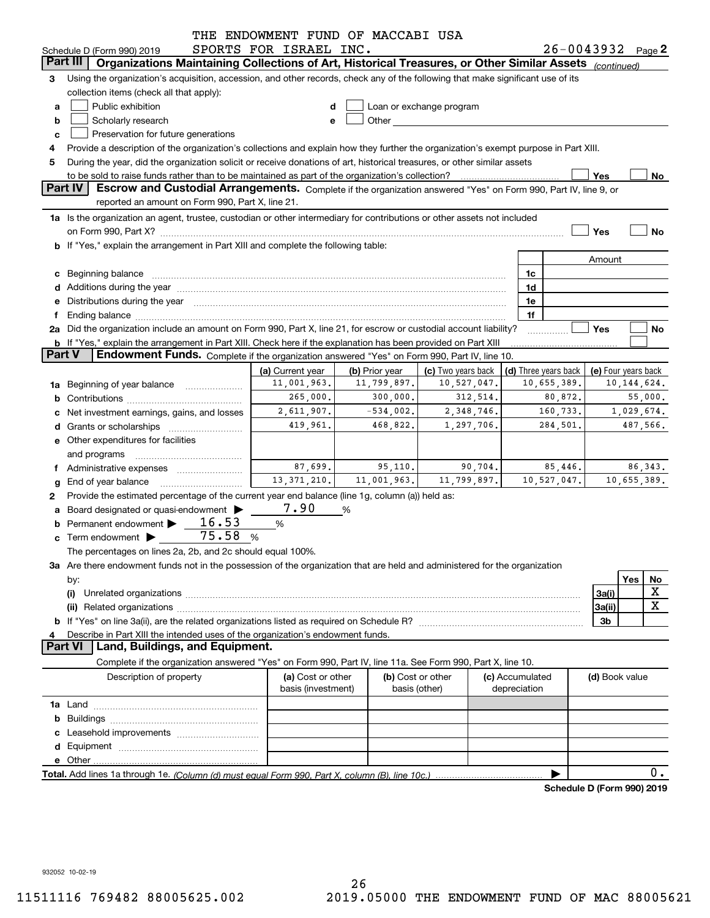|               |                                                                                                                                                                                                                                | THE ENDOWMENT FUND OF MACCABI USA |                |                          |                      |             |                |                            |
|---------------|--------------------------------------------------------------------------------------------------------------------------------------------------------------------------------------------------------------------------------|-----------------------------------|----------------|--------------------------|----------------------|-------------|----------------|----------------------------|
|               | Schedule D (Form 990) 2019                                                                                                                                                                                                     | SPORTS FOR ISRAEL INC.            |                |                          |                      |             |                | $26 - 0043932$ Page 2      |
| Part III      | Organizations Maintaining Collections of Art, Historical Treasures, or Other Similar Assets (continued)                                                                                                                        |                                   |                |                          |                      |             |                |                            |
| З             | Using the organization's acquisition, accession, and other records, check any of the following that make significant use of its                                                                                                |                                   |                |                          |                      |             |                |                            |
|               | collection items (check all that apply):                                                                                                                                                                                       |                                   |                |                          |                      |             |                |                            |
| a             | Public exhibition                                                                                                                                                                                                              | d                                 |                | Loan or exchange program |                      |             |                |                            |
| b             | Scholarly research                                                                                                                                                                                                             | e                                 |                |                          |                      |             |                |                            |
| c             | Preservation for future generations                                                                                                                                                                                            |                                   |                |                          |                      |             |                |                            |
| 4             | Provide a description of the organization's collections and explain how they further the organization's exempt purpose in Part XIII.                                                                                           |                                   |                |                          |                      |             |                |                            |
| 5             | During the year, did the organization solicit or receive donations of art, historical treasures, or other similar assets                                                                                                       |                                   |                |                          |                      |             |                |                            |
| Part IV       | to be sold to raise funds rather than to be maintained as part of the organization's collection?                                                                                                                               |                                   |                |                          |                      |             | Yes            | No                         |
|               | Escrow and Custodial Arrangements. Complete if the organization answered "Yes" on Form 990, Part IV, line 9, or                                                                                                                |                                   |                |                          |                      |             |                |                            |
|               | reported an amount on Form 990, Part X, line 21.                                                                                                                                                                               |                                   |                |                          |                      |             |                |                            |
|               | 1a Is the organization an agent, trustee, custodian or other intermediary for contributions or other assets not included                                                                                                       |                                   |                |                          |                      |             |                |                            |
|               |                                                                                                                                                                                                                                |                                   |                |                          |                      |             | Yes            | No                         |
|               | b If "Yes," explain the arrangement in Part XIII and complete the following table:                                                                                                                                             |                                   |                |                          |                      |             |                |                            |
|               |                                                                                                                                                                                                                                |                                   |                |                          |                      |             | Amount         |                            |
|               | c Beginning balance measurements and the contract of the contract of the contract of the contract of the contract of the contract of the contract of the contract of the contract of the contract of the contract of the contr |                                   |                |                          | 1c                   |             |                |                            |
|               |                                                                                                                                                                                                                                |                                   |                |                          | 1d                   |             |                |                            |
|               | e Distributions during the year measurements are also according to the year and the year measurement of the year measurement of the state of the state of the state of the state of the state of the state of the state of the |                                   |                |                          | 1e                   |             |                |                            |
|               | Ending balance manufactured and contract the contract of the contract of the contract of the contract of the contract of the contract of the contract of the contract of the contract of the contract of the contract of the c |                                   |                |                          | 1f                   |             |                |                            |
|               | 2a Did the organization include an amount on Form 990, Part X, line 21, for escrow or custodial account liability?                                                                                                             |                                   |                |                          |                      |             | Yes            | No                         |
| <b>Part V</b> | <b>b</b> If "Yes," explain the arrangement in Part XIII. Check here if the explanation has been provided on Part XIII                                                                                                          |                                   |                |                          |                      |             |                |                            |
|               | Endowment Funds. Complete if the organization answered "Yes" on Form 990, Part IV, line 10.                                                                                                                                    |                                   |                |                          |                      |             |                |                            |
|               |                                                                                                                                                                                                                                | (a) Current year                  | (b) Prior year | (c) Two years back       | (d) Three years back |             |                | (e) Four years back        |
| 1a            | Beginning of year balance                                                                                                                                                                                                      | 11,001,963.                       | 11,799,897.    | 10,527,047.              |                      | 10,655,389. |                | 10, 144, 624.              |
|               |                                                                                                                                                                                                                                | 265,000.                          | 300,000.       | 312,514.                 |                      | 80,872.     |                | 55,000.                    |
|               | Net investment earnings, gains, and losses                                                                                                                                                                                     | 2,611,907.                        | $-534,002.$    | 2,348,746.               |                      | 160,733.    |                | 1,029,674.                 |
|               |                                                                                                                                                                                                                                | 419,961.                          | 468,822.       | 1,297,706.               |                      | 284,501.    |                | 487,566.                   |
|               | e Other expenditures for facilities                                                                                                                                                                                            |                                   |                |                          |                      |             |                |                            |
|               | and programs                                                                                                                                                                                                                   |                                   |                |                          |                      |             |                |                            |
|               | Administrative expenses                                                                                                                                                                                                        | 87,699.                           | 95,110.        | 90,704.                  |                      | 85,446.     |                | 86, 343.                   |
|               | End of year balance                                                                                                                                                                                                            | 13, 371, 210.                     | 11,001,963.    | 11,799,897.              |                      | 10,527,047. |                | 10,655,389.                |
| 2             | Provide the estimated percentage of the current year end balance (line 1g, column (a)) held as:                                                                                                                                |                                   |                |                          |                      |             |                |                            |
|               | Board designated or quasi-endowment >                                                                                                                                                                                          | 7.90                              | %              |                          |                      |             |                |                            |
|               | Permanent endowment $\blacktriangleright$ 16.53                                                                                                                                                                                | $\%$                              |                |                          |                      |             |                |                            |
|               | 75.58<br>$\mathbf c$ Term endowment $\blacktriangleright$                                                                                                                                                                      | %                                 |                |                          |                      |             |                |                            |
|               | The percentages on lines 2a, 2b, and 2c should equal 100%.                                                                                                                                                                     |                                   |                |                          |                      |             |                |                            |
|               | 3a Are there endowment funds not in the possession of the organization that are held and administered for the organization                                                                                                     |                                   |                |                          |                      |             |                |                            |
|               | by:                                                                                                                                                                                                                            |                                   |                |                          |                      |             |                | Yes<br>No                  |
|               | (i)                                                                                                                                                                                                                            |                                   |                |                          |                      |             | 3a(i)          | X                          |
|               |                                                                                                                                                                                                                                |                                   |                |                          |                      |             | 3a(ii)         | $\mathbf X$                |
|               |                                                                                                                                                                                                                                |                                   |                |                          |                      |             | 3b             |                            |
|               | Describe in Part XIII the intended uses of the organization's endowment funds.                                                                                                                                                 |                                   |                |                          |                      |             |                |                            |
|               | Land, Buildings, and Equipment.<br><b>Part VI</b>                                                                                                                                                                              |                                   |                |                          |                      |             |                |                            |
|               | Complete if the organization answered "Yes" on Form 990, Part IV, line 11a. See Form 990, Part X, line 10.                                                                                                                     |                                   |                |                          |                      |             |                |                            |
|               | Description of property                                                                                                                                                                                                        | (a) Cost or other                 |                | (b) Cost or other        | (c) Accumulated      |             | (d) Book value |                            |
|               |                                                                                                                                                                                                                                | basis (investment)                |                | basis (other)            | depreciation         |             |                |                            |
|               |                                                                                                                                                                                                                                |                                   |                |                          |                      |             |                |                            |
|               |                                                                                                                                                                                                                                |                                   |                |                          |                      |             |                |                            |
|               |                                                                                                                                                                                                                                |                                   |                |                          |                      |             |                |                            |
|               |                                                                                                                                                                                                                                |                                   |                |                          |                      |             |                |                            |
|               |                                                                                                                                                                                                                                |                                   |                |                          |                      |             |                |                            |
|               |                                                                                                                                                                                                                                |                                   |                |                          |                      |             |                | 0.                         |
|               |                                                                                                                                                                                                                                |                                   |                |                          |                      |             |                | Schedule D (Form 990) 2019 |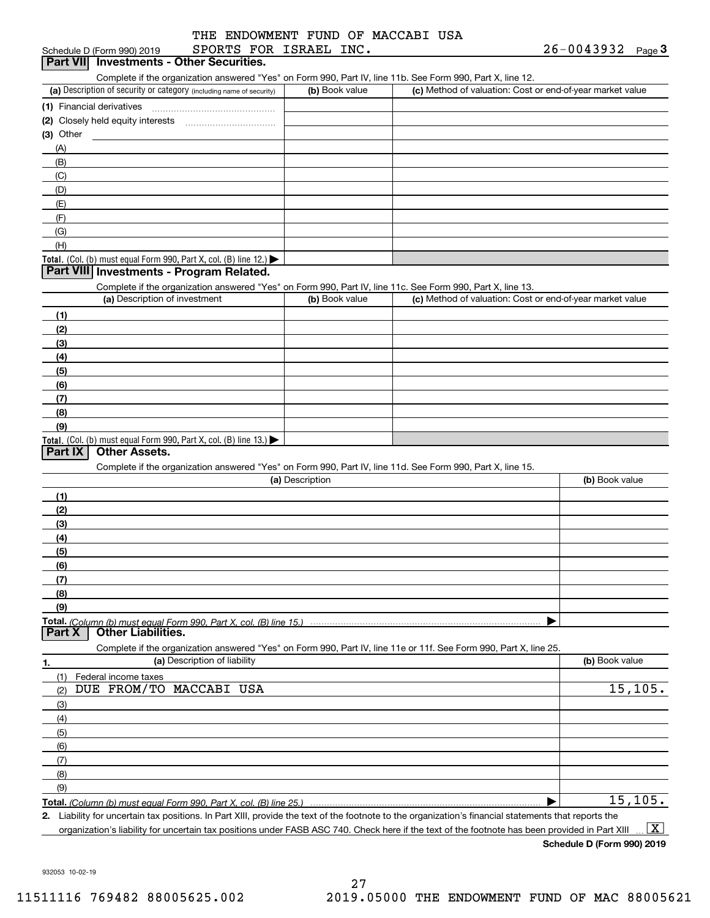| Schedule D (Form 990) 2019 |                                          | SPORTS FOR ISRAEL INC. |  | 26-0043932 | نة Page |
|----------------------------|------------------------------------------|------------------------|--|------------|---------|
|                            | Part VII Investments - Other Securities. |                        |  |            |         |

Complete if the organization answered "Yes" on Form 990, Part IV, line 11b. See Form 990, Part X, line 12.

| (a) Description of security or category (including name of security)                   | (b) Book value | (c) Method of valuation: Cost or end-of-year market value |
|----------------------------------------------------------------------------------------|----------------|-----------------------------------------------------------|
| (1) Financial derivatives                                                              |                |                                                           |
| (2) Closely held equity interests                                                      |                |                                                           |
| $(3)$ Other                                                                            |                |                                                           |
| (A)                                                                                    |                |                                                           |
| (B)                                                                                    |                |                                                           |
| (C)                                                                                    |                |                                                           |
| (D)                                                                                    |                |                                                           |
| (E)                                                                                    |                |                                                           |
| (F)                                                                                    |                |                                                           |
| (G)                                                                                    |                |                                                           |
| (H)                                                                                    |                |                                                           |
| Total. (Col. (b) must equal Form 990, Part X, col. (B) line 12.) $\blacktriangleright$ |                |                                                           |

#### **Part VIII Investments - Program Related.**

Complete if the organization answered "Yes" on Form 990, Part IV, line 11c. See Form 990, Part X, line 13.

| (a) Description of investment                                                          | (b) Book value | (c) Method of valuation: Cost or end-of-year market value |
|----------------------------------------------------------------------------------------|----------------|-----------------------------------------------------------|
| (1)                                                                                    |                |                                                           |
| (2)                                                                                    |                |                                                           |
| $\frac{1}{2}$                                                                          |                |                                                           |
| (4)                                                                                    |                |                                                           |
| $\frac{1}{2}$ (5)                                                                      |                |                                                           |
| (6)                                                                                    |                |                                                           |
| (7)                                                                                    |                |                                                           |
| (8)                                                                                    |                |                                                           |
| (9)                                                                                    |                |                                                           |
| Total. (Col. (b) must equal Form 990, Part X, col. (B) line 13.) $\blacktriangleright$ |                |                                                           |

#### **Part IX Other Assets.**

Complete if the organization answered "Yes" on Form 990, Part IV, line 11d. See Form 990, Part X, line 15.

| (a) Description                     | (b) Book value |
|-------------------------------------|----------------|
| - (1                                |                |
| (2)                                 |                |
| $\qquad \qquad (3)$                 |                |
| (4)                                 |                |
| (5)                                 |                |
| (6)                                 |                |
| (7)                                 |                |
| (8)                                 |                |
| (9)                                 |                |
|                                     |                |
| Part X<br><b>Other Liabilities.</b> |                |

|                                | Complete if the organization answered "Yes" on Form 990, Part IV, line 11e or 11f. See Form 990, Part X, line 25. |  |  |  |  |  |  |  |  |  |  |  |  |
|--------------------------------|-------------------------------------------------------------------------------------------------------------------|--|--|--|--|--|--|--|--|--|--|--|--|
| (a) Description of liability   | (b) Book value                                                                                                    |  |  |  |  |  |  |  |  |  |  |  |  |
| Federal income taxes           |                                                                                                                   |  |  |  |  |  |  |  |  |  |  |  |  |
| DUE FROM/TO MACCABI USA<br>(2) | 15, 105.                                                                                                          |  |  |  |  |  |  |  |  |  |  |  |  |
| $\frac{1}{2}$                  |                                                                                                                   |  |  |  |  |  |  |  |  |  |  |  |  |
| (4)                            |                                                                                                                   |  |  |  |  |  |  |  |  |  |  |  |  |
| $\frac{1}{2}$                  |                                                                                                                   |  |  |  |  |  |  |  |  |  |  |  |  |
| (6)                            |                                                                                                                   |  |  |  |  |  |  |  |  |  |  |  |  |
| (7)                            |                                                                                                                   |  |  |  |  |  |  |  |  |  |  |  |  |
| (8)                            |                                                                                                                   |  |  |  |  |  |  |  |  |  |  |  |  |
| (9)                            |                                                                                                                   |  |  |  |  |  |  |  |  |  |  |  |  |
|                                | 15, 105.                                                                                                          |  |  |  |  |  |  |  |  |  |  |  |  |

*(Column (b) must equal Form 990, Part X, col. (B) line 25.)* 

**2.**Liability for uncertain tax positions. In Part XIII, provide the text of the footnote to the organization's financial statements that reports the organization's liability for uncertain tax positions under FASB ASC 740. Check here if the text of the footnote has been provided in Part XIII  $\boxed{\text{X}}$ 

**Schedule D (Form 990) 2019**

932053 10-02-19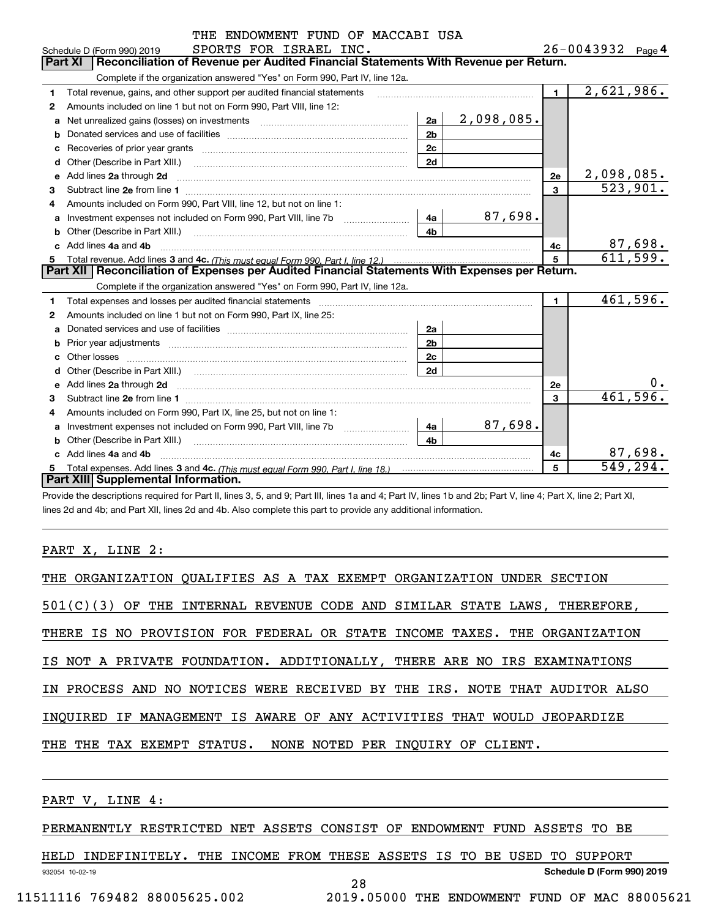|    | THE ENDOWMENT FUND OF MACCABI USA                                                                                                                                                                                                   |                |            |                |                            |
|----|-------------------------------------------------------------------------------------------------------------------------------------------------------------------------------------------------------------------------------------|----------------|------------|----------------|----------------------------|
|    | SPORTS FOR ISRAEL INC.<br>Schedule D (Form 990) 2019                                                                                                                                                                                |                |            |                | $26 - 0043932$ Page 4      |
|    | Reconciliation of Revenue per Audited Financial Statements With Revenue per Return.<br>Part XI                                                                                                                                      |                |            |                |                            |
|    | Complete if the organization answered "Yes" on Form 990, Part IV, line 12a.                                                                                                                                                         |                |            |                |                            |
| 1  | Total revenue, gains, and other support per audited financial statements                                                                                                                                                            |                |            | $\blacksquare$ | $\overline{2,621,986}$ .   |
| 2  | Amounts included on line 1 but not on Form 990, Part VIII, line 12:                                                                                                                                                                 |                |            |                |                            |
| a  |                                                                                                                                                                                                                                     | 2a             | 2,098,085. |                |                            |
| b  |                                                                                                                                                                                                                                     | 2 <sub>b</sub> |            |                |                            |
|    |                                                                                                                                                                                                                                     | 2c             |            |                |                            |
|    |                                                                                                                                                                                                                                     | 2d             |            |                |                            |
| e  | Add lines 2a through 2d                                                                                                                                                                                                             |                |            | 2e             | 2,098,085.                 |
| 3  |                                                                                                                                                                                                                                     |                |            | 3              | 523,901.                   |
| 4  | Amounts included on Form 990, Part VIII, line 12, but not on line 1:                                                                                                                                                                |                |            |                |                            |
| a  |                                                                                                                                                                                                                                     | 4a             | 87,698.    |                |                            |
|    |                                                                                                                                                                                                                                     | 4b             |            |                |                            |
|    | Add lines 4a and 4b                                                                                                                                                                                                                 |                |            | 4c             | $\frac{87,698.}{611,599.}$ |
| 5  |                                                                                                                                                                                                                                     |                |            | 5              |                            |
|    | Part XII   Reconciliation of Expenses per Audited Financial Statements With Expenses per Return.                                                                                                                                    |                |            |                |                            |
|    | Complete if the organization answered "Yes" on Form 990, Part IV, line 12a.                                                                                                                                                         |                |            |                |                            |
| 1. |                                                                                                                                                                                                                                     |                |            | $\mathbf{1}$   | 461,596.                   |
| 2  | Amounts included on line 1 but not on Form 990, Part IX, line 25:                                                                                                                                                                   |                |            |                |                            |
| a  |                                                                                                                                                                                                                                     | 2a             |            |                |                            |
|    |                                                                                                                                                                                                                                     | 2 <sub>b</sub> |            |                |                            |
|    |                                                                                                                                                                                                                                     | 2c             |            |                |                            |
| d  |                                                                                                                                                                                                                                     | 2d             |            |                |                            |
| e  | Add lines 2a through 2d <b>contained a contained a contained a contained a</b> contained a contact the state of the state of the state of the state of the state of the state of the state of the state of the state of the state o |                |            | 2e             | υ.                         |
| 3  |                                                                                                                                                                                                                                     |                |            | $\overline{3}$ | 461,596.                   |
| 4  | Amounts included on Form 990, Part IX, line 25, but not on line 1:                                                                                                                                                                  |                |            |                |                            |
| a  |                                                                                                                                                                                                                                     | 4a             | 87,698.    |                |                            |
|    | Other (Describe in Part XIII.)                                                                                                                                                                                                      | 4 <sub>b</sub> |            |                |                            |
|    | c Add lines 4a and 4b                                                                                                                                                                                                               |                |            | 4с             | 87,698.                    |
|    |                                                                                                                                                                                                                                     |                |            | 5              | 549,294.                   |
|    | Part XIII Supplemental Information.                                                                                                                                                                                                 |                |            |                |                            |

Provide the descriptions required for Part II, lines 3, 5, and 9; Part III, lines 1a and 4; Part IV, lines 1b and 2b; Part V, line 4; Part X, line 2; Part XI, lines 2d and 4b; and Part XII, lines 2d and 4b. Also complete this part to provide any additional information.

#### PART X, LINE 2:

|  | THE ORGANIZATION QUALIFIES AS A TAX EXEMPT ORGANIZATION UNDER SECTION       |  |  |  |  |  |  |  |  |  |
|--|-----------------------------------------------------------------------------|--|--|--|--|--|--|--|--|--|
|  | $501(C)(3)$ OF THE INTERNAL REVENUE CODE AND SIMILAR STATE LAWS, THEREFORE, |  |  |  |  |  |  |  |  |  |
|  | THERE IS NO PROVISION FOR FEDERAL OR STATE INCOME TAXES. THE ORGANIZATION   |  |  |  |  |  |  |  |  |  |
|  | IS NOT A PRIVATE FOUNDATION. ADDITIONALLY, THERE ARE NO IRS EXAMINATIONS    |  |  |  |  |  |  |  |  |  |
|  | IN PROCESS AND NO NOTICES WERE RECEIVED BY THE IRS. NOTE THAT AUDITOR ALSO  |  |  |  |  |  |  |  |  |  |
|  | INOUIRED IF MANAGEMENT IS AWARE OF ANY ACTIVITIES THAT WOULD JEOPARDIZE     |  |  |  |  |  |  |  |  |  |
|  | THE THE TAX EXEMPT STATUS. NONE NOTED PER INOUIRY OF CLIENT.                |  |  |  |  |  |  |  |  |  |
|  |                                                                             |  |  |  |  |  |  |  |  |  |

PART V, LINE 4:

PERMANENTLY RESTRICTED NET ASSETS CONSIST OF ENDOWMENT FUND ASSETS TO BE

932054 10-02-19 **Schedule D (Form 990) 2019** HELD INDEFINITELY. THE INCOME FROM THESE ASSETS IS TO BE USED TO SUPPORT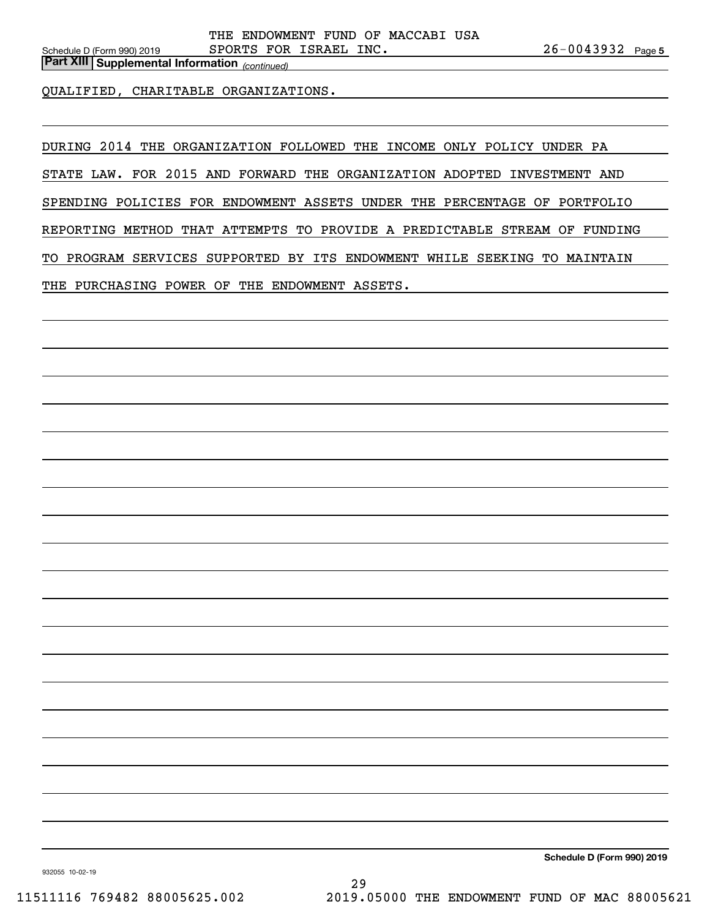*(continued)* **Part XIII Supplemental Information** 

QUALIFIED, CHARITABLE ORGANIZATIONS.

DURING 2014 THE ORGANIZATION FOLLOWED THE INCOME ONLY POLICY UNDER PA

STATE LAW. FOR 2015 AND FORWARD THE ORGANIZATION ADOPTED INVESTMENT AND

SPENDING POLICIES FOR ENDOWMENT ASSETS UNDER THE PERCENTAGE OF PORTFOLIO

REPORTING METHOD THAT ATTEMPTS TO PROVIDE A PREDICTABLE STREAM OF FUNDING

TO PROGRAM SERVICES SUPPORTED BY ITS ENDOWMENT WHILE SEEKING TO MAINTAIN

THE PURCHASING POWER OF THE ENDOWMENT ASSETS.

**Schedule D (Form 990) 2019**

932055 10-02-19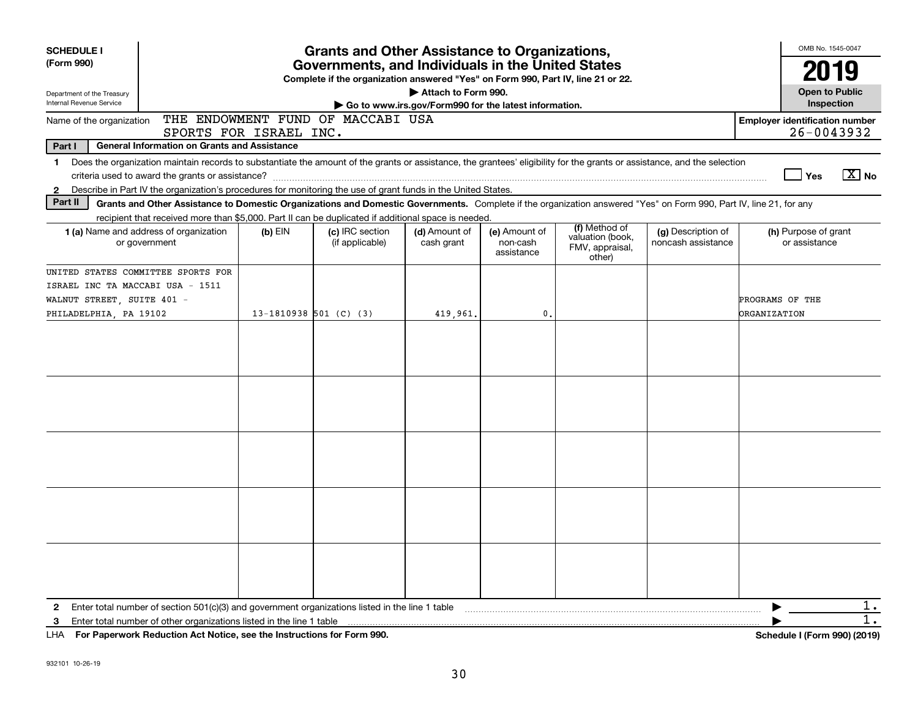| <b>SCHEDULE I</b><br><b>Grants and Other Assistance to Organizations,</b><br>Governments, and Individuals in the United States                                                                                                                                                                                                                                                                                                                                                                                                                                                                                                                                                                                                                                                                                                                                                                                                                                                                                                                                                                 |                                                                                                   |                                     | OMB No. 1545-0047                                                                |                                                       |  |               |  |                                       |
|------------------------------------------------------------------------------------------------------------------------------------------------------------------------------------------------------------------------------------------------------------------------------------------------------------------------------------------------------------------------------------------------------------------------------------------------------------------------------------------------------------------------------------------------------------------------------------------------------------------------------------------------------------------------------------------------------------------------------------------------------------------------------------------------------------------------------------------------------------------------------------------------------------------------------------------------------------------------------------------------------------------------------------------------------------------------------------------------|---------------------------------------------------------------------------------------------------|-------------------------------------|----------------------------------------------------------------------------------|-------------------------------------------------------|--|---------------|--|---------------------------------------|
| (Form 990)                                                                                                                                                                                                                                                                                                                                                                                                                                                                                                                                                                                                                                                                                                                                                                                                                                                                                                                                                                                                                                                                                     |                                                                                                   |                                     | Complete if the organization answered "Yes" on Form 990, Part IV, line 21 or 22. |                                                       |  |               |  | 2019                                  |
| Department of the Treasury<br>Internal Revenue Service                                                                                                                                                                                                                                                                                                                                                                                                                                                                                                                                                                                                                                                                                                                                                                                                                                                                                                                                                                                                                                         |                                                                                                   |                                     |                                                                                  | Attach to Form 990.                                   |  |               |  | <b>Open to Public</b><br>Inspection   |
| Name of the organization                                                                                                                                                                                                                                                                                                                                                                                                                                                                                                                                                                                                                                                                                                                                                                                                                                                                                                                                                                                                                                                                       |                                                                                                   |                                     |                                                                                  | Go to www.irs.gov/Form990 for the latest information. |  |               |  | <b>Employer identification number</b> |
|                                                                                                                                                                                                                                                                                                                                                                                                                                                                                                                                                                                                                                                                                                                                                                                                                                                                                                                                                                                                                                                                                                |                                                                                                   |                                     |                                                                                  |                                                       |  |               |  | $26 - 0043932$                        |
| Part I                                                                                                                                                                                                                                                                                                                                                                                                                                                                                                                                                                                                                                                                                                                                                                                                                                                                                                                                                                                                                                                                                         |                                                                                                   |                                     |                                                                                  |                                                       |  |               |  |                                       |
| $\mathbf 1$                                                                                                                                                                                                                                                                                                                                                                                                                                                                                                                                                                                                                                                                                                                                                                                                                                                                                                                                                                                                                                                                                    |                                                                                                   |                                     |                                                                                  |                                                       |  |               |  |                                       |
|                                                                                                                                                                                                                                                                                                                                                                                                                                                                                                                                                                                                                                                                                                                                                                                                                                                                                                                                                                                                                                                                                                |                                                                                                   |                                     |                                                                                  |                                                       |  |               |  | $\boxed{\text{X}}$ No<br>Yes          |
| $\mathbf{2}$                                                                                                                                                                                                                                                                                                                                                                                                                                                                                                                                                                                                                                                                                                                                                                                                                                                                                                                                                                                                                                                                                   |                                                                                                   |                                     |                                                                                  |                                                       |  |               |  |                                       |
|                                                                                                                                                                                                                                                                                                                                                                                                                                                                                                                                                                                                                                                                                                                                                                                                                                                                                                                                                                                                                                                                                                |                                                                                                   |                                     |                                                                                  |                                                       |  |               |  |                                       |
|                                                                                                                                                                                                                                                                                                                                                                                                                                                                                                                                                                                                                                                                                                                                                                                                                                                                                                                                                                                                                                                                                                |                                                                                                   |                                     |                                                                                  |                                                       |  | (f) Method of |  |                                       |
| THE ENDOWMENT FUND OF MACCABI USA<br>SPORTS FOR ISRAEL INC.<br><b>General Information on Grants and Assistance</b><br>Does the organization maintain records to substantiate the amount of the grants or assistance, the grantees' eligibility for the grants or assistance, and the selection<br>Describe in Part IV the organization's procedures for monitoring the use of grant funds in the United States.<br>Part II<br>Grants and Other Assistance to Domestic Organizations and Domestic Governments. Complete if the organization answered "Yes" on Form 990, Part IV, line 21, for any<br>recipient that received more than \$5,000. Part II can be duplicated if additional space is needed.<br>(c) IRC section<br>(d) Amount of<br><b>1 (a)</b> Name and address of organization<br>$(b)$ EIN<br>(e) Amount of<br>or government<br>(if applicable)<br>cash grant<br>non-cash<br>assistance<br>other)<br>UNITED STATES COMMITTEE SPORTS FOR<br>ISRAEL INC TA MACCABI USA - 1511<br>WALNUT STREET, SUITE 401 -<br>PHILADELPHIA, PA 19102<br>13-1810938 501 (C) (3)<br>419,961.<br>0. |                                                                                                   | valuation (book,<br>FMV, appraisal, | (g) Description of<br>noncash assistance                                         | (h) Purpose of grant<br>or assistance                 |  |               |  |                                       |
|                                                                                                                                                                                                                                                                                                                                                                                                                                                                                                                                                                                                                                                                                                                                                                                                                                                                                                                                                                                                                                                                                                |                                                                                                   |                                     |                                                                                  |                                                       |  |               |  |                                       |
|                                                                                                                                                                                                                                                                                                                                                                                                                                                                                                                                                                                                                                                                                                                                                                                                                                                                                                                                                                                                                                                                                                |                                                                                                   |                                     |                                                                                  |                                                       |  |               |  |                                       |
|                                                                                                                                                                                                                                                                                                                                                                                                                                                                                                                                                                                                                                                                                                                                                                                                                                                                                                                                                                                                                                                                                                |                                                                                                   |                                     |                                                                                  |                                                       |  |               |  | PROGRAMS OF THE                       |
|                                                                                                                                                                                                                                                                                                                                                                                                                                                                                                                                                                                                                                                                                                                                                                                                                                                                                                                                                                                                                                                                                                |                                                                                                   |                                     |                                                                                  |                                                       |  |               |  | <b>ORGANIZATION</b>                   |
|                                                                                                                                                                                                                                                                                                                                                                                                                                                                                                                                                                                                                                                                                                                                                                                                                                                                                                                                                                                                                                                                                                |                                                                                                   |                                     |                                                                                  |                                                       |  |               |  |                                       |
|                                                                                                                                                                                                                                                                                                                                                                                                                                                                                                                                                                                                                                                                                                                                                                                                                                                                                                                                                                                                                                                                                                |                                                                                                   |                                     |                                                                                  |                                                       |  |               |  |                                       |
|                                                                                                                                                                                                                                                                                                                                                                                                                                                                                                                                                                                                                                                                                                                                                                                                                                                                                                                                                                                                                                                                                                |                                                                                                   |                                     |                                                                                  |                                                       |  |               |  |                                       |
|                                                                                                                                                                                                                                                                                                                                                                                                                                                                                                                                                                                                                                                                                                                                                                                                                                                                                                                                                                                                                                                                                                |                                                                                                   |                                     |                                                                                  |                                                       |  |               |  |                                       |
|                                                                                                                                                                                                                                                                                                                                                                                                                                                                                                                                                                                                                                                                                                                                                                                                                                                                                                                                                                                                                                                                                                |                                                                                                   |                                     |                                                                                  |                                                       |  |               |  |                                       |
|                                                                                                                                                                                                                                                                                                                                                                                                                                                                                                                                                                                                                                                                                                                                                                                                                                                                                                                                                                                                                                                                                                |                                                                                                   |                                     |                                                                                  |                                                       |  |               |  |                                       |
|                                                                                                                                                                                                                                                                                                                                                                                                                                                                                                                                                                                                                                                                                                                                                                                                                                                                                                                                                                                                                                                                                                |                                                                                                   |                                     |                                                                                  |                                                       |  |               |  |                                       |
|                                                                                                                                                                                                                                                                                                                                                                                                                                                                                                                                                                                                                                                                                                                                                                                                                                                                                                                                                                                                                                                                                                |                                                                                                   |                                     |                                                                                  |                                                       |  |               |  |                                       |
|                                                                                                                                                                                                                                                                                                                                                                                                                                                                                                                                                                                                                                                                                                                                                                                                                                                                                                                                                                                                                                                                                                |                                                                                                   |                                     |                                                                                  |                                                       |  |               |  |                                       |
|                                                                                                                                                                                                                                                                                                                                                                                                                                                                                                                                                                                                                                                                                                                                                                                                                                                                                                                                                                                                                                                                                                |                                                                                                   |                                     |                                                                                  |                                                       |  |               |  |                                       |
|                                                                                                                                                                                                                                                                                                                                                                                                                                                                                                                                                                                                                                                                                                                                                                                                                                                                                                                                                                                                                                                                                                |                                                                                                   |                                     |                                                                                  |                                                       |  |               |  |                                       |
|                                                                                                                                                                                                                                                                                                                                                                                                                                                                                                                                                                                                                                                                                                                                                                                                                                                                                                                                                                                                                                                                                                |                                                                                                   |                                     |                                                                                  |                                                       |  |               |  |                                       |
|                                                                                                                                                                                                                                                                                                                                                                                                                                                                                                                                                                                                                                                                                                                                                                                                                                                                                                                                                                                                                                                                                                |                                                                                                   |                                     |                                                                                  |                                                       |  |               |  |                                       |
|                                                                                                                                                                                                                                                                                                                                                                                                                                                                                                                                                                                                                                                                                                                                                                                                                                                                                                                                                                                                                                                                                                |                                                                                                   |                                     |                                                                                  |                                                       |  |               |  |                                       |
|                                                                                                                                                                                                                                                                                                                                                                                                                                                                                                                                                                                                                                                                                                                                                                                                                                                                                                                                                                                                                                                                                                |                                                                                                   |                                     |                                                                                  |                                                       |  |               |  |                                       |
|                                                                                                                                                                                                                                                                                                                                                                                                                                                                                                                                                                                                                                                                                                                                                                                                                                                                                                                                                                                                                                                                                                |                                                                                                   |                                     |                                                                                  |                                                       |  |               |  |                                       |
|                                                                                                                                                                                                                                                                                                                                                                                                                                                                                                                                                                                                                                                                                                                                                                                                                                                                                                                                                                                                                                                                                                |                                                                                                   |                                     |                                                                                  |                                                       |  |               |  |                                       |
|                                                                                                                                                                                                                                                                                                                                                                                                                                                                                                                                                                                                                                                                                                                                                                                                                                                                                                                                                                                                                                                                                                |                                                                                                   |                                     |                                                                                  |                                                       |  |               |  |                                       |
| $\mathbf{2}$                                                                                                                                                                                                                                                                                                                                                                                                                                                                                                                                                                                                                                                                                                                                                                                                                                                                                                                                                                                                                                                                                   | Enter total number of section $501(c)(3)$ and government organizations listed in the line 1 table |                                     |                                                                                  |                                                       |  |               |  | $1$ .                                 |
| 3                                                                                                                                                                                                                                                                                                                                                                                                                                                                                                                                                                                                                                                                                                                                                                                                                                                                                                                                                                                                                                                                                              | Enter total number of other organizations listed in the line 1 table                              |                                     |                                                                                  |                                                       |  |               |  | $1$ .                                 |
|                                                                                                                                                                                                                                                                                                                                                                                                                                                                                                                                                                                                                                                                                                                                                                                                                                                                                                                                                                                                                                                                                                | LHA For Paperwork Reduction Act Notice, see the Instructions for Form 990.                        |                                     |                                                                                  |                                                       |  |               |  | Schedule I (Form 990) (2019)          |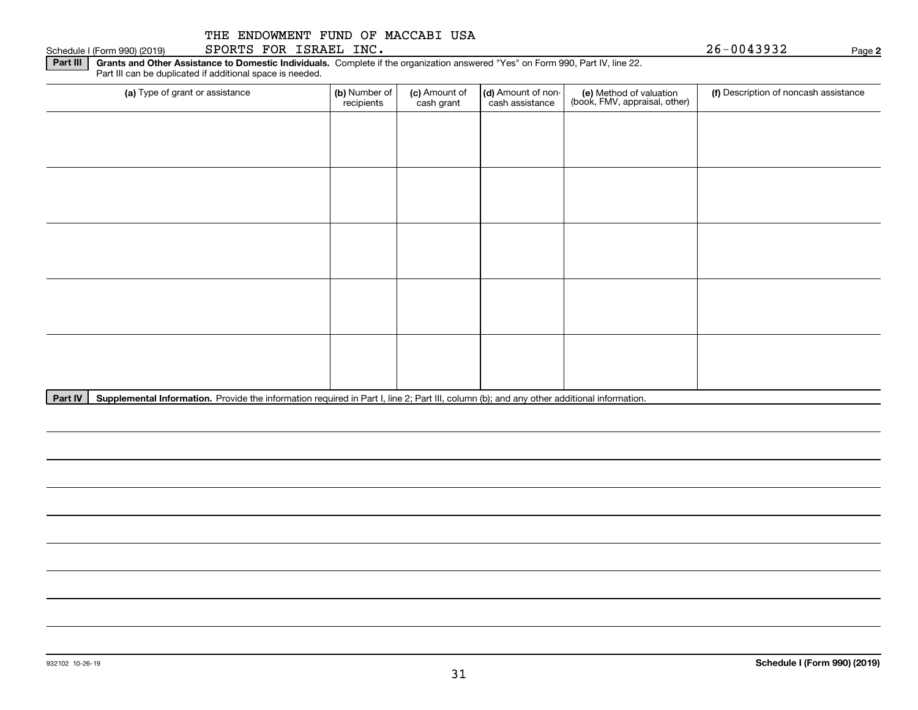#### Schedule I (Form 990) (2019)  ${\tt SPORTS}$   ${\tt FOR}$   ${\tt ISRAEL}$   ${\tt INC}$  .  $\hfill$   $\hfill$   $\hfill$   $\hfill$   $\hfill$   $\hfill$   $\hfill$   $\hfill$   $\hfill$   $\hfill$   $\hfill$   $\hfill$   $\hfill$   $\hfill$   $\hfill$   $\hfill$   $\hfill$   $\hfill$   $\hfill$   $\hfill$   $\hfill$   $\hfill$   $\hfill$   $\hfill$   $\hfill$   $\hfill$

**Part III** | Grants and Other Assistance to Domestic Individuals. Complete if the organization answered "Yes" on Form 990, Part IV, line 22. Part III can be duplicated if additional space is needed.

| (a) Type of grant or assistance | (b) Number of<br>recipients | (c) Amount of<br>cash grant | (d) Amount of non-<br>cash assistance | (e) Method of valuation<br>(book, FMV, appraisal, other) | (f) Description of noncash assistance |
|---------------------------------|-----------------------------|-----------------------------|---------------------------------------|----------------------------------------------------------|---------------------------------------|
|                                 |                             |                             |                                       |                                                          |                                       |
|                                 |                             |                             |                                       |                                                          |                                       |
|                                 |                             |                             |                                       |                                                          |                                       |
|                                 |                             |                             |                                       |                                                          |                                       |
|                                 |                             |                             |                                       |                                                          |                                       |
|                                 |                             |                             |                                       |                                                          |                                       |
|                                 |                             |                             |                                       |                                                          |                                       |
|                                 |                             |                             |                                       |                                                          |                                       |
|                                 |                             |                             |                                       |                                                          |                                       |
|                                 |                             |                             |                                       |                                                          |                                       |

Part IV | Supplemental Information. Provide the information required in Part I, line 2; Part III, column (b); and any other additional information.

**2**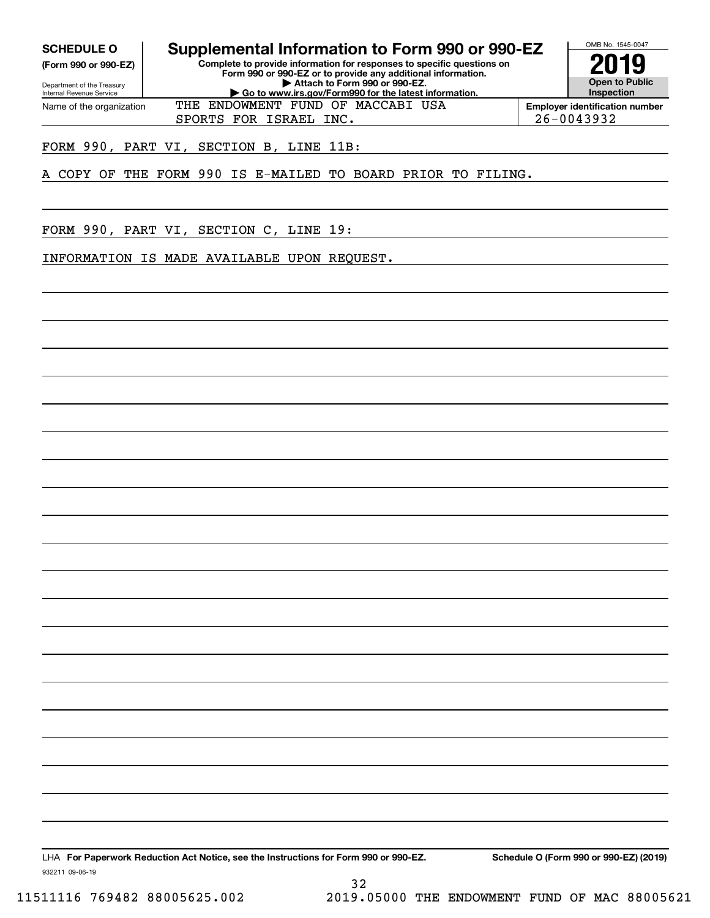**(Form 990 or 990-EZ)**

Department of the Treasury Internal Revenue Service Name of the organization

**SCHEDULE O Supplemental Information to Form 990 or 990-EZ**

**Complete to provide information for responses to specific questions on Form 990 or 990-EZ or to provide any additional information. | Attach to Form 990 or 990-EZ. | Go to www.irs.gov/Form990 for the latest information.**



**Employer identification number** SPORTS FOR ISRAEL INC. 26-0043932

FORM 990, PART VI, SECTION B, LINE 11B:

A COPY OF THE FORM 990 IS E-MAILED TO BOARD PRIOR TO FILING.

THE ENDOWMENT FUND OF MACCABI USA

FORM 990, PART VI, SECTION C, LINE 19:

INFORMATION IS MADE AVAILABLE UPON REQUEST.

LHA For Paperwork Reduction Act Notice, see the Instructions for Form 990 or 990-EZ. Schedule O (Form 990 or 990-EZ) (2019)

32

932211 09-06-19

11511116 769482 88005625.002 2019.05000 THE ENDOWMENT FUND OF MAC 88005621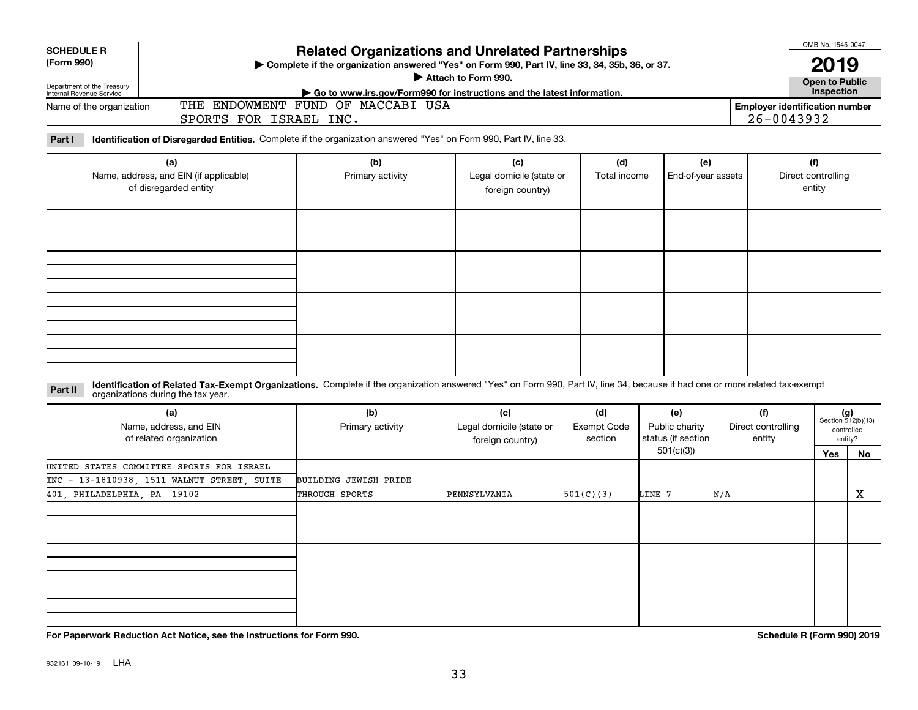| <b>SCHEDULE R</b><br>(Form 990)<br>Department of the Treasury<br>Internal Revenue Service<br>Name of the organization<br>Part I | SPORTS FOR ISRAEL INC.<br>Identification of Disregarded Entities. Complete if the organization answered "Yes" on Form 990, Part IV, line 33.                                                                              | <b>Related Organizations and Unrelated Partnerships</b><br>> Complete if the organization answered "Yes" on Form 990, Part IV, line 33, 34, 35b, 36, or 37.<br>Attach to Form 990.<br>Go to www.irs.gov/Form990 for instructions and the latest information.<br>THE ENDOWMENT FUND OF MACCABI USA |                                                     | OMB No. 1545-0047<br>2019<br><b>Open to Public</b><br>Inspection<br><b>Employer identification number</b><br>26-0043932 |                                                   |                              |                                     |                             |                   |
|---------------------------------------------------------------------------------------------------------------------------------|---------------------------------------------------------------------------------------------------------------------------------------------------------------------------------------------------------------------------|---------------------------------------------------------------------------------------------------------------------------------------------------------------------------------------------------------------------------------------------------------------------------------------------------|-----------------------------------------------------|-------------------------------------------------------------------------------------------------------------------------|---------------------------------------------------|------------------------------|-------------------------------------|-----------------------------|-------------------|
| (a)<br>Name, address, and EIN (if applicable)<br>of disregarded entity                                                          |                                                                                                                                                                                                                           | (b)<br>Primary activity                                                                                                                                                                                                                                                                           | (c)<br>Legal domicile (state or<br>foreign country) | (d)<br>Total income                                                                                                     | (e)<br>End-of-year assets                         |                              | (f)<br>Direct controlling<br>entity |                             |                   |
| Part II                                                                                                                         | Identification of Related Tax-Exempt Organizations. Complete if the organization answered "Yes" on Form 990, Part IV, line 34, because it had one or more related tax-exempt<br>organizations during the tax year.<br>(a) | (b)                                                                                                                                                                                                                                                                                               | (c)                                                 | (d)                                                                                                                     | (e)                                               | (f)                          |                                     | $(g)$<br>Section 512(b)(13) |                   |
|                                                                                                                                 | Name, address, and EIN<br>of related organization                                                                                                                                                                         | Primary activity                                                                                                                                                                                                                                                                                  | Legal domicile (state or<br>foreign country)        | <b>Exempt Code</b><br>section                                                                                           | Public charity<br>status (if section<br>501(c)(3) | Direct controlling<br>entity |                                     | controlled<br>entity?       |                   |
| UNITED STATES COMMITTEE SPORTS FOR ISRAEL<br>INC - 13-1810938, 1511 WALNUT STREET, SUITE<br>401 PHILADELPHIA PA 19102           |                                                                                                                                                                                                                           | BUILDING JEWISH PRIDE<br>THROUGH SPORTS                                                                                                                                                                                                                                                           | PENNSYLVANIA                                        | 501(C)(3)                                                                                                               | LINE 7                                            | N/A                          |                                     | <b>Yes</b>                  | No<br>$\mathbf X$ |
|                                                                                                                                 |                                                                                                                                                                                                                           |                                                                                                                                                                                                                                                                                                   |                                                     |                                                                                                                         |                                                   |                              |                                     |                             |                   |

**For Paperwork Reduction Act Notice, see the Instructions for Form 990. Schedule R (Form 990) 2019**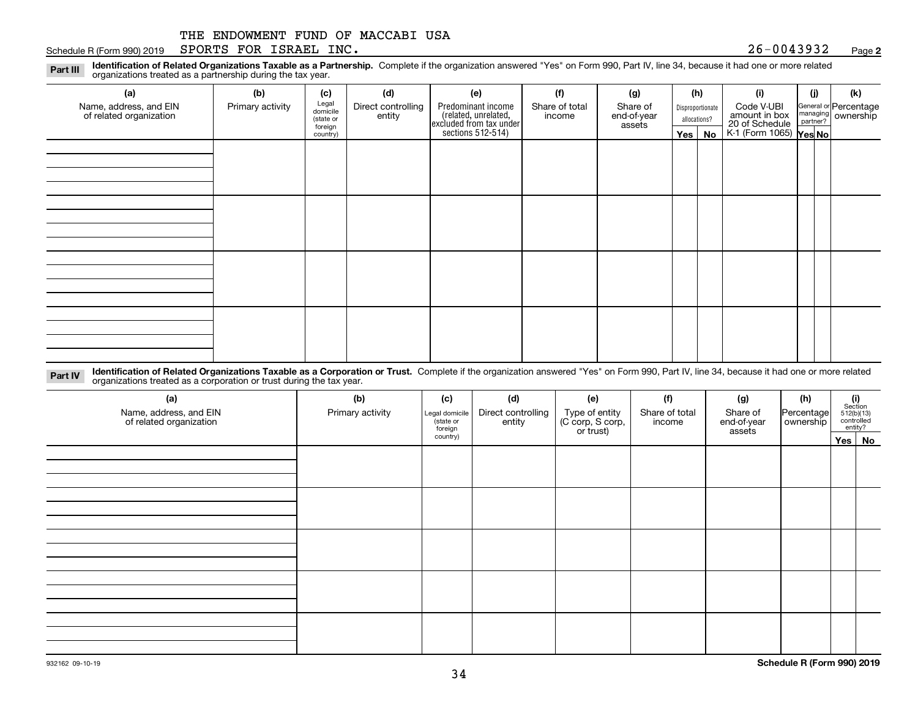#### Schedule R (Form 990) 2019  $S$ PORTS FOR I $S$ RAEL INC  $\boldsymbol{\cdot}$  and  $\boldsymbol{\cdot}$  and  $\boldsymbol{\cdot}$  and  $\boldsymbol{\cdot}$  and  $\boldsymbol{\cdot}$  and  $\boldsymbol{\cdot}$  and  $\boldsymbol{\cdot}$  and  $\boldsymbol{\cdot}$  and  $\boldsymbol{\cdot}$  and  $\boldsymbol{\cdot}$  and  $\boldsymbol{\cdot}$  and  $\boldsymbol{\cdot}$  and  $\boldsymbol{\cdot}$  an

#### **2**

**Identification of Related Organizations Taxable as a Partnership.** Complete if the organization answered "Yes" on Form 990, Part IV, line 34, because it had one or more related **Part III** organizations treated as a partnership during the tax year.

| (a)                                               | (b)              | (c)                  | (d)                          | (e)                                                                 | (f)            | (g)                   |         | (h)              | (i)                                      | (i) | (k)                                                     |
|---------------------------------------------------|------------------|----------------------|------------------------------|---------------------------------------------------------------------|----------------|-----------------------|---------|------------------|------------------------------------------|-----|---------------------------------------------------------|
| Name, address, and EIN<br>of related organization | Primary activity | Legal<br>domicile    | Direct controlling<br>entity | Predominant income                                                  | Share of total | Share of              |         | Disproportionate | Code V-UBI<br>amount in box              |     | General or Percentage<br>managing ownership<br>partner? |
|                                                   |                  | (state or<br>foreign |                              | related, unrelated,<br>excluded from tax under<br>sections 512-514) | income         | end-of-year<br>assets |         | allocations?     |                                          |     |                                                         |
|                                                   |                  | country)             |                              |                                                                     |                |                       | Yes $ $ | No               | 20 of Schedule<br>K-1 (Form 1065) Yes No |     |                                                         |
|                                                   |                  |                      |                              |                                                                     |                |                       |         |                  |                                          |     |                                                         |
|                                                   |                  |                      |                              |                                                                     |                |                       |         |                  |                                          |     |                                                         |
|                                                   |                  |                      |                              |                                                                     |                |                       |         |                  |                                          |     |                                                         |
|                                                   |                  |                      |                              |                                                                     |                |                       |         |                  |                                          |     |                                                         |
|                                                   |                  |                      |                              |                                                                     |                |                       |         |                  |                                          |     |                                                         |
|                                                   |                  |                      |                              |                                                                     |                |                       |         |                  |                                          |     |                                                         |
|                                                   |                  |                      |                              |                                                                     |                |                       |         |                  |                                          |     |                                                         |
|                                                   |                  |                      |                              |                                                                     |                |                       |         |                  |                                          |     |                                                         |
|                                                   |                  |                      |                              |                                                                     |                |                       |         |                  |                                          |     |                                                         |
|                                                   |                  |                      |                              |                                                                     |                |                       |         |                  |                                          |     |                                                         |
|                                                   |                  |                      |                              |                                                                     |                |                       |         |                  |                                          |     |                                                         |
|                                                   |                  |                      |                              |                                                                     |                |                       |         |                  |                                          |     |                                                         |
|                                                   |                  |                      |                              |                                                                     |                |                       |         |                  |                                          |     |                                                         |
|                                                   |                  |                      |                              |                                                                     |                |                       |         |                  |                                          |     |                                                         |
|                                                   |                  |                      |                              |                                                                     |                |                       |         |                  |                                          |     |                                                         |
|                                                   |                  |                      |                              |                                                                     |                |                       |         |                  |                                          |     |                                                         |
|                                                   |                  |                      |                              |                                                                     |                |                       |         |                  |                                          |     |                                                         |

**Identification of Related Organizations Taxable as a Corporation or Trust.** Complete if the organization answered "Yes" on Form 990, Part IV, line 34, because it had one or more related **Part IV** organizations treated as a corporation or trust during the tax year.

| (a)<br>Name, address, and EIN<br>of related organization | (b)<br>Primary activity | (c)<br>Legal domicile<br>(state or<br>foreign | (d)<br>Direct controlling<br>entity | (e)<br>Type of entity<br>(C corp, S corp,<br>or trust) | (f)<br>Share of total<br>income | (g)<br>Share of<br>end-of-year<br>assets | (h)<br>Percentage<br>ownership | $\begin{array}{c} \textbf{(i)}\\ \text{Section}\\ 512 \text{(b)} \text{(13)}\\ \text{controlled}\\ \text{entity?} \end{array}$ |  |
|----------------------------------------------------------|-------------------------|-----------------------------------------------|-------------------------------------|--------------------------------------------------------|---------------------------------|------------------------------------------|--------------------------------|--------------------------------------------------------------------------------------------------------------------------------|--|
|                                                          |                         | country)                                      |                                     |                                                        |                                 |                                          |                                | Yes No                                                                                                                         |  |
|                                                          |                         |                                               |                                     |                                                        |                                 |                                          |                                |                                                                                                                                |  |
|                                                          |                         |                                               |                                     |                                                        |                                 |                                          |                                |                                                                                                                                |  |
|                                                          |                         |                                               |                                     |                                                        |                                 |                                          |                                |                                                                                                                                |  |
|                                                          |                         |                                               |                                     |                                                        |                                 |                                          |                                |                                                                                                                                |  |
|                                                          |                         |                                               |                                     |                                                        |                                 |                                          |                                |                                                                                                                                |  |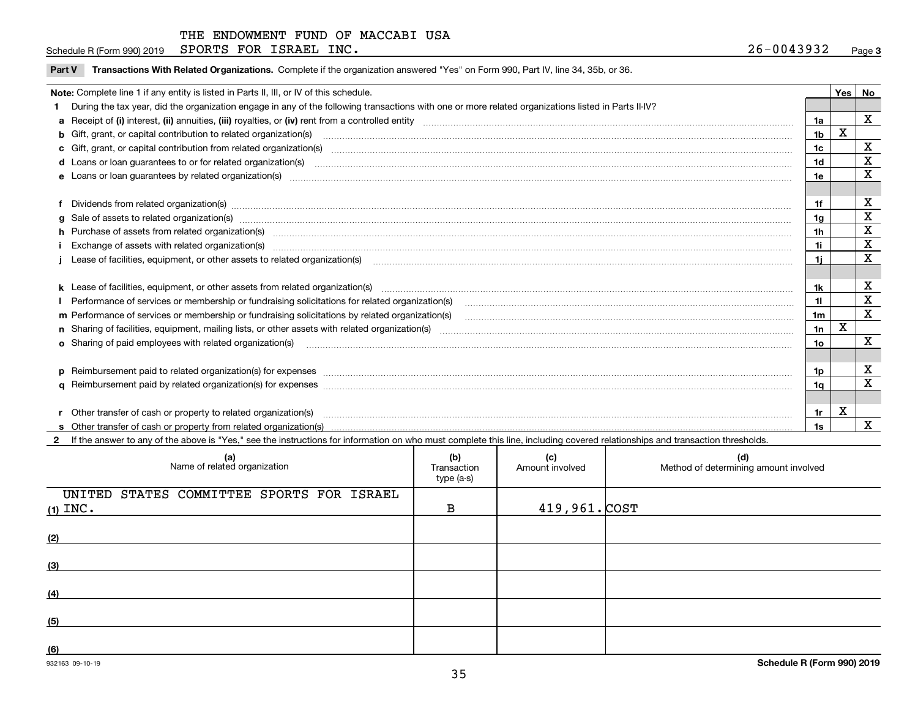Schedule R (Form 990) 2019  $S$ PORTS FOR I $S$ RAEL INC  $\boldsymbol{\cdot}$  and  $\boldsymbol{\cdot}$  and  $\boldsymbol{\cdot}$  and  $\boldsymbol{\cdot}$  and  $\boldsymbol{\cdot}$  and  $\boldsymbol{\cdot}$  and  $\boldsymbol{\cdot}$  and  $\boldsymbol{\cdot}$  and  $\boldsymbol{\cdot}$  and  $\boldsymbol{\cdot}$  and  $\boldsymbol{\cdot}$  and  $\boldsymbol{\cdot}$  and  $\boldsymbol{\cdot}$  an

 $\overline{\phantom{a}}$ 

**Part V** T**ransactions With Related Organizations.** Complete if the organization answered "Yes" on Form 990, Part IV, line 34, 35b, or 36.

| Note: Complete line 1 if any entity is listed in Parts II, III, or IV of this schedule.                                                                                                                                        |     | <b>Yes</b> | No          |
|--------------------------------------------------------------------------------------------------------------------------------------------------------------------------------------------------------------------------------|-----|------------|-------------|
| During the tax year, did the organization engage in any of the following transactions with one or more related organizations listed in Parts II-IV?                                                                            |     |            |             |
|                                                                                                                                                                                                                                | 1a  |            | X           |
| b Gift, grant, or capital contribution to related organization(s) manufactured and contribution to related organization(s)                                                                                                     | 1b  | X          |             |
| c Gift, grant, or capital contribution from related organization(s)                                                                                                                                                            | 1c  |            | х           |
|                                                                                                                                                                                                                                | 1d  |            | X           |
| e Loans or loan quarantees by related organization(s)                                                                                                                                                                          | 1e  |            | x           |
|                                                                                                                                                                                                                                |     |            |             |
| f Dividends from related organization(s) manufactured contains and contained and contained contained and contained and contained and contained and contained and contained and contained and contained and contained and conta | 1f  |            | х           |
|                                                                                                                                                                                                                                | 1g  |            | х           |
| h Purchase of assets from related organization(s) manufactured and content to the content of the content of the content of the content of the content of the content of the content of the content of the content of the conte | 1h  |            | X           |
|                                                                                                                                                                                                                                | 1i. |            | X           |
|                                                                                                                                                                                                                                | 1i. |            | x           |
|                                                                                                                                                                                                                                |     |            |             |
|                                                                                                                                                                                                                                | 1k  |            | х           |
| Performance of services or membership or fundraising solicitations for related organization(s)                                                                                                                                 | 11  |            | $\mathbf X$ |
| m Performance of services or membership or fundraising solicitations by related organization(s)                                                                                                                                | 1m  |            | $\mathbf X$ |
|                                                                                                                                                                                                                                | 1n  | X          |             |
| <b>o</b> Sharing of paid employees with related organization(s)                                                                                                                                                                | 10  |            | $\mathbf X$ |
|                                                                                                                                                                                                                                |     |            |             |
|                                                                                                                                                                                                                                | 1p. |            | х           |
|                                                                                                                                                                                                                                | 1a  |            | X           |
|                                                                                                                                                                                                                                |     |            |             |
| r Other transfer of cash or property to related organization(s)                                                                                                                                                                | 1r. | х          |             |
|                                                                                                                                                                                                                                | 1s  |            | X           |

**2**If the answer to any of the above is "Yes," see the instructions for information on who must complete this line, including covered relationships and transaction thresholds.

| (a)<br>Name of related organization                     | (b)<br>Transaction<br>type (a-s) | (c)<br>Amount involved | (d)<br>Method of determining amount involved |
|---------------------------------------------------------|----------------------------------|------------------------|----------------------------------------------|
| UNITED STATES COMMITTEE SPORTS FOR ISRAEL<br>(1) $INC.$ | B                                | $419,961.$ $COST$      |                                              |
| (2)                                                     |                                  |                        |                                              |
| (3)                                                     |                                  |                        |                                              |
| (4)                                                     |                                  |                        |                                              |
| (5)                                                     |                                  |                        |                                              |
| (6)                                                     |                                  |                        |                                              |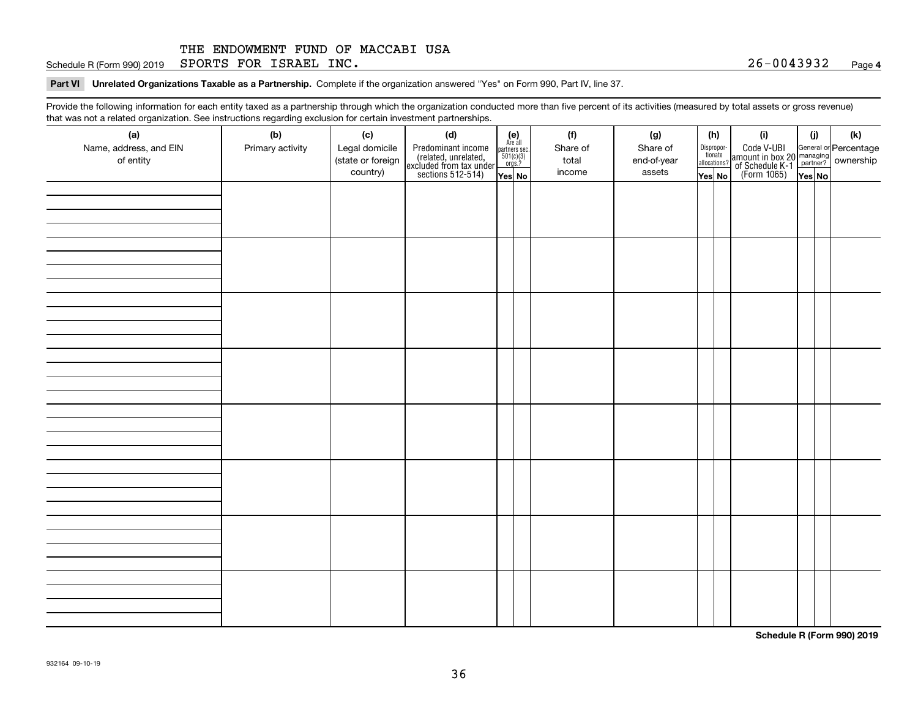Schedule R (Form 990) 2019  $S$ PORTS FOR I $S$ RAEL INC  $\boldsymbol{\cdot}$  and  $\boldsymbol{\cdot}$  and  $\boldsymbol{\cdot}$  and  $\boldsymbol{\cdot}$  and  $\boldsymbol{\cdot}$  and  $\boldsymbol{\cdot}$  and  $\boldsymbol{\cdot}$  and  $\boldsymbol{\cdot}$  and  $\boldsymbol{\cdot}$  and  $\boldsymbol{\cdot}$  and  $\boldsymbol{\cdot}$  and  $\boldsymbol{\cdot}$  and  $\boldsymbol{\cdot}$  an

**Part VI Unrelated Organizations Taxable as a Partnership. Complete if the organization answered "Yes" on Form 990, Part IV, line 37.** 

Provide the following information for each entity taxed as a partnership through which the organization conducted more than five percent of its activities (measured by total assets or gross revenue) that was not a related organization. See instructions regarding exclusion for certain investment partnerships.

| (a)<br>Name, address, and EIN<br>of entity | (b)<br>Primary activity | (c)<br>Legal domicile<br>(state or foreign<br>country) | (d)<br>Predominant income<br>(related, unrelated,<br>excluded from tax under<br>sections 512-514) | $\begin{array}{c} \textbf{(e)}\\ \text{Are all} \\ \text{partners sec.}\\ 501(c)(3)\\ \text{orgs.?} \end{array}$<br>$Yes$ No | (f)<br>Share of<br>total<br>income | (g)<br>Share of<br>end-of-year<br>assets | (h)<br>Dispropor-<br>tionate<br>allocations?<br>Yes No | (i)<br>Code V-UBI<br>amount in box 20 managing<br>of Schedule K-1 partner? ownership<br>(Form 1065)<br>ves No | (i)<br>Yes No | (k) |
|--------------------------------------------|-------------------------|--------------------------------------------------------|---------------------------------------------------------------------------------------------------|------------------------------------------------------------------------------------------------------------------------------|------------------------------------|------------------------------------------|--------------------------------------------------------|---------------------------------------------------------------------------------------------------------------|---------------|-----|
|                                            |                         |                                                        |                                                                                                   |                                                                                                                              |                                    |                                          |                                                        |                                                                                                               |               |     |
|                                            |                         |                                                        |                                                                                                   |                                                                                                                              |                                    |                                          |                                                        |                                                                                                               |               |     |
|                                            |                         |                                                        |                                                                                                   |                                                                                                                              |                                    |                                          |                                                        |                                                                                                               |               |     |
|                                            |                         |                                                        |                                                                                                   |                                                                                                                              |                                    |                                          |                                                        |                                                                                                               |               |     |
|                                            |                         |                                                        |                                                                                                   |                                                                                                                              |                                    |                                          |                                                        |                                                                                                               |               |     |
|                                            |                         |                                                        |                                                                                                   |                                                                                                                              |                                    |                                          |                                                        |                                                                                                               |               |     |
|                                            |                         |                                                        |                                                                                                   |                                                                                                                              |                                    |                                          |                                                        |                                                                                                               |               |     |
|                                            |                         |                                                        |                                                                                                   |                                                                                                                              |                                    |                                          |                                                        |                                                                                                               |               |     |

**Schedule R (Form 990) 2019**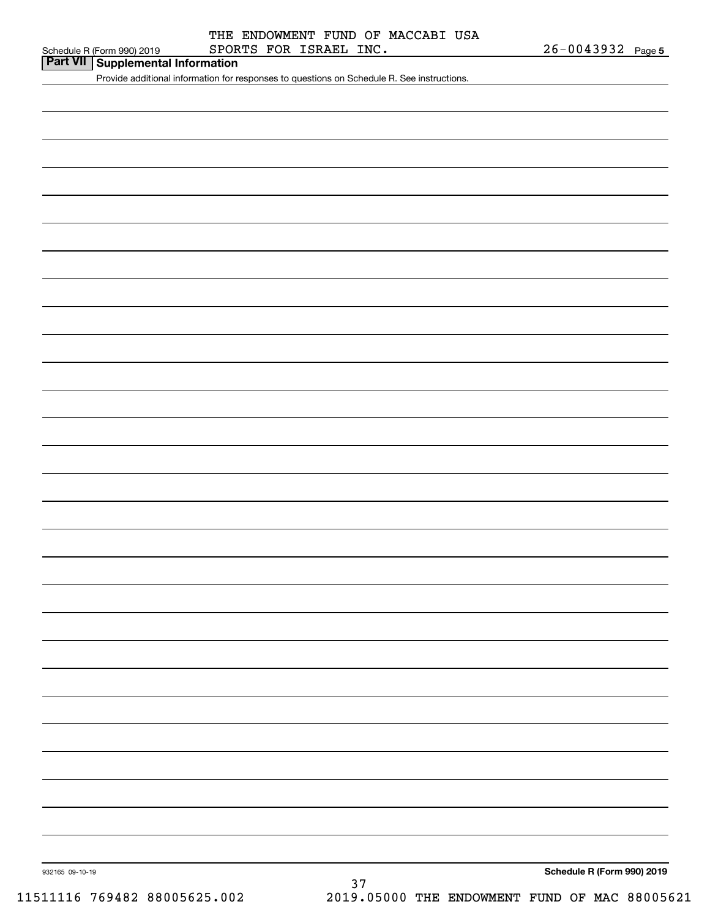**Part VII Supplemental Information**

Provide additional information for responses to questions on Schedule R. See instructions.

932165 09-10-19